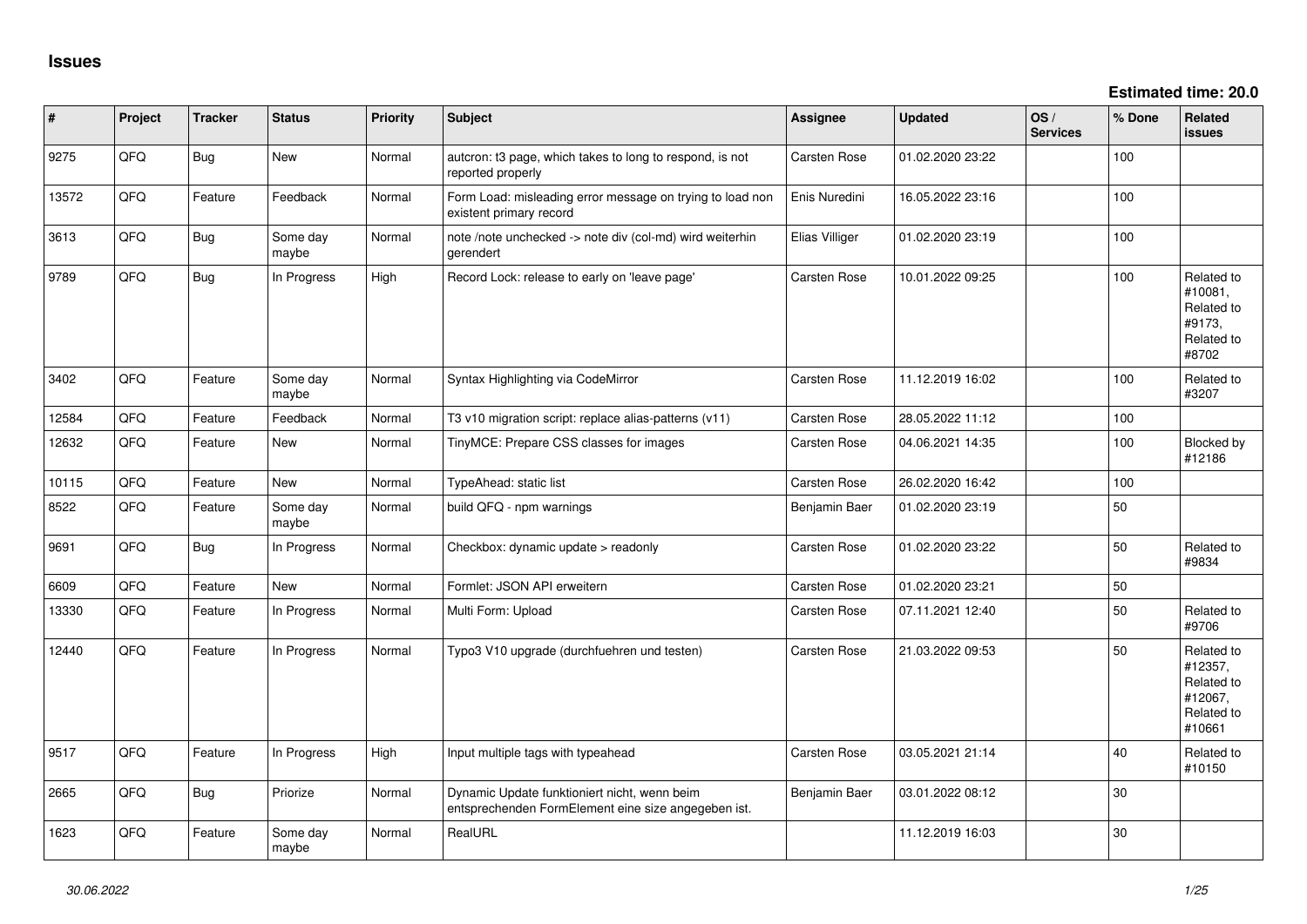| $\vert$ # | Project | <b>Tracker</b> | <b>Status</b>     | <b>Priority</b> | <b>Subject</b>                                                                                      | <b>Assignee</b> | <b>Updated</b>   | OS/<br><b>Services</b> | % Done | Related<br>issues                                                      |
|-----------|---------|----------------|-------------------|-----------------|-----------------------------------------------------------------------------------------------------|-----------------|------------------|------------------------|--------|------------------------------------------------------------------------|
| 9275      | QFQ     | <b>Bug</b>     | New               | Normal          | autcron: t3 page, which takes to long to respond, is not<br>reported properly                       | Carsten Rose    | 01.02.2020 23:22 |                        | 100    |                                                                        |
| 13572     | QFQ     | Feature        | Feedback          | Normal          | Form Load: misleading error message on trying to load non<br>existent primary record                | Enis Nuredini   | 16.05.2022 23:16 |                        | 100    |                                                                        |
| 3613      | QFQ     | Bug            | Some day<br>maybe | Normal          | note /note unchecked -> note div (col-md) wird weiterhin<br>gerendert                               | Elias Villiger  | 01.02.2020 23:19 |                        | 100    |                                                                        |
| 9789      | QFQ     | Bug            | In Progress       | High            | Record Lock: release to early on 'leave page'                                                       | Carsten Rose    | 10.01.2022 09:25 |                        | 100    | Related to<br>#10081,<br>Related to<br>#9173,<br>Related to<br>#8702   |
| 3402      | QFQ     | Feature        | Some day<br>maybe | Normal          | Syntax Highlighting via CodeMirror                                                                  | Carsten Rose    | 11.12.2019 16:02 |                        | 100    | Related to<br>#3207                                                    |
| 12584     | QFQ     | Feature        | Feedback          | Normal          | T3 v10 migration script: replace alias-patterns (v11)                                               | Carsten Rose    | 28.05.2022 11:12 |                        | 100    |                                                                        |
| 12632     | QFQ     | Feature        | <b>New</b>        | Normal          | TinyMCE: Prepare CSS classes for images                                                             | Carsten Rose    | 04.06.2021 14:35 |                        | 100    | Blocked by<br>#12186                                                   |
| 10115     | QFQ     | Feature        | <b>New</b>        | Normal          | TypeAhead: static list                                                                              | Carsten Rose    | 26.02.2020 16:42 |                        | 100    |                                                                        |
| 8522      | QFQ     | Feature        | Some day<br>maybe | Normal          | build QFQ - npm warnings                                                                            | Benjamin Baer   | 01.02.2020 23:19 |                        | 50     |                                                                        |
| 9691      | QFQ     | Bug            | In Progress       | Normal          | Checkbox: dynamic update > readonly                                                                 | Carsten Rose    | 01.02.2020 23:22 |                        | 50     | Related to<br>#9834                                                    |
| 6609      | QFQ     | Feature        | <b>New</b>        | Normal          | Formlet: JSON API erweitern                                                                         | Carsten Rose    | 01.02.2020 23:21 |                        | 50     |                                                                        |
| 13330     | QFQ     | Feature        | In Progress       | Normal          | Multi Form: Upload                                                                                  | Carsten Rose    | 07.11.2021 12:40 |                        | 50     | Related to<br>#9706                                                    |
| 12440     | QFQ     | Feature        | In Progress       | Normal          | Typo3 V10 upgrade (durchfuehren und testen)                                                         | Carsten Rose    | 21.03.2022 09:53 |                        | 50     | Related to<br>#12357,<br>Related to<br>#12067,<br>Related to<br>#10661 |
| 9517      | QFQ     | Feature        | In Progress       | High            | Input multiple tags with typeahead                                                                  | Carsten Rose    | 03.05.2021 21:14 |                        | 40     | Related to<br>#10150                                                   |
| 2665      | QFQ     | Bug            | Priorize          | Normal          | Dynamic Update funktioniert nicht, wenn beim<br>entsprechenden FormElement eine size angegeben ist. | Benjamin Baer   | 03.01.2022 08:12 |                        | 30     |                                                                        |
| 1623      | QFQ     | Feature        | Some day<br>maybe | Normal          | RealURL                                                                                             |                 | 11.12.2019 16:03 |                        | 30     |                                                                        |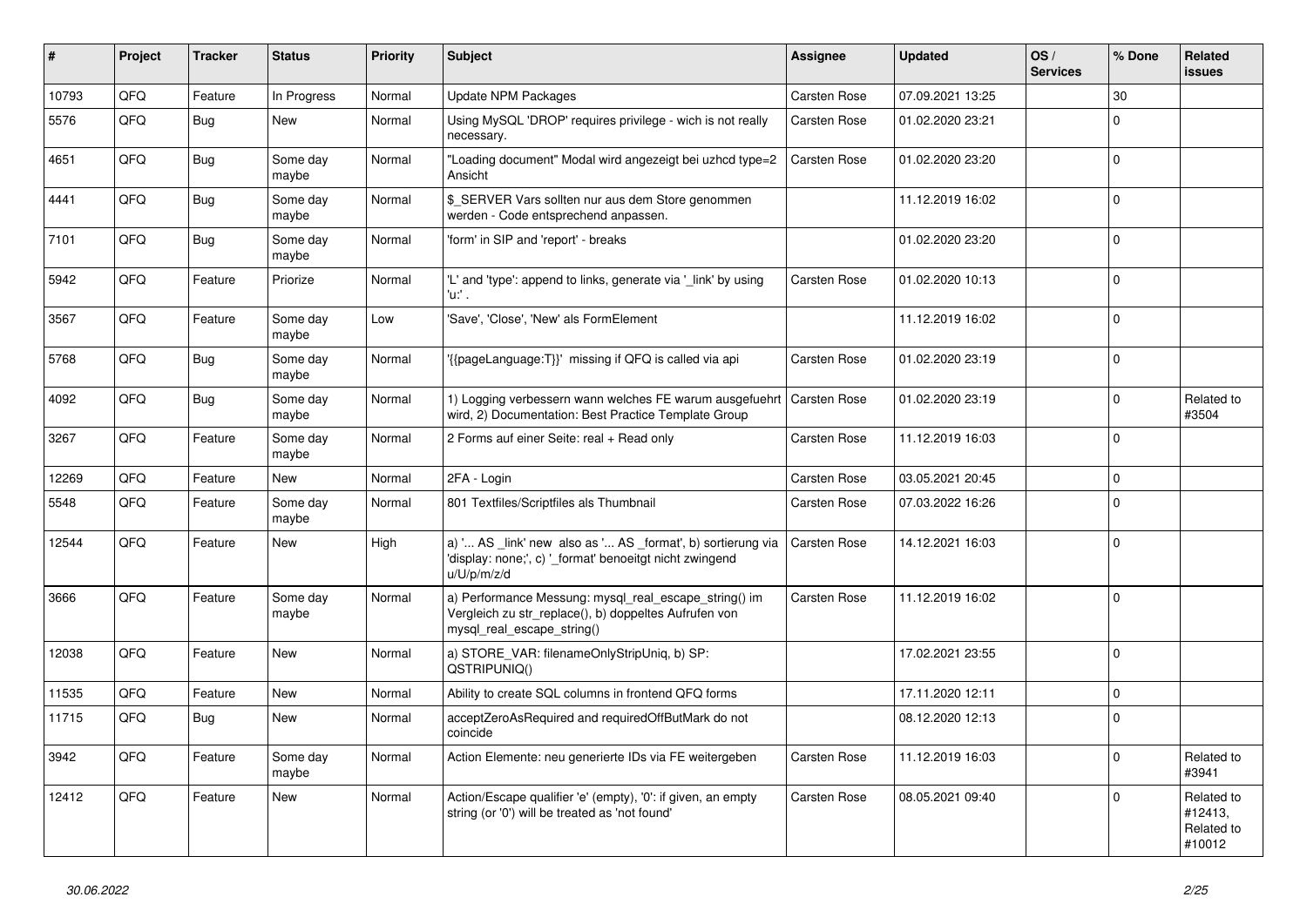| ∦     | Project | <b>Tracker</b> | <b>Status</b>     | <b>Priority</b> | <b>Subject</b>                                                                                                                               | Assignee     | <b>Updated</b>   | OS/<br><b>Services</b> | % Done         | Related<br><b>issues</b>                      |
|-------|---------|----------------|-------------------|-----------------|----------------------------------------------------------------------------------------------------------------------------------------------|--------------|------------------|------------------------|----------------|-----------------------------------------------|
| 10793 | QFQ     | Feature        | In Progress       | Normal          | <b>Update NPM Packages</b>                                                                                                                   | Carsten Rose | 07.09.2021 13:25 |                        | 30             |                                               |
| 5576  | QFQ     | <b>Bug</b>     | New               | Normal          | Using MySQL 'DROP' requires privilege - wich is not really<br>necessary.                                                                     | Carsten Rose | 01.02.2020 23:21 |                        | $\Omega$       |                                               |
| 4651  | QFQ     | <b>Bug</b>     | Some day<br>maybe | Normal          | "Loading document" Modal wird angezeigt bei uzhcd type=2<br>Ansicht                                                                          | Carsten Rose | 01.02.2020 23:20 |                        | $\Omega$       |                                               |
| 4441  | QFQ     | Bug            | Some day<br>maybe | Normal          | \$ SERVER Vars sollten nur aus dem Store genommen<br>werden - Code entsprechend anpassen.                                                    |              | 11.12.2019 16:02 |                        | $\Omega$       |                                               |
| 7101  | QFQ     | <b>Bug</b>     | Some day<br>maybe | Normal          | 'form' in SIP and 'report' - breaks                                                                                                          |              | 01.02.2020 23:20 |                        | $\Omega$       |                                               |
| 5942  | QFQ     | Feature        | Priorize          | Normal          | 'L' and 'type': append to links, generate via '_link' by using<br>'u:' .                                                                     | Carsten Rose | 01.02.2020 10:13 |                        | $\Omega$       |                                               |
| 3567  | QFQ     | Feature        | Some day<br>maybe | Low             | 'Save', 'Close', 'New' als FormElement                                                                                                       |              | 11.12.2019 16:02 |                        | $\Omega$       |                                               |
| 5768  | QFQ     | <b>Bug</b>     | Some day<br>maybe | Normal          | '{{pageLanguage:T}}' missing if QFQ is called via api                                                                                        | Carsten Rose | 01.02.2020 23:19 |                        | $\Omega$       |                                               |
| 4092  | QFQ     | <b>Bug</b>     | Some day<br>maybe | Normal          | 1) Logging verbessern wann welches FE warum ausgefuehrt   Carsten Rose<br>wird, 2) Documentation: Best Practice Template Group               |              | 01.02.2020 23:19 |                        | $\Omega$       | Related to<br>#3504                           |
| 3267  | QFQ     | Feature        | Some day<br>maybe | Normal          | 2 Forms auf einer Seite: real + Read only                                                                                                    | Carsten Rose | 11.12.2019 16:03 |                        | $\overline{0}$ |                                               |
| 12269 | QFQ     | Feature        | <b>New</b>        | Normal          | 2FA - Login                                                                                                                                  | Carsten Rose | 03.05.2021 20:45 |                        | $\Omega$       |                                               |
| 5548  | QFQ     | Feature        | Some day<br>maybe | Normal          | 801 Textfiles/Scriptfiles als Thumbnail                                                                                                      | Carsten Rose | 07.03.2022 16:26 |                        | $\Omega$       |                                               |
| 12544 | QFQ     | Feature        | New               | High            | a) ' AS _link' new also as ' AS _format', b) sortierung via<br>'display: none;', c) '_format' benoeitgt nicht zwingend<br>u/U/p/m/z/d        | Carsten Rose | 14.12.2021 16:03 |                        | $\mathbf 0$    |                                               |
| 3666  | QFQ     | Feature        | Some day<br>maybe | Normal          | a) Performance Messung: mysql_real_escape_string() im<br>Vergleich zu str_replace(), b) doppeltes Aufrufen von<br>mysql_real_escape_string() | Carsten Rose | 11.12.2019 16:02 |                        | $\Omega$       |                                               |
| 12038 | QFQ     | Feature        | New               | Normal          | a) STORE_VAR: filenameOnlyStripUniq, b) SP:<br>QSTRIPUNIQ()                                                                                  |              | 17.02.2021 23:55 |                        | $\Omega$       |                                               |
| 11535 | QFQ     | Feature        | <b>New</b>        | Normal          | Ability to create SQL columns in frontend QFQ forms                                                                                          |              | 17.11.2020 12:11 |                        | 0              |                                               |
| 11715 | QFQ     | <b>Bug</b>     | New               | Normal          | acceptZeroAsRequired and requiredOffButMark do not<br>coincide                                                                               |              | 08.12.2020 12:13 |                        | l n            |                                               |
| 3942  | QFQ     | Feature        | Some day<br>maybe | Normal          | Action Elemente: neu generierte IDs via FE weitergeben                                                                                       | Carsten Rose | 11.12.2019 16:03 |                        | $\mathbf{0}$   | Related to<br>#3941                           |
| 12412 | QFQ     | Feature        | <b>New</b>        | Normal          | Action/Escape qualifier 'e' (empty), '0': if given, an empty<br>string (or '0') will be treated as 'not found'                               | Carsten Rose | 08.05.2021 09:40 |                        | $\Omega$       | Related to<br>#12413,<br>Related to<br>#10012 |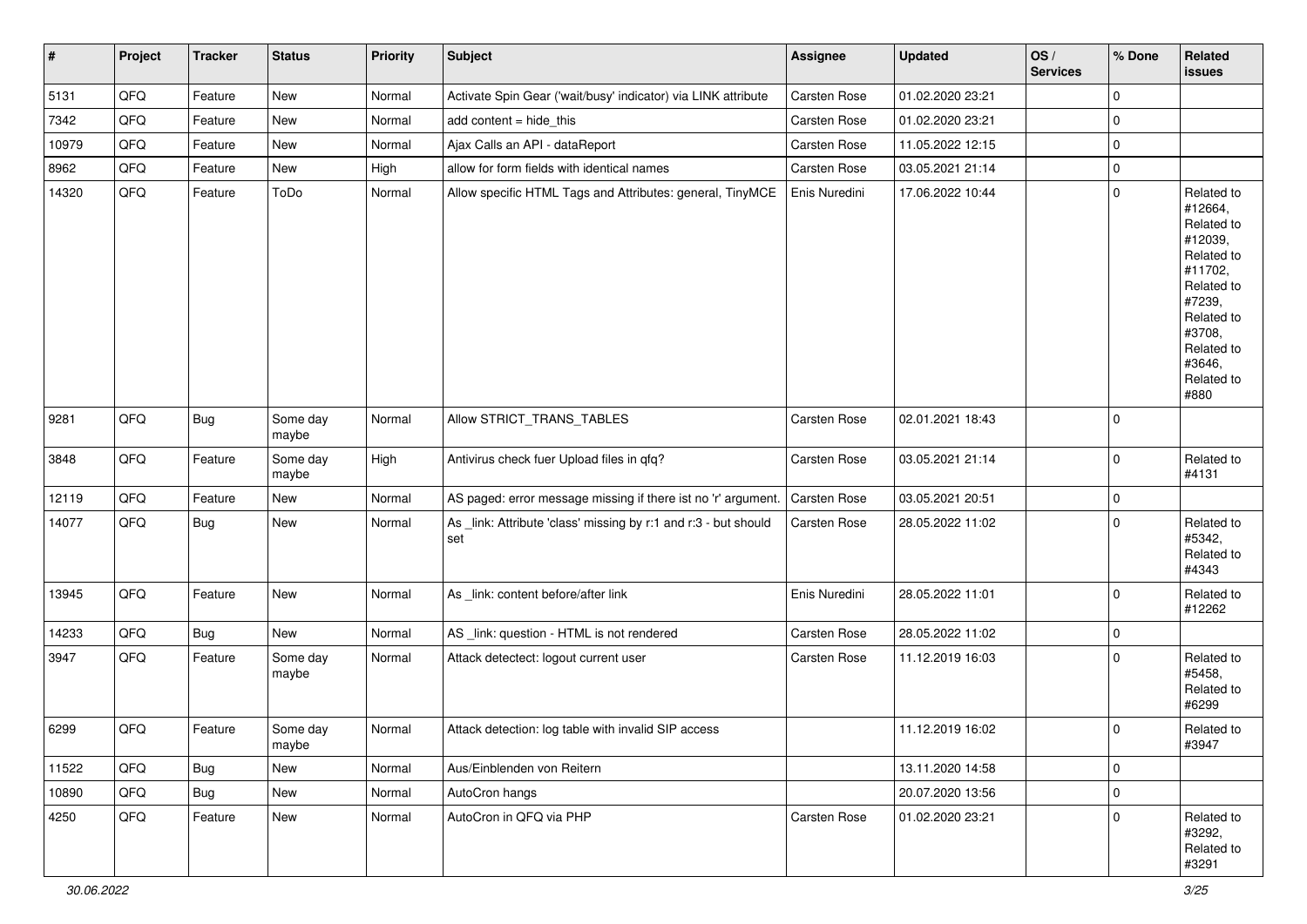| #     | Project | <b>Tracker</b> | <b>Status</b>     | <b>Priority</b> | <b>Subject</b>                                                         | <b>Assignee</b>     | <b>Updated</b>   | OS/<br><b>Services</b> | % Done      | Related<br><b>issues</b>                                                                                                                                              |
|-------|---------|----------------|-------------------|-----------------|------------------------------------------------------------------------|---------------------|------------------|------------------------|-------------|-----------------------------------------------------------------------------------------------------------------------------------------------------------------------|
| 5131  | QFQ     | Feature        | <b>New</b>        | Normal          | Activate Spin Gear ('wait/busy' indicator) via LINK attribute          | Carsten Rose        | 01.02.2020 23:21 |                        | 0           |                                                                                                                                                                       |
| 7342  | QFQ     | Feature        | New               | Normal          | add content = hide_this                                                | Carsten Rose        | 01.02.2020 23:21 |                        | 0           |                                                                                                                                                                       |
| 10979 | QFQ     | Feature        | New               | Normal          | Ajax Calls an API - dataReport                                         | Carsten Rose        | 11.05.2022 12:15 |                        | 0           |                                                                                                                                                                       |
| 8962  | QFQ     | Feature        | New               | High            | allow for form fields with identical names                             | Carsten Rose        | 03.05.2021 21:14 |                        | 0           |                                                                                                                                                                       |
| 14320 | QFQ     | Feature        | ToDo              | Normal          | Allow specific HTML Tags and Attributes: general, TinyMCE              | Enis Nuredini       | 17.06.2022 10:44 |                        | 0           | Related to<br>#12664,<br>Related to<br>#12039,<br>Related to<br>#11702,<br>Related to<br>#7239,<br>Related to<br>#3708,<br>Related to<br>#3646,<br>Related to<br>#880 |
| 9281  | QFQ     | <b>Bug</b>     | Some day<br>maybe | Normal          | Allow STRICT_TRANS_TABLES                                              | Carsten Rose        | 02.01.2021 18:43 |                        | 0           |                                                                                                                                                                       |
| 3848  | QFQ     | Feature        | Some day<br>maybe | High            | Antivirus check fuer Upload files in qfq?                              | Carsten Rose        | 03.05.2021 21:14 |                        | 0           | Related to<br>#4131                                                                                                                                                   |
| 12119 | QFQ     | Feature        | New               | Normal          | AS paged: error message missing if there ist no 'r' argument.          | Carsten Rose        | 03.05.2021 20:51 |                        | 0           |                                                                                                                                                                       |
| 14077 | QFQ     | <b>Bug</b>     | New               | Normal          | As _link: Attribute 'class' missing by r:1 and r:3 - but should<br>set | Carsten Rose        | 28.05.2022 11:02 |                        | 0           | Related to<br>#5342,<br>Related to<br>#4343                                                                                                                           |
| 13945 | QFQ     | Feature        | New               | Normal          | As _link: content before/after link                                    | Enis Nuredini       | 28.05.2022 11:01 |                        | 0           | Related to<br>#12262                                                                                                                                                  |
| 14233 | QFQ     | <b>Bug</b>     | New               | Normal          | AS _link: question - HTML is not rendered                              | Carsten Rose        | 28.05.2022 11:02 |                        | 0           |                                                                                                                                                                       |
| 3947  | QFQ     | Feature        | Some day<br>maybe | Normal          | Attack detectect: logout current user                                  | Carsten Rose        | 11.12.2019 16:03 |                        | 0           | Related to<br>#5458,<br>Related to<br>#6299                                                                                                                           |
| 6299  | QFQ     | Feature        | Some day<br>maybe | Normal          | Attack detection: log table with invalid SIP access                    |                     | 11.12.2019 16:02 |                        | $\mathbf 0$ | Related to<br>#3947                                                                                                                                                   |
| 11522 | QFQ     | <b>Bug</b>     | New               | Normal          | Aus/Einblenden von Reitern                                             |                     | 13.11.2020 14:58 |                        | 0           |                                                                                                                                                                       |
| 10890 | QFQ     | <b>Bug</b>     | New               | Normal          | AutoCron hangs                                                         |                     | 20.07.2020 13:56 |                        | 0           |                                                                                                                                                                       |
| 4250  | QFQ     | Feature        | New               | Normal          | AutoCron in QFQ via PHP                                                | <b>Carsten Rose</b> | 01.02.2020 23:21 |                        | 0           | Related to<br>#3292,<br>Related to<br>#3291                                                                                                                           |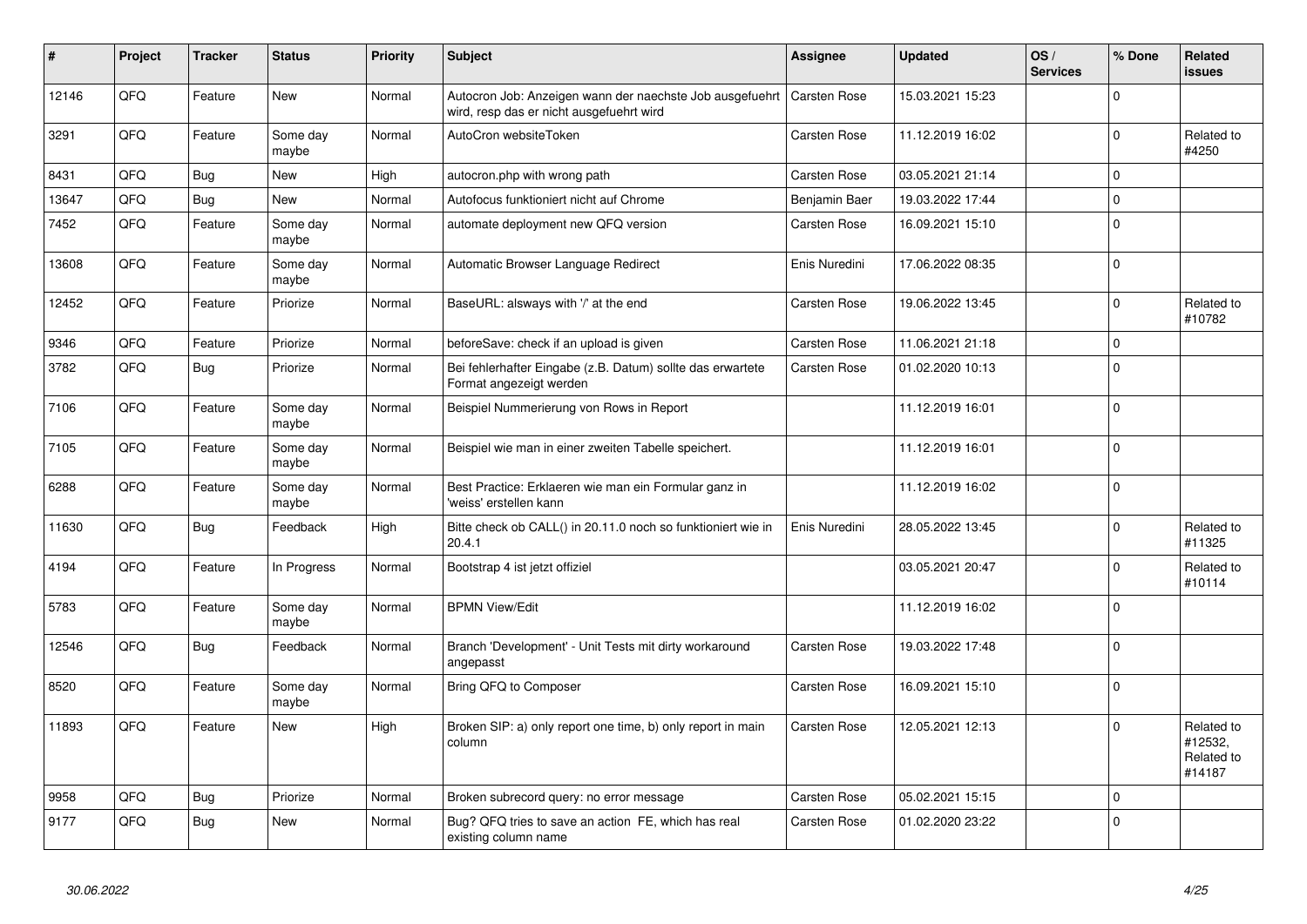| #     | Project | <b>Tracker</b> | <b>Status</b>     | <b>Priority</b> | <b>Subject</b>                                                                                       | <b>Assignee</b>     | <b>Updated</b>   | OS/<br><b>Services</b> | % Done      | Related<br><b>issues</b>                      |
|-------|---------|----------------|-------------------|-----------------|------------------------------------------------------------------------------------------------------|---------------------|------------------|------------------------|-------------|-----------------------------------------------|
| 12146 | QFQ     | Feature        | New               | Normal          | Autocron Job: Anzeigen wann der naechste Job ausgefuehrt<br>wird, resp das er nicht ausgefuehrt wird | Carsten Rose        | 15.03.2021 15:23 |                        | $\mathbf 0$ |                                               |
| 3291  | QFQ     | Feature        | Some day<br>maybe | Normal          | AutoCron websiteToken                                                                                | Carsten Rose        | 11.12.2019 16:02 |                        | $\Omega$    | Related to<br>#4250                           |
| 8431  | QFQ     | Bug            | New               | High            | autocron.php with wrong path                                                                         | Carsten Rose        | 03.05.2021 21:14 |                        | $\mathbf 0$ |                                               |
| 13647 | QFQ     | Bug            | New               | Normal          | Autofocus funktioniert nicht auf Chrome                                                              | Benjamin Baer       | 19.03.2022 17:44 |                        | $\Omega$    |                                               |
| 7452  | QFQ     | Feature        | Some day<br>maybe | Normal          | automate deployment new QFQ version                                                                  | Carsten Rose        | 16.09.2021 15:10 |                        | $\mathbf 0$ |                                               |
| 13608 | QFQ     | Feature        | Some day<br>maybe | Normal          | Automatic Browser Language Redirect                                                                  | Enis Nuredini       | 17.06.2022 08:35 |                        | $\mathbf 0$ |                                               |
| 12452 | QFQ     | Feature        | Priorize          | Normal          | BaseURL: alsways with '/' at the end                                                                 | Carsten Rose        | 19.06.2022 13:45 |                        | $\Omega$    | Related to<br>#10782                          |
| 9346  | QFQ     | Feature        | Priorize          | Normal          | beforeSave: check if an upload is given                                                              | Carsten Rose        | 11.06.2021 21:18 |                        | $\mathbf 0$ |                                               |
| 3782  | QFQ     | Bug            | Priorize          | Normal          | Bei fehlerhafter Eingabe (z.B. Datum) sollte das erwartete<br>Format angezeigt werden                | Carsten Rose        | 01.02.2020 10:13 |                        | $\mathbf 0$ |                                               |
| 7106  | QFQ     | Feature        | Some day<br>maybe | Normal          | Beispiel Nummerierung von Rows in Report                                                             |                     | 11.12.2019 16:01 |                        | $\mathbf 0$ |                                               |
| 7105  | QFQ     | Feature        | Some day<br>maybe | Normal          | Beispiel wie man in einer zweiten Tabelle speichert.                                                 |                     | 11.12.2019 16:01 |                        | $\mathbf 0$ |                                               |
| 6288  | QFQ     | Feature        | Some day<br>maybe | Normal          | Best Practice: Erklaeren wie man ein Formular ganz in<br>'weiss' erstellen kann                      |                     | 11.12.2019 16:02 |                        | $\Omega$    |                                               |
| 11630 | QFQ     | Bug            | Feedback          | High            | Bitte check ob CALL() in 20.11.0 noch so funktioniert wie in<br>20.4.1                               | Enis Nuredini       | 28.05.2022 13:45 |                        | $\mathbf 0$ | Related to<br>#11325                          |
| 4194  | QFQ     | Feature        | In Progress       | Normal          | Bootstrap 4 ist jetzt offiziel                                                                       |                     | 03.05.2021 20:47 |                        | $\mathbf 0$ | Related to<br>#10114                          |
| 5783  | QFQ     | Feature        | Some day<br>maybe | Normal          | <b>BPMN View/Edit</b>                                                                                |                     | 11.12.2019 16:02 |                        | $\Omega$    |                                               |
| 12546 | QFQ     | Bug            | Feedback          | Normal          | Branch 'Development' - Unit Tests mit dirty workaround<br>angepasst                                  | Carsten Rose        | 19.03.2022 17:48 |                        | $\mathbf 0$ |                                               |
| 8520  | QFQ     | Feature        | Some day<br>maybe | Normal          | Bring QFQ to Composer                                                                                | Carsten Rose        | 16.09.2021 15:10 |                        | $\mathbf 0$ |                                               |
| 11893 | QFQ     | Feature        | New               | High            | Broken SIP: a) only report one time, b) only report in main<br>column                                | Carsten Rose        | 12.05.2021 12:13 |                        | $\mathbf 0$ | Related to<br>#12532,<br>Related to<br>#14187 |
| 9958  | QFQ     | Bug            | Priorize          | Normal          | Broken subrecord query: no error message                                                             | <b>Carsten Rose</b> | 05.02.2021 15:15 |                        | $\mathbf 0$ |                                               |
| 9177  | QFQ     | Bug            | <b>New</b>        | Normal          | Bug? QFQ tries to save an action FE, which has real<br>existing column name                          | Carsten Rose        | 01.02.2020 23:22 |                        | $\Omega$    |                                               |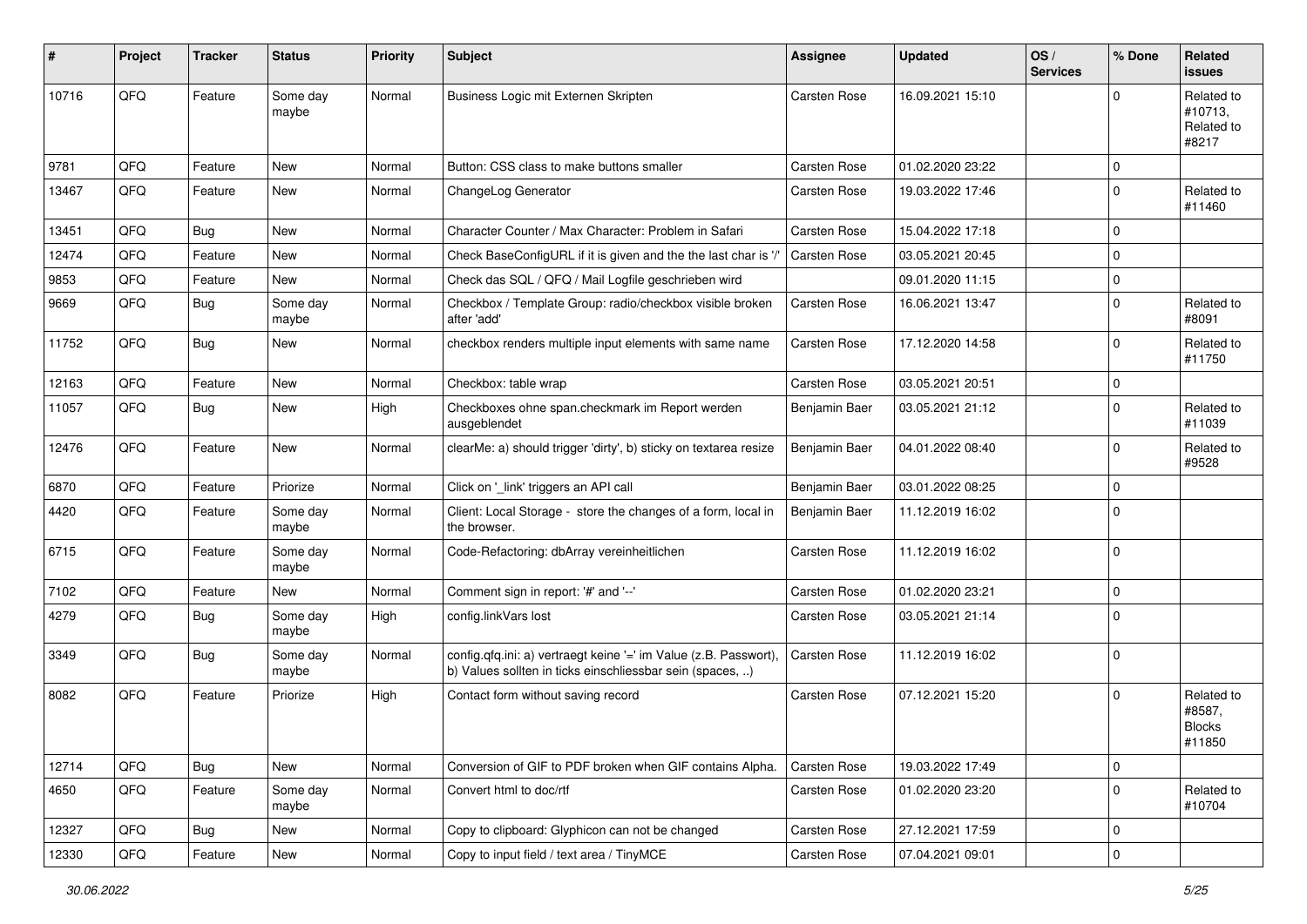| #     | Project | <b>Tracker</b> | <b>Status</b>     | <b>Priority</b> | <b>Subject</b>                                                                                                                | <b>Assignee</b> | <b>Updated</b>   | OS/<br><b>Services</b> | % Done      | Related<br><b>issues</b>                        |
|-------|---------|----------------|-------------------|-----------------|-------------------------------------------------------------------------------------------------------------------------------|-----------------|------------------|------------------------|-------------|-------------------------------------------------|
| 10716 | QFQ     | Feature        | Some day<br>maybe | Normal          | Business Logic mit Externen Skripten                                                                                          | Carsten Rose    | 16.09.2021 15:10 |                        | $\Omega$    | Related to<br>#10713.<br>Related to<br>#8217    |
| 9781  | QFQ     | Feature        | New               | Normal          | Button: CSS class to make buttons smaller                                                                                     | Carsten Rose    | 01.02.2020 23:22 |                        | $\mathbf 0$ |                                                 |
| 13467 | QFQ     | Feature        | New               | Normal          | ChangeLog Generator                                                                                                           | Carsten Rose    | 19.03.2022 17:46 |                        | $\Omega$    | Related to<br>#11460                            |
| 13451 | QFQ     | Bug            | New               | Normal          | Character Counter / Max Character: Problem in Safari                                                                          | Carsten Rose    | 15.04.2022 17:18 |                        | $\Omega$    |                                                 |
| 12474 | QFQ     | Feature        | New               | Normal          | Check BaseConfigURL if it is given and the the last char is '/'                                                               | Carsten Rose    | 03.05.2021 20:45 |                        | $\mathbf 0$ |                                                 |
| 9853  | QFQ     | Feature        | New               | Normal          | Check das SQL / QFQ / Mail Logfile geschrieben wird                                                                           |                 | 09.01.2020 11:15 |                        | $\mathbf 0$ |                                                 |
| 9669  | QFQ     | Bug            | Some day<br>maybe | Normal          | Checkbox / Template Group: radio/checkbox visible broken<br>after 'add'                                                       | Carsten Rose    | 16.06.2021 13:47 |                        | $\mathbf 0$ | Related to<br>#8091                             |
| 11752 | QFQ     | Bug            | New               | Normal          | checkbox renders multiple input elements with same name                                                                       | Carsten Rose    | 17.12.2020 14:58 |                        | $\Omega$    | Related to<br>#11750                            |
| 12163 | QFQ     | Feature        | <b>New</b>        | Normal          | Checkbox: table wrap                                                                                                          | Carsten Rose    | 03.05.2021 20:51 |                        | $\mathbf 0$ |                                                 |
| 11057 | QFQ     | Bug            | New               | High            | Checkboxes ohne span.checkmark im Report werden<br>ausgeblendet                                                               | Benjamin Baer   | 03.05.2021 21:12 |                        | $\Omega$    | Related to<br>#11039                            |
| 12476 | QFQ     | Feature        | New               | Normal          | clearMe: a) should trigger 'dirty', b) sticky on textarea resize                                                              | Benjamin Baer   | 04.01.2022 08:40 |                        | $\mathbf 0$ | Related to<br>#9528                             |
| 6870  | QFQ     | Feature        | Priorize          | Normal          | Click on '_link' triggers an API call                                                                                         | Benjamin Baer   | 03.01.2022 08:25 |                        | $\mathbf 0$ |                                                 |
| 4420  | QFQ     | Feature        | Some day<br>maybe | Normal          | Client: Local Storage - store the changes of a form, local in<br>the browser.                                                 | Benjamin Baer   | 11.12.2019 16:02 |                        | $\Omega$    |                                                 |
| 6715  | QFQ     | Feature        | Some day<br>maybe | Normal          | Code-Refactoring: dbArray vereinheitlichen                                                                                    | Carsten Rose    | 11.12.2019 16:02 |                        | $\Omega$    |                                                 |
| 7102  | QFQ     | Feature        | New               | Normal          | Comment sign in report: '#' and '--'                                                                                          | Carsten Rose    | 01.02.2020 23:21 |                        | $\mathbf 0$ |                                                 |
| 4279  | QFQ     | Bug            | Some day<br>maybe | High            | config.linkVars lost                                                                                                          | Carsten Rose    | 03.05.2021 21:14 |                        | $\mathbf 0$ |                                                 |
| 3349  | QFQ     | Bug            | Some day<br>maybe | Normal          | config.qfq.ini: a) vertraegt keine '=' im Value (z.B. Passwort),<br>b) Values sollten in ticks einschliessbar sein (spaces, ) | Carsten Rose    | 11.12.2019 16:02 |                        | $\mathbf 0$ |                                                 |
| 8082  | QFQ     | Feature        | Priorize          | High            | Contact form without saving record                                                                                            | Carsten Rose    | 07.12.2021 15:20 |                        | $\Omega$    | Related to<br>#8587,<br><b>Blocks</b><br>#11850 |
| 12714 | QFQ     | <b>Bug</b>     | New               | Normal          | Conversion of GIF to PDF broken when GIF contains Alpha.                                                                      | Carsten Rose    | 19.03.2022 17:49 |                        | $\mathbf 0$ |                                                 |
| 4650  | QFQ     | Feature        | Some day<br>maybe | Normal          | Convert html to doc/rtf                                                                                                       | Carsten Rose    | 01.02.2020 23:20 |                        | $\mathbf 0$ | Related to<br>#10704                            |
| 12327 | QFQ     | Bug            | New               | Normal          | Copy to clipboard: Glyphicon can not be changed                                                                               | Carsten Rose    | 27.12.2021 17:59 |                        | $\mathbf 0$ |                                                 |
| 12330 | QFQ     | Feature        | New               | Normal          | Copy to input field / text area / TinyMCE                                                                                     | Carsten Rose    | 07.04.2021 09:01 |                        | $\mathbf 0$ |                                                 |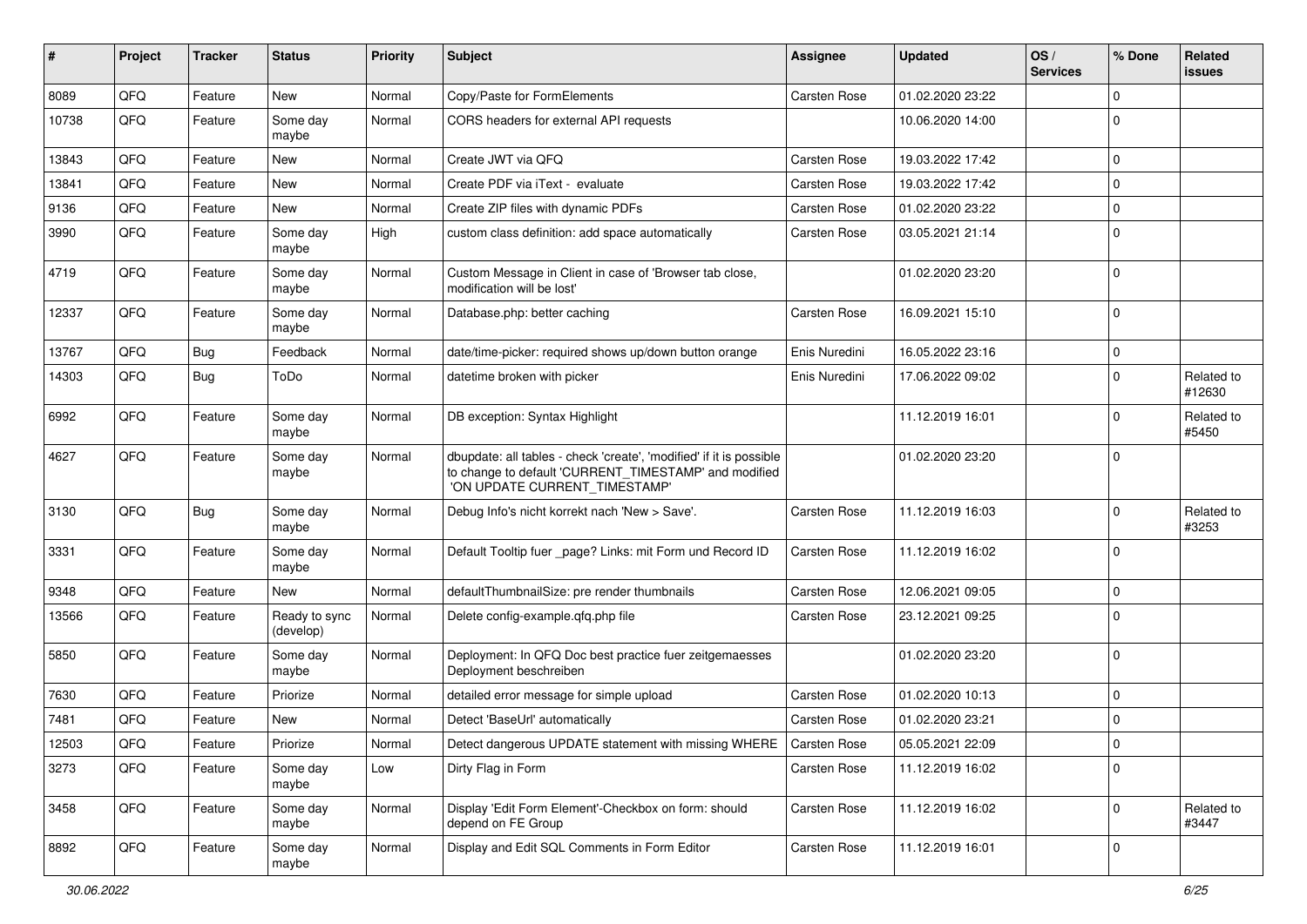| #     | Project | <b>Tracker</b> | <b>Status</b>              | <b>Priority</b> | Subject                                                                                                                                                       | <b>Assignee</b> | <b>Updated</b>   | OS/<br><b>Services</b> | % Done       | Related<br><b>issues</b> |
|-------|---------|----------------|----------------------------|-----------------|---------------------------------------------------------------------------------------------------------------------------------------------------------------|-----------------|------------------|------------------------|--------------|--------------------------|
| 8089  | QFQ     | Feature        | New                        | Normal          | Copy/Paste for FormElements                                                                                                                                   | Carsten Rose    | 01.02.2020 23:22 |                        | $\Omega$     |                          |
| 10738 | QFQ     | Feature        | Some day<br>maybe          | Normal          | CORS headers for external API requests                                                                                                                        |                 | 10.06.2020 14:00 |                        | 0            |                          |
| 13843 | QFQ     | Feature        | New                        | Normal          | Create JWT via QFQ                                                                                                                                            | Carsten Rose    | 19.03.2022 17:42 |                        | 0            |                          |
| 13841 | QFQ     | Feature        | <b>New</b>                 | Normal          | Create PDF via iText - evaluate                                                                                                                               | Carsten Rose    | 19.03.2022 17:42 |                        | 0            |                          |
| 9136  | QFQ     | Feature        | <b>New</b>                 | Normal          | Create ZIP files with dynamic PDFs                                                                                                                            | Carsten Rose    | 01.02.2020 23:22 |                        | 0            |                          |
| 3990  | QFQ     | Feature        | Some day<br>maybe          | High            | custom class definition: add space automatically                                                                                                              | Carsten Rose    | 03.05.2021 21:14 |                        | $\mathbf 0$  |                          |
| 4719  | QFQ     | Feature        | Some day<br>maybe          | Normal          | Custom Message in Client in case of 'Browser tab close,<br>modification will be lost'                                                                         |                 | 01.02.2020 23:20 |                        | $\Omega$     |                          |
| 12337 | QFQ     | Feature        | Some day<br>maybe          | Normal          | Database.php: better caching                                                                                                                                  | Carsten Rose    | 16.09.2021 15:10 |                        | $\Omega$     |                          |
| 13767 | QFQ     | <b>Bug</b>     | Feedback                   | Normal          | date/time-picker: required shows up/down button orange                                                                                                        | Enis Nuredini   | 16.05.2022 23:16 |                        | $\Omega$     |                          |
| 14303 | QFQ     | Bug            | ToDo                       | Normal          | datetime broken with picker                                                                                                                                   | Enis Nuredini   | 17.06.2022 09:02 |                        | $\Omega$     | Related to<br>#12630     |
| 6992  | QFQ     | Feature        | Some day<br>maybe          | Normal          | DB exception: Syntax Highlight                                                                                                                                |                 | 11.12.2019 16:01 |                        | <sup>0</sup> | Related to<br>#5450      |
| 4627  | QFQ     | Feature        | Some day<br>maybe          | Normal          | dbupdate: all tables - check 'create', 'modified' if it is possible<br>to change to default 'CURRENT_TIMESTAMP' and modified<br>'ON UPDATE CURRENT_TIMESTAMP' |                 | 01.02.2020 23:20 |                        | $\Omega$     |                          |
| 3130  | QFQ     | <b>Bug</b>     | Some day<br>maybe          | Normal          | Debug Info's nicht korrekt nach 'New > Save'.                                                                                                                 | Carsten Rose    | 11.12.2019 16:03 |                        | $\Omega$     | Related to<br>#3253      |
| 3331  | QFQ     | Feature        | Some day<br>maybe          | Normal          | Default Tooltip fuer _page? Links: mit Form und Record ID                                                                                                     | Carsten Rose    | 11.12.2019 16:02 |                        | $\Omega$     |                          |
| 9348  | QFQ     | Feature        | <b>New</b>                 | Normal          | defaultThumbnailSize: pre render thumbnails                                                                                                                   | Carsten Rose    | 12.06.2021 09:05 |                        | $\mathbf 0$  |                          |
| 13566 | QFQ     | Feature        | Ready to sync<br>(develop) | Normal          | Delete config-example.qfq.php file                                                                                                                            | Carsten Rose    | 23.12.2021 09:25 |                        | $\Omega$     |                          |
| 5850  | QFQ     | Feature        | Some day<br>maybe          | Normal          | Deployment: In QFQ Doc best practice fuer zeitgemaesses<br>Deployment beschreiben                                                                             |                 | 01.02.2020 23:20 |                        | $\mathbf 0$  |                          |
| 7630  | QFQ     | Feature        | Priorize                   | Normal          | detailed error message for simple upload                                                                                                                      | Carsten Rose    | 01.02.2020 10:13 |                        | 0            |                          |
| 7481  | QFQ     | Feature        | New                        | Normal          | Detect 'BaseUrl' automatically                                                                                                                                | Carsten Rose    | 01.02.2020 23:21 |                        | $\Omega$     |                          |
| 12503 | QFQ     | Feature        | Priorize                   | Normal          | Detect dangerous UPDATE statement with missing WHERE                                                                                                          | Carsten Rose    | 05.05.2021 22:09 |                        | 0            |                          |
| 3273  | QFQ     | Feature        | Some day<br>maybe          | Low             | Dirty Flag in Form                                                                                                                                            | Carsten Rose    | 11.12.2019 16:02 |                        | $\mathbf 0$  |                          |
| 3458  | QFQ     | Feature        | Some day<br>maybe          | Normal          | Display 'Edit Form Element'-Checkbox on form: should<br>depend on FE Group                                                                                    | Carsten Rose    | 11.12.2019 16:02 |                        | 0            | Related to<br>#3447      |
| 8892  | QFQ     | Feature        | Some day<br>maybe          | Normal          | Display and Edit SQL Comments in Form Editor                                                                                                                  | Carsten Rose    | 11.12.2019 16:01 |                        | 0            |                          |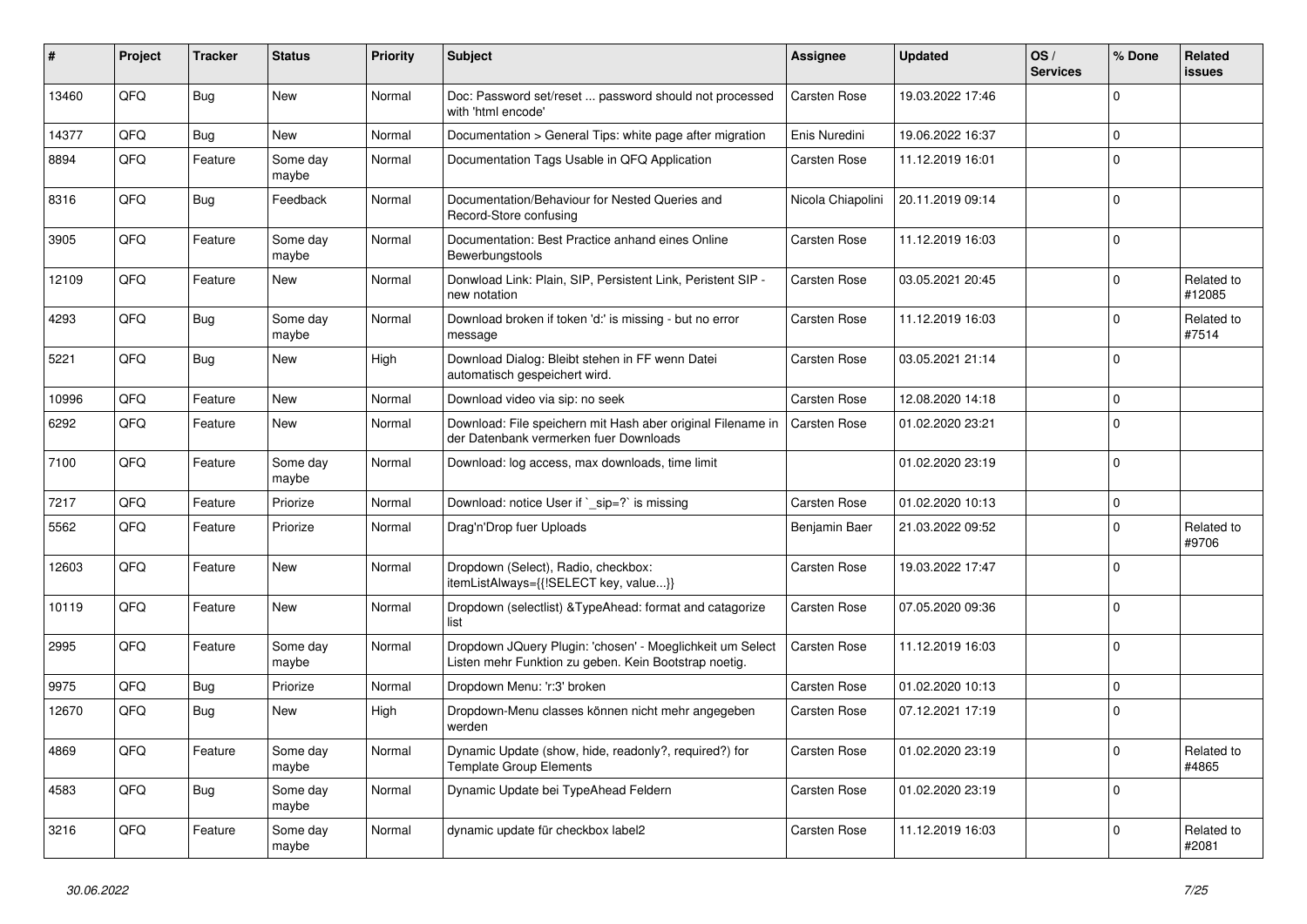| ∦     | Project | <b>Tracker</b> | <b>Status</b>     | <b>Priority</b> | <b>Subject</b>                                                                                                     | Assignee            | <b>Updated</b>   | OS/<br><b>Services</b> | % Done       | Related<br><b>issues</b> |
|-------|---------|----------------|-------------------|-----------------|--------------------------------------------------------------------------------------------------------------------|---------------------|------------------|------------------------|--------------|--------------------------|
| 13460 | QFQ     | Bug            | <b>New</b>        | Normal          | Doc: Password set/reset  password should not processed<br>with 'html encode'                                       | Carsten Rose        | 19.03.2022 17:46 |                        | $\Omega$     |                          |
| 14377 | QFQ     | Bug            | <b>New</b>        | Normal          | Documentation > General Tips: white page after migration                                                           | Enis Nuredini       | 19.06.2022 16:37 |                        | $\mathbf 0$  |                          |
| 8894  | QFQ     | Feature        | Some day<br>maybe | Normal          | Documentation Tags Usable in QFQ Application                                                                       | Carsten Rose        | 11.12.2019 16:01 |                        | $\mathbf 0$  |                          |
| 8316  | QFQ     | <b>Bug</b>     | Feedback          | Normal          | Documentation/Behaviour for Nested Queries and<br>Record-Store confusing                                           | Nicola Chiapolini   | 20.11.2019 09:14 |                        | $\Omega$     |                          |
| 3905  | QFQ     | Feature        | Some day<br>maybe | Normal          | Documentation: Best Practice anhand eines Online<br>Bewerbungstools                                                | Carsten Rose        | 11.12.2019 16:03 |                        | $\Omega$     |                          |
| 12109 | QFQ     | Feature        | <b>New</b>        | Normal          | Donwload Link: Plain, SIP, Persistent Link, Peristent SIP -<br>new notation                                        | Carsten Rose        | 03.05.2021 20:45 |                        | $\Omega$     | Related to<br>#12085     |
| 4293  | QFQ     | Bug            | Some day<br>maybe | Normal          | Download broken if token 'd:' is missing - but no error<br>message                                                 | Carsten Rose        | 11.12.2019 16:03 |                        | $\Omega$     | Related to<br>#7514      |
| 5221  | QFQ     | Bug            | New               | High            | Download Dialog: Bleibt stehen in FF wenn Datei<br>automatisch gespeichert wird.                                   | Carsten Rose        | 03.05.2021 21:14 |                        | $\Omega$     |                          |
| 10996 | QFQ     | Feature        | <b>New</b>        | Normal          | Download video via sip: no seek                                                                                    | Carsten Rose        | 12.08.2020 14:18 |                        | $\Omega$     |                          |
| 6292  | QFQ     | Feature        | <b>New</b>        | Normal          | Download: File speichern mit Hash aber original Filename in<br>der Datenbank vermerken fuer Downloads              | Carsten Rose        | 01.02.2020 23:21 |                        | $\Omega$     |                          |
| 7100  | QFQ     | Feature        | Some day<br>maybe | Normal          | Download: log access, max downloads, time limit                                                                    |                     | 01.02.2020 23:19 |                        | $\Omega$     |                          |
| 7217  | QFQ     | Feature        | Priorize          | Normal          | Download: notice User if `_sip=?` is missing                                                                       | Carsten Rose        | 01.02.2020 10:13 |                        | $\mathbf 0$  |                          |
| 5562  | QFQ     | Feature        | Priorize          | Normal          | Drag'n'Drop fuer Uploads                                                                                           | Benjamin Baer       | 21.03.2022 09:52 |                        | $\Omega$     | Related to<br>#9706      |
| 12603 | QFQ     | Feature        | <b>New</b>        | Normal          | Dropdown (Select), Radio, checkbox:<br>itemListAlways={{!SELECT key, value}}                                       | Carsten Rose        | 19.03.2022 17:47 |                        | $\mathbf{0}$ |                          |
| 10119 | QFQ     | Feature        | <b>New</b>        | Normal          | Dropdown (selectlist) & Type Ahead: format and catagorize<br>list                                                  | Carsten Rose        | 07.05.2020 09:36 |                        | $\Omega$     |                          |
| 2995  | QFQ     | Feature        | Some day<br>maybe | Normal          | Dropdown JQuery Plugin: 'chosen' - Moeglichkeit um Select<br>Listen mehr Funktion zu geben. Kein Bootstrap noetig. | Carsten Rose        | 11.12.2019 16:03 |                        | $\Omega$     |                          |
| 9975  | QFQ     | Bug            | Priorize          | Normal          | Dropdown Menu: 'r:3' broken                                                                                        | Carsten Rose        | 01.02.2020 10:13 |                        | $\mathbf 0$  |                          |
| 12670 | QFQ     | Bug            | <b>New</b>        | High            | Dropdown-Menu classes können nicht mehr angegeben<br>werden                                                        | Carsten Rose        | 07.12.2021 17:19 |                        | $\mathbf{0}$ |                          |
| 4869  | QFQ     | Feature        | Some day<br>maybe | Normal          | Dynamic Update (show, hide, readonly?, required?) for<br><b>Template Group Elements</b>                            | Carsten Rose        | 01.02.2020 23:19 |                        | $\Omega$     | Related to<br>#4865      |
| 4583  | QFQ     | Bug            | Some day<br>maybe | Normal          | Dynamic Update bei TypeAhead Feldern                                                                               | Carsten Rose        | 01.02.2020 23:19 |                        | $\Omega$     |                          |
| 3216  | QFQ     | Feature        | Some day<br>maybe | Normal          | dynamic update für checkbox label2                                                                                 | <b>Carsten Rose</b> | 11.12.2019 16:03 |                        | $\Omega$     | Related to<br>#2081      |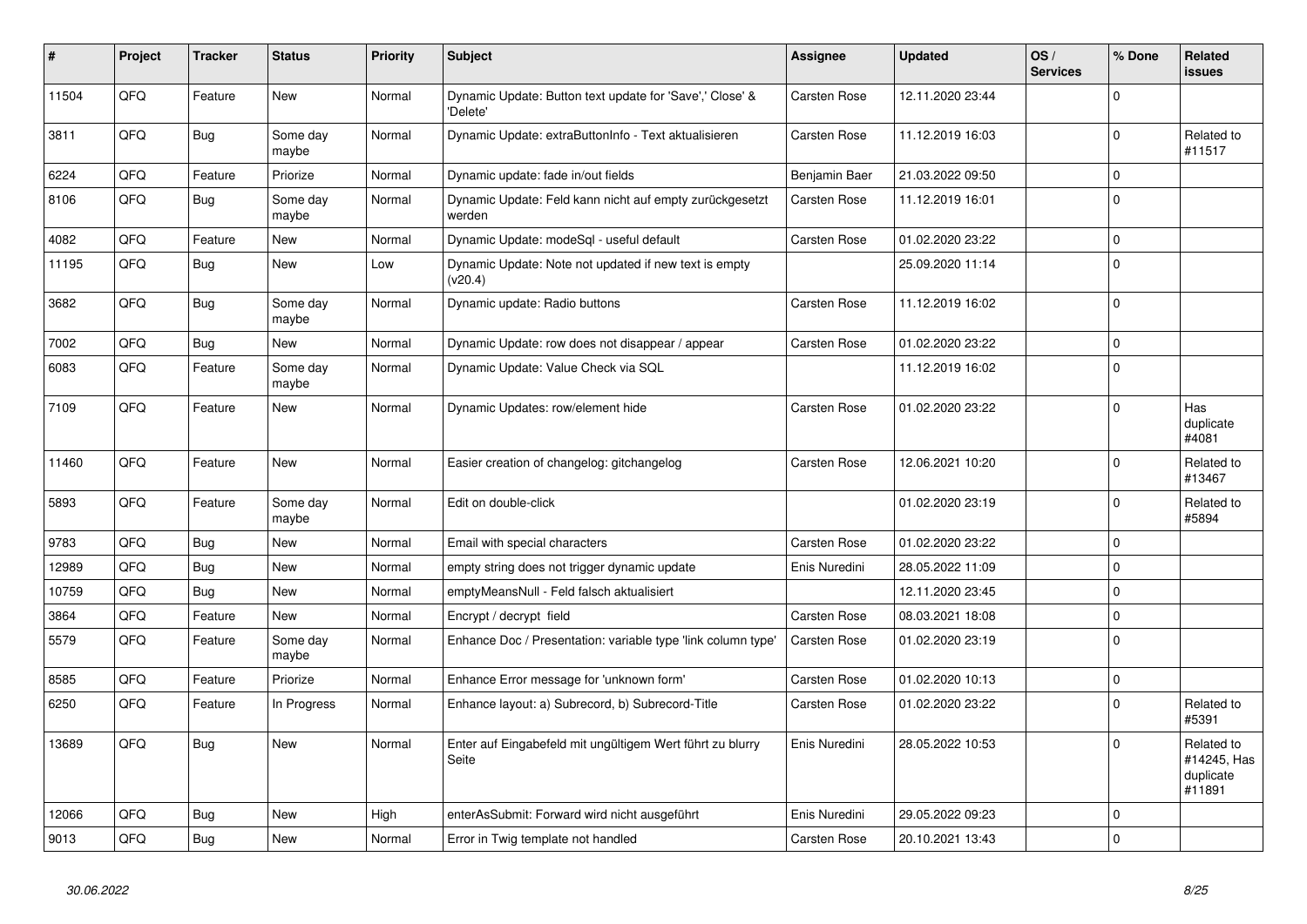| #     | Project | <b>Tracker</b> | <b>Status</b>     | <b>Priority</b> | <b>Subject</b>                                                       | Assignee      | <b>Updated</b>   | OS/<br><b>Services</b> | % Done      | Related<br><b>issues</b>                         |
|-------|---------|----------------|-------------------|-----------------|----------------------------------------------------------------------|---------------|------------------|------------------------|-------------|--------------------------------------------------|
| 11504 | QFQ     | Feature        | <b>New</b>        | Normal          | Dynamic Update: Button text update for 'Save',' Close' &<br>'Delete' | Carsten Rose  | 12.11.2020 23:44 |                        | $\Omega$    |                                                  |
| 3811  | QFQ     | <b>Bug</b>     | Some day<br>maybe | Normal          | Dynamic Update: extraButtonInfo - Text aktualisieren                 | Carsten Rose  | 11.12.2019 16:03 |                        | $\mathbf 0$ | Related to<br>#11517                             |
| 6224  | QFQ     | Feature        | Priorize          | Normal          | Dynamic update: fade in/out fields                                   | Benjamin Baer | 21.03.2022 09:50 |                        | $\mathbf 0$ |                                                  |
| 8106  | QFQ     | <b>Bug</b>     | Some day<br>maybe | Normal          | Dynamic Update: Feld kann nicht auf empty zurückgesetzt<br>werden    | Carsten Rose  | 11.12.2019 16:01 |                        | $\mathbf 0$ |                                                  |
| 4082  | QFQ     | Feature        | <b>New</b>        | Normal          | Dynamic Update: modeSgl - useful default                             | Carsten Rose  | 01.02.2020 23:22 |                        | $\mathbf 0$ |                                                  |
| 11195 | QFQ     | Bug            | <b>New</b>        | Low             | Dynamic Update: Note not updated if new text is empty<br>(v20.4)     |               | 25.09.2020 11:14 |                        | $\mathbf 0$ |                                                  |
| 3682  | QFQ     | <b>Bug</b>     | Some day<br>maybe | Normal          | Dynamic update: Radio buttons                                        | Carsten Rose  | 11.12.2019 16:02 |                        | $\Omega$    |                                                  |
| 7002  | QFQ     | <b>Bug</b>     | <b>New</b>        | Normal          | Dynamic Update: row does not disappear / appear                      | Carsten Rose  | 01.02.2020 23:22 |                        | $\Omega$    |                                                  |
| 6083  | QFQ     | Feature        | Some day<br>maybe | Normal          | Dynamic Update: Value Check via SQL                                  |               | 11.12.2019 16:02 |                        | $\Omega$    |                                                  |
| 7109  | QFQ     | Feature        | <b>New</b>        | Normal          | Dynamic Updates: row/element hide                                    | Carsten Rose  | 01.02.2020 23:22 |                        | $\mathbf 0$ | Has<br>duplicate<br>#4081                        |
| 11460 | QFQ     | Feature        | New               | Normal          | Easier creation of changelog: gitchangelog                           | Carsten Rose  | 12.06.2021 10:20 |                        | $\Omega$    | Related to<br>#13467                             |
| 5893  | QFQ     | Feature        | Some day<br>maybe | Normal          | Edit on double-click                                                 |               | 01.02.2020 23:19 |                        | $\Omega$    | Related to<br>#5894                              |
| 9783  | QFQ     | <b>Bug</b>     | <b>New</b>        | Normal          | Email with special characters                                        | Carsten Rose  | 01.02.2020 23:22 |                        | $\Omega$    |                                                  |
| 12989 | QFQ     | <b>Bug</b>     | <b>New</b>        | Normal          | empty string does not trigger dynamic update                         | Enis Nuredini | 28.05.2022 11:09 |                        | $\Omega$    |                                                  |
| 10759 | QFQ     | <b>Bug</b>     | <b>New</b>        | Normal          | emptyMeansNull - Feld falsch aktualisiert                            |               | 12.11.2020 23:45 |                        | $\mathbf 0$ |                                                  |
| 3864  | QFQ     | Feature        | <b>New</b>        | Normal          | Encrypt / decrypt field                                              | Carsten Rose  | 08.03.2021 18:08 |                        | $\Omega$    |                                                  |
| 5579  | QFQ     | Feature        | Some day<br>maybe | Normal          | Enhance Doc / Presentation: variable type 'link column type'         | Carsten Rose  | 01.02.2020 23:19 |                        | $\Omega$    |                                                  |
| 8585  | QFQ     | Feature        | Priorize          | Normal          | Enhance Error message for 'unknown form'                             | Carsten Rose  | 01.02.2020 10:13 |                        | $\mathbf 0$ |                                                  |
| 6250  | QFQ     | Feature        | In Progress       | Normal          | Enhance layout: a) Subrecord, b) Subrecord-Title                     | Carsten Rose  | 01.02.2020 23:22 |                        | $\Omega$    | Related to<br>#5391                              |
| 13689 | QFQ     | <b>Bug</b>     | New               | Normal          | Enter auf Eingabefeld mit ungültigem Wert führt zu blurry<br>Seite   | Enis Nuredini | 28.05.2022 10:53 |                        | $\Omega$    | Related to<br>#14245, Has<br>duplicate<br>#11891 |
| 12066 | QFQ     | Bug            | <b>New</b>        | High            | enterAsSubmit: Forward wird nicht ausgeführt                         | Enis Nuredini | 29.05.2022 09:23 |                        | $\Omega$    |                                                  |
| 9013  | QFQ     | <b>Bug</b>     | New               | Normal          | Error in Twig template not handled                                   | Carsten Rose  | 20.10.2021 13:43 |                        | $\Omega$    |                                                  |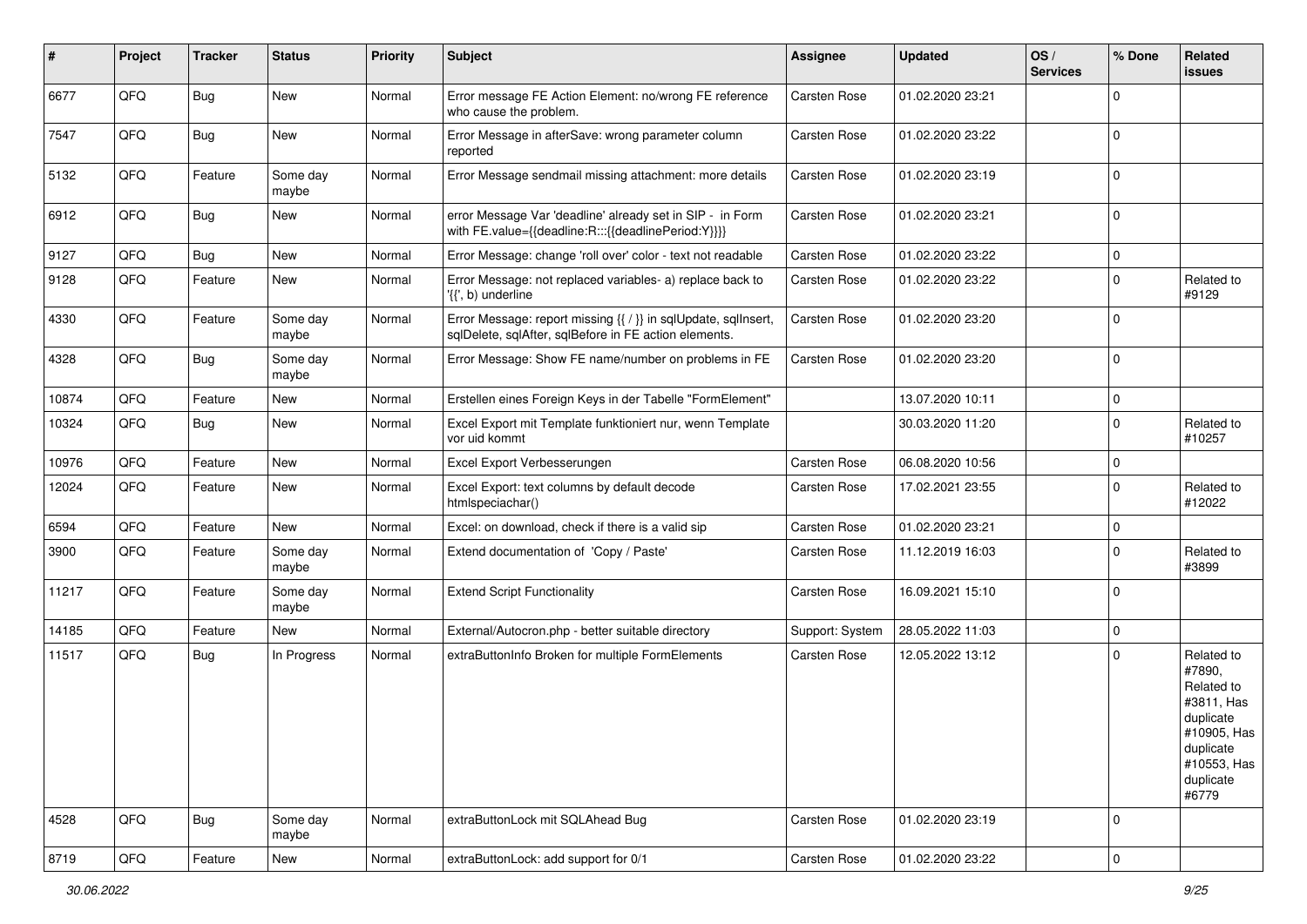| #     | Project | <b>Tracker</b> | <b>Status</b>     | <b>Priority</b> | <b>Subject</b>                                                                                                          | <b>Assignee</b> | <b>Updated</b>   | OS/<br><b>Services</b> | % Done       | Related<br>issues                                                                                                              |
|-------|---------|----------------|-------------------|-----------------|-------------------------------------------------------------------------------------------------------------------------|-----------------|------------------|------------------------|--------------|--------------------------------------------------------------------------------------------------------------------------------|
| 6677  | QFQ     | Bug            | <b>New</b>        | Normal          | Error message FE Action Element: no/wrong FE reference<br>who cause the problem.                                        | Carsten Rose    | 01.02.2020 23:21 |                        | $\Omega$     |                                                                                                                                |
| 7547  | QFQ     | <b>Bug</b>     | <b>New</b>        | Normal          | Error Message in afterSave: wrong parameter column<br>reported                                                          | Carsten Rose    | 01.02.2020 23:22 |                        | $\mathbf{0}$ |                                                                                                                                |
| 5132  | QFQ     | Feature        | Some day<br>maybe | Normal          | Error Message sendmail missing attachment: more details                                                                 | Carsten Rose    | 01.02.2020 23:19 |                        | $\mathbf 0$  |                                                                                                                                |
| 6912  | QFQ     | Bug            | New               | Normal          | error Message Var 'deadline' already set in SIP - in Form<br>with FE.value={{deadline:R:::{{deadlinePeriod:Y}}}}        | Carsten Rose    | 01.02.2020 23:21 |                        | $\mathbf{0}$ |                                                                                                                                |
| 9127  | QFQ     | Bug            | <b>New</b>        | Normal          | Error Message: change 'roll over' color - text not readable                                                             | Carsten Rose    | 01.02.2020 23:22 |                        | $\mathbf 0$  |                                                                                                                                |
| 9128  | QFQ     | Feature        | New               | Normal          | Error Message: not replaced variables- a) replace back to<br>'{{', b) underline                                         | Carsten Rose    | 01.02.2020 23:22 |                        | $\mathbf 0$  | Related to<br>#9129                                                                                                            |
| 4330  | QFQ     | Feature        | Some day<br>maybe | Normal          | Error Message: report missing {{ / }} in sqlUpdate, sqlInsert,<br>sqlDelete, sqlAfter, sqlBefore in FE action elements. | Carsten Rose    | 01.02.2020 23:20 |                        | $\mathbf 0$  |                                                                                                                                |
| 4328  | QFQ     | Bug            | Some day<br>maybe | Normal          | Error Message: Show FE name/number on problems in FE                                                                    | Carsten Rose    | 01.02.2020 23:20 |                        | $\mathbf{0}$ |                                                                                                                                |
| 10874 | QFQ     | Feature        | <b>New</b>        | Normal          | Erstellen eines Foreign Keys in der Tabelle "FormElement"                                                               |                 | 13.07.2020 10:11 |                        | $\mathbf 0$  |                                                                                                                                |
| 10324 | QFQ     | Bug            | New               | Normal          | Excel Export mit Template funktioniert nur, wenn Template<br>vor uid kommt                                              |                 | 30.03.2020 11:20 |                        | $\mathbf 0$  | Related to<br>#10257                                                                                                           |
| 10976 | QFQ     | Feature        | <b>New</b>        | Normal          | Excel Export Verbesserungen                                                                                             | Carsten Rose    | 06.08.2020 10:56 |                        | $\mathbf 0$  |                                                                                                                                |
| 12024 | QFQ     | Feature        | New               | Normal          | Excel Export: text columns by default decode<br>htmlspeciachar()                                                        | Carsten Rose    | 17.02.2021 23:55 |                        | $\Omega$     | Related to<br>#12022                                                                                                           |
| 6594  | QFQ     | Feature        | <b>New</b>        | Normal          | Excel: on download, check if there is a valid sip                                                                       | Carsten Rose    | 01.02.2020 23:21 |                        | $\mathbf 0$  |                                                                                                                                |
| 3900  | QFQ     | Feature        | Some day<br>maybe | Normal          | Extend documentation of 'Copy / Paste'                                                                                  | Carsten Rose    | 11.12.2019 16:03 |                        | $\Omega$     | Related to<br>#3899                                                                                                            |
| 11217 | QFQ     | Feature        | Some day<br>maybe | Normal          | <b>Extend Script Functionality</b>                                                                                      | Carsten Rose    | 16.09.2021 15:10 |                        | $\Omega$     |                                                                                                                                |
| 14185 | QFQ     | Feature        | New               | Normal          | External/Autocron.php - better suitable directory                                                                       | Support: System | 28.05.2022 11:03 |                        | $\mathbf 0$  |                                                                                                                                |
| 11517 | QFQ     | Bug            | In Progress       | Normal          | extraButtonInfo Broken for multiple FormElements                                                                        | Carsten Rose    | 12.05.2022 13:12 |                        | $\mathbf 0$  | Related to<br>#7890,<br>Related to<br>#3811, Has<br>duplicate<br>#10905, Has<br>duplicate<br>#10553, Has<br>duplicate<br>#6779 |
| 4528  | QFQ     | Bug            | Some day<br>maybe | Normal          | extraButtonLock mit SQLAhead Bug                                                                                        | Carsten Rose    | 01.02.2020 23:19 |                        | $\mathbf 0$  |                                                                                                                                |
| 8719  | QFQ     | Feature        | New               | Normal          | extraButtonLock: add support for 0/1                                                                                    | Carsten Rose    | 01.02.2020 23:22 |                        | 0            |                                                                                                                                |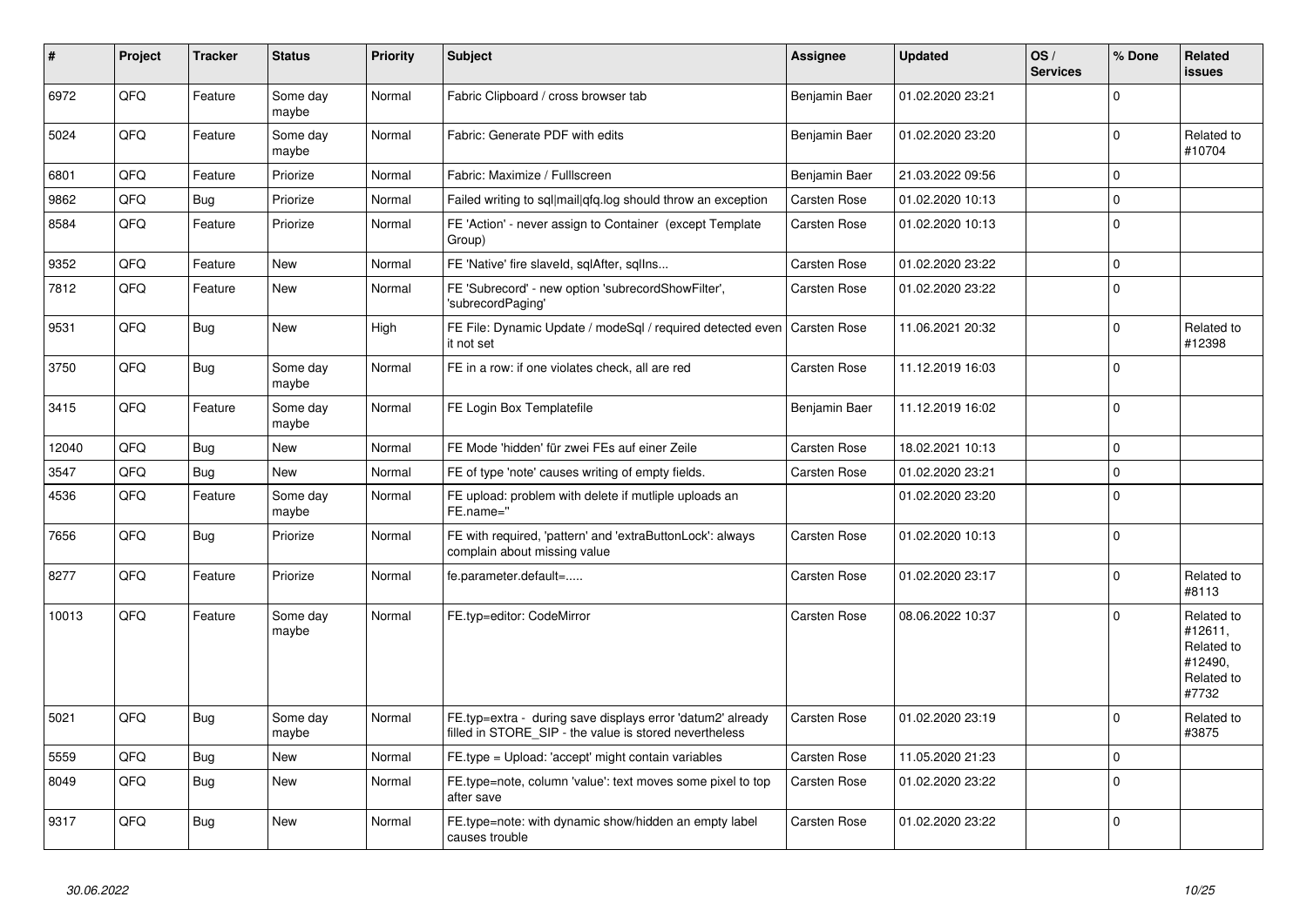| #     | Project | <b>Tracker</b> | <b>Status</b>     | <b>Priority</b> | <b>Subject</b>                                                                                                       | Assignee            | <b>Updated</b>   | OS/<br><b>Services</b> | % Done       | Related<br><b>issues</b>                                              |
|-------|---------|----------------|-------------------|-----------------|----------------------------------------------------------------------------------------------------------------------|---------------------|------------------|------------------------|--------------|-----------------------------------------------------------------------|
| 6972  | QFQ     | Feature        | Some day<br>maybe | Normal          | Fabric Clipboard / cross browser tab                                                                                 | Benjamin Baer       | 01.02.2020 23:21 |                        | $\Omega$     |                                                                       |
| 5024  | QFQ     | Feature        | Some day<br>maybe | Normal          | Fabric: Generate PDF with edits                                                                                      | Benjamin Baer       | 01.02.2020 23:20 |                        | $\Omega$     | Related to<br>#10704                                                  |
| 6801  | QFQ     | Feature        | Priorize          | Normal          | Fabric: Maximize / Fulllscreen                                                                                       | Benjamin Baer       | 21.03.2022 09:56 |                        | $\mathbf{0}$ |                                                                       |
| 9862  | QFQ     | <b>Bug</b>     | Priorize          | Normal          | Failed writing to sql mail qfq.log should throw an exception                                                         | Carsten Rose        | 01.02.2020 10:13 |                        | $\Omega$     |                                                                       |
| 8584  | QFQ     | Feature        | Priorize          | Normal          | FE 'Action' - never assign to Container (except Template<br>Group)                                                   | Carsten Rose        | 01.02.2020 10:13 |                        | 0            |                                                                       |
| 9352  | QFQ     | Feature        | <b>New</b>        | Normal          | FE 'Native' fire slaveld, sqlAfter, sqllns                                                                           | Carsten Rose        | 01.02.2020 23:22 |                        | $\mathbf 0$  |                                                                       |
| 7812  | QFQ     | Feature        | <b>New</b>        | Normal          | FE 'Subrecord' - new option 'subrecordShowFilter',<br>'subrecordPaging'                                              | Carsten Rose        | 01.02.2020 23:22 |                        | $\mathbf 0$  |                                                                       |
| 9531  | QFQ     | <b>Bug</b>     | New               | High            | FE File: Dynamic Update / modeSgl / required detected even<br>it not set                                             | <b>Carsten Rose</b> | 11.06.2021 20:32 |                        | $\mathbf 0$  | Related to<br>#12398                                                  |
| 3750  | QFQ     | <b>Bug</b>     | Some day<br>maybe | Normal          | FE in a row: if one violates check, all are red                                                                      | Carsten Rose        | 11.12.2019 16:03 |                        | $\Omega$     |                                                                       |
| 3415  | QFQ     | Feature        | Some day<br>maybe | Normal          | FE Login Box Templatefile                                                                                            | Benjamin Baer       | 11.12.2019 16:02 |                        | $\Omega$     |                                                                       |
| 12040 | QFQ     | <b>Bug</b>     | <b>New</b>        | Normal          | FE Mode 'hidden' für zwei FEs auf einer Zeile                                                                        | Carsten Rose        | 18.02.2021 10:13 |                        | $\Omega$     |                                                                       |
| 3547  | QFQ     | Bug            | <b>New</b>        | Normal          | FE of type 'note' causes writing of empty fields.                                                                    | Carsten Rose        | 01.02.2020 23:21 |                        | $\mathbf 0$  |                                                                       |
| 4536  | QFQ     | Feature        | Some day<br>maybe | Normal          | FE upload: problem with delete if mutliple uploads an<br>FE.name="                                                   |                     | 01.02.2020 23:20 |                        | $\Omega$     |                                                                       |
| 7656  | QFQ     | Bug            | Priorize          | Normal          | FE with required, 'pattern' and 'extraButtonLock': always<br>complain about missing value                            | Carsten Rose        | 01.02.2020 10:13 |                        | $\mathbf 0$  |                                                                       |
| 8277  | QFQ     | Feature        | Priorize          | Normal          | fe.parameter.default=                                                                                                | Carsten Rose        | 01.02.2020 23:17 |                        | $\Omega$     | Related to<br>#8113                                                   |
| 10013 | QFQ     | Feature        | Some day<br>maybe | Normal          | FE.typ=editor: CodeMirror                                                                                            | Carsten Rose        | 08.06.2022 10:37 |                        | $\Omega$     | Related to<br>#12611.<br>Related to<br>#12490,<br>Related to<br>#7732 |
| 5021  | QFQ     | <b>Bug</b>     | Some day<br>maybe | Normal          | FE.typ=extra - during save displays error 'datum2' already<br>filled in STORE SIP - the value is stored nevertheless | Carsten Rose        | 01.02.2020 23:19 |                        | $\Omega$     | Related to<br>#3875                                                   |
| 5559  | QFQ     | <b>Bug</b>     | New               | Normal          | FE.type = Upload: 'accept' might contain variables                                                                   | Carsten Rose        | 11.05.2020 21:23 |                        | $\mathbf 0$  |                                                                       |
| 8049  | QFQ     | <b>Bug</b>     | <b>New</b>        | Normal          | FE.type=note, column 'value': text moves some pixel to top<br>after save                                             | Carsten Rose        | 01.02.2020 23:22 |                        | $\Omega$     |                                                                       |
| 9317  | QFQ     | Bug            | <b>New</b>        | Normal          | FE.type=note: with dynamic show/hidden an empty label<br>causes trouble                                              | Carsten Rose        | 01.02.2020 23:22 |                        | $\mathbf{0}$ |                                                                       |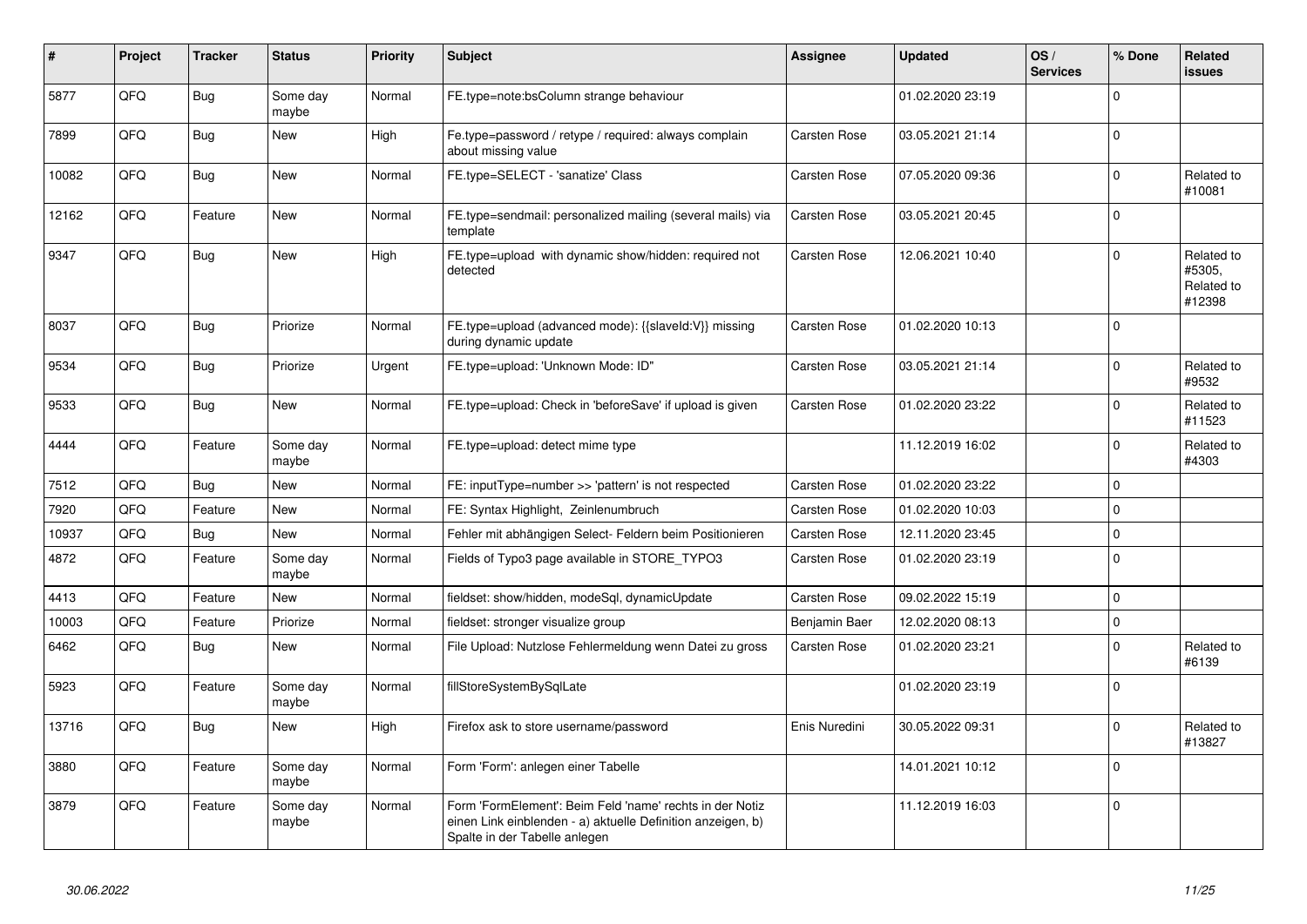| #     | Project | <b>Tracker</b> | <b>Status</b>     | <b>Priority</b> | <b>Subject</b>                                                                                                                                           | <b>Assignee</b>     | <b>Updated</b>   | OS/<br><b>Services</b> | % Done              | <b>Related</b><br><b>issues</b>              |
|-------|---------|----------------|-------------------|-----------------|----------------------------------------------------------------------------------------------------------------------------------------------------------|---------------------|------------------|------------------------|---------------------|----------------------------------------------|
| 5877  | QFQ     | Bug            | Some day<br>maybe | Normal          | FE.type=note:bsColumn strange behaviour                                                                                                                  |                     | 01.02.2020 23:19 |                        | $\Omega$            |                                              |
| 7899  | QFQ     | Bug            | <b>New</b>        | High            | Fe.type=password / retype / required: always complain<br>about missing value                                                                             | Carsten Rose        | 03.05.2021 21:14 |                        | $\mathbf 0$         |                                              |
| 10082 | QFQ     | Bug            | New               | Normal          | FE.type=SELECT - 'sanatize' Class                                                                                                                        | Carsten Rose        | 07.05.2020 09:36 |                        | $\mathbf 0$         | Related to<br>#10081                         |
| 12162 | QFQ     | Feature        | New               | Normal          | FE.type=sendmail: personalized mailing (several mails) via<br>template                                                                                   | Carsten Rose        | 03.05.2021 20:45 |                        | $\mathbf 0$         |                                              |
| 9347  | QFQ     | Bug            | <b>New</b>        | High            | FE.type=upload with dynamic show/hidden: required not<br>detected                                                                                        | Carsten Rose        | 12.06.2021 10:40 |                        | $\Omega$            | Related to<br>#5305,<br>Related to<br>#12398 |
| 8037  | QFQ     | Bug            | Priorize          | Normal          | FE.type=upload (advanced mode): {{slaveld:V}} missing<br>during dynamic update                                                                           | Carsten Rose        | 01.02.2020 10:13 |                        | $\mathbf 0$         |                                              |
| 9534  | QFQ     | Bug            | Priorize          | Urgent          | FE.type=upload: 'Unknown Mode: ID"                                                                                                                       | Carsten Rose        | 03.05.2021 21:14 |                        | $\mathbf 0$         | Related to<br>#9532                          |
| 9533  | QFQ     | Bug            | <b>New</b>        | Normal          | FE.type=upload: Check in 'beforeSave' if upload is given                                                                                                 | Carsten Rose        | 01.02.2020 23:22 |                        | $\Omega$            | Related to<br>#11523                         |
| 4444  | QFQ     | Feature        | Some day<br>maybe | Normal          | FE.type=upload: detect mime type                                                                                                                         |                     | 11.12.2019 16:02 |                        | $\Omega$            | Related to<br>#4303                          |
| 7512  | QFQ     | Bug            | <b>New</b>        | Normal          | FE: inputType=number >> 'pattern' is not respected                                                                                                       | Carsten Rose        | 01.02.2020 23:22 |                        | $\mathbf 0$         |                                              |
| 7920  | QFQ     | Feature        | <b>New</b>        | Normal          | FE: Syntax Highlight, Zeinlenumbruch                                                                                                                     | Carsten Rose        | 01.02.2020 10:03 |                        | $\mathbf 0$         |                                              |
| 10937 | QFQ     | Bug            | <b>New</b>        | Normal          | Fehler mit abhängigen Select- Feldern beim Positionieren                                                                                                 | <b>Carsten Rose</b> | 12.11.2020 23:45 |                        | $\mathsf 0$         |                                              |
| 4872  | QFQ     | Feature        | Some day<br>maybe | Normal          | Fields of Typo3 page available in STORE_TYPO3                                                                                                            | Carsten Rose        | 01.02.2020 23:19 |                        | $\mathbf 0$         |                                              |
| 4413  | QFQ     | Feature        | <b>New</b>        | Normal          | fieldset: show/hidden, modeSql, dynamicUpdate                                                                                                            | Carsten Rose        | 09.02.2022 15:19 |                        | $\mathbf 0$         |                                              |
| 10003 | QFQ     | Feature        | Priorize          | Normal          | fieldset: stronger visualize group                                                                                                                       | Benjamin Baer       | 12.02.2020 08:13 |                        | $\mathsf{O}\xspace$ |                                              |
| 6462  | QFQ     | <b>Bug</b>     | <b>New</b>        | Normal          | File Upload: Nutzlose Fehlermeldung wenn Datei zu gross                                                                                                  | Carsten Rose        | 01.02.2020 23:21 |                        | $\Omega$            | Related to<br>#6139                          |
| 5923  | QFQ     | Feature        | Some day<br>maybe | Normal          | fillStoreSystemBySqlLate                                                                                                                                 |                     | 01.02.2020 23:19 |                        | $\mathbf 0$         |                                              |
| 13716 | QFQ     | Bug            | <b>New</b>        | High            | Firefox ask to store username/password                                                                                                                   | Enis Nuredini       | 30.05.2022 09:31 |                        | $\mathbf 0$         | Related to<br>#13827                         |
| 3880  | QFQ     | Feature        | Some day<br>maybe | Normal          | Form 'Form': anlegen einer Tabelle                                                                                                                       |                     | 14.01.2021 10:12 |                        | $\Omega$            |                                              |
| 3879  | QFQ     | Feature        | Some day<br>maybe | Normal          | Form 'FormElement': Beim Feld 'name' rechts in der Notiz<br>einen Link einblenden - a) aktuelle Definition anzeigen, b)<br>Spalte in der Tabelle anlegen |                     | 11.12.2019 16:03 |                        | $\mathbf 0$         |                                              |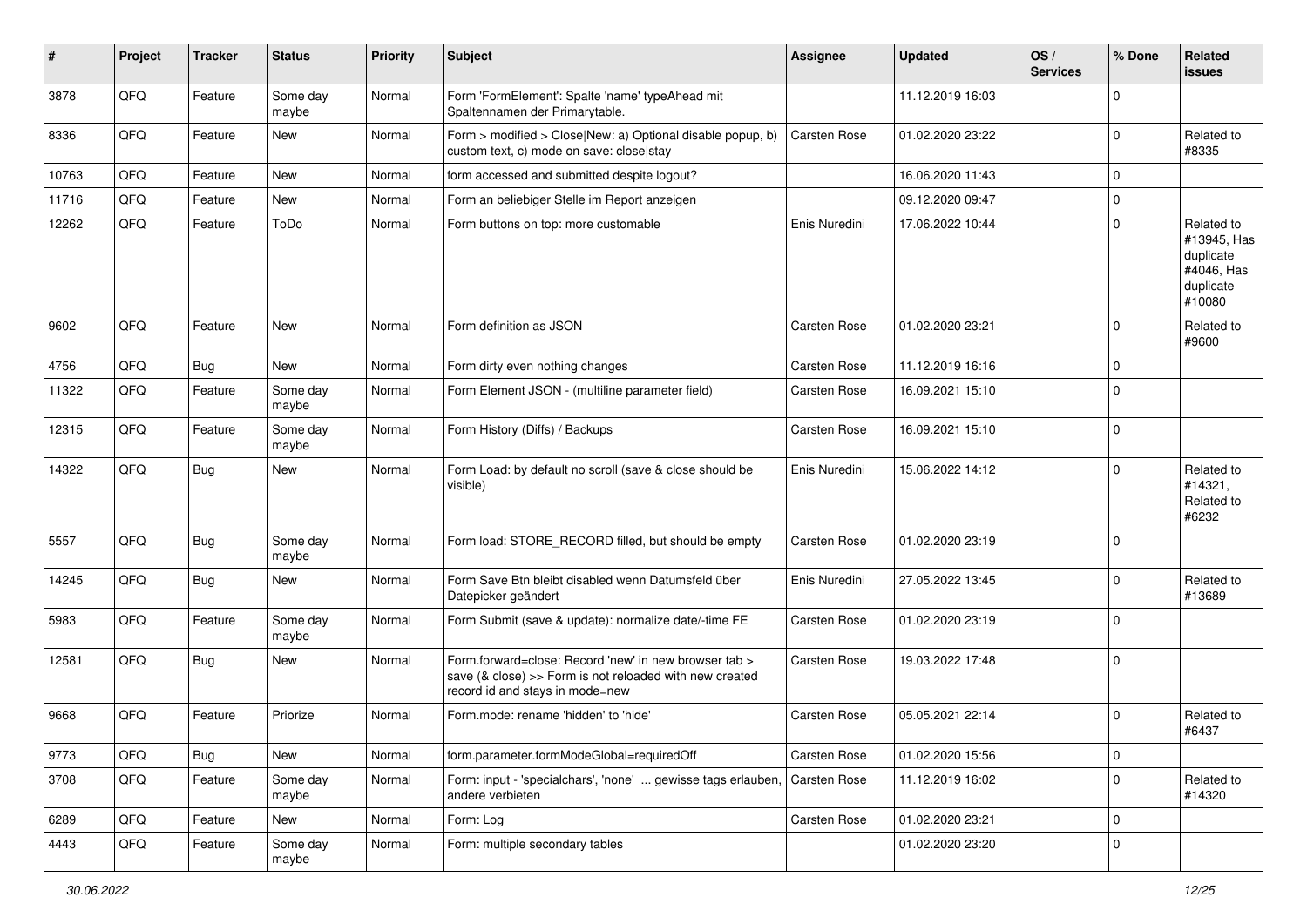| #     | Project | <b>Tracker</b> | <b>Status</b>     | <b>Priority</b> | Subject                                                                                                                                             | <b>Assignee</b>     | <b>Updated</b>   | OS/<br><b>Services</b> | % Done      | Related<br><b>issues</b>                                                    |
|-------|---------|----------------|-------------------|-----------------|-----------------------------------------------------------------------------------------------------------------------------------------------------|---------------------|------------------|------------------------|-------------|-----------------------------------------------------------------------------|
| 3878  | QFQ     | Feature        | Some day<br>maybe | Normal          | Form 'FormElement': Spalte 'name' typeAhead mit<br>Spaltennamen der Primarytable.                                                                   |                     | 11.12.2019 16:03 |                        | $\mathbf 0$ |                                                                             |
| 8336  | QFQ     | Feature        | New               | Normal          | Form > modified > Close New: a) Optional disable popup, b)<br>custom text, c) mode on save: close stay                                              | Carsten Rose        | 01.02.2020 23:22 |                        | $\mathbf 0$ | Related to<br>#8335                                                         |
| 10763 | QFQ     | Feature        | New               | Normal          | form accessed and submitted despite logout?                                                                                                         |                     | 16.06.2020 11:43 |                        | $\mathbf 0$ |                                                                             |
| 11716 | QFQ     | Feature        | <b>New</b>        | Normal          | Form an beliebiger Stelle im Report anzeigen                                                                                                        |                     | 09.12.2020 09:47 |                        | 0           |                                                                             |
| 12262 | QFQ     | Feature        | ToDo              | Normal          | Form buttons on top: more customable                                                                                                                | Enis Nuredini       | 17.06.2022 10:44 |                        | $\mathbf 0$ | Related to<br>#13945, Has<br>duplicate<br>#4046. Has<br>duplicate<br>#10080 |
| 9602  | QFQ     | Feature        | New               | Normal          | Form definition as JSON                                                                                                                             | Carsten Rose        | 01.02.2020 23:21 |                        | 0           | Related to<br>#9600                                                         |
| 4756  | QFQ     | <b>Bug</b>     | New               | Normal          | Form dirty even nothing changes                                                                                                                     | Carsten Rose        | 11.12.2019 16:16 |                        | $\mathbf 0$ |                                                                             |
| 11322 | QFQ     | Feature        | Some day<br>maybe | Normal          | Form Element JSON - (multiline parameter field)                                                                                                     | <b>Carsten Rose</b> | 16.09.2021 15:10 |                        | $\mathbf 0$ |                                                                             |
| 12315 | QFQ     | Feature        | Some day<br>maybe | Normal          | Form History (Diffs) / Backups                                                                                                                      | Carsten Rose        | 16.09.2021 15:10 |                        | 0           |                                                                             |
| 14322 | QFQ     | Bug            | New               | Normal          | Form Load: by default no scroll (save & close should be<br>visible)                                                                                 | Enis Nuredini       | 15.06.2022 14:12 |                        | $\mathbf 0$ | Related to<br>#14321,<br>Related to<br>#6232                                |
| 5557  | QFQ     | Bug            | Some day<br>maybe | Normal          | Form load: STORE_RECORD filled, but should be empty                                                                                                 | Carsten Rose        | 01.02.2020 23:19 |                        | $\mathbf 0$ |                                                                             |
| 14245 | QFQ     | Bug            | <b>New</b>        | Normal          | Form Save Btn bleibt disabled wenn Datumsfeld über<br>Datepicker geändert                                                                           | Enis Nuredini       | 27.05.2022 13:45 |                        | $\mathbf 0$ | Related to<br>#13689                                                        |
| 5983  | QFQ     | Feature        | Some day<br>maybe | Normal          | Form Submit (save & update): normalize date/-time FE                                                                                                | Carsten Rose        | 01.02.2020 23:19 |                        | $\mathbf 0$ |                                                                             |
| 12581 | QFQ     | <b>Bug</b>     | New               | Normal          | Form.forward=close: Record 'new' in new browser tab ><br>save (& close) >> Form is not reloaded with new created<br>record id and stays in mode=new | Carsten Rose        | 19.03.2022 17:48 |                        | $\mathbf 0$ |                                                                             |
| 9668  | QFQ     | Feature        | Priorize          | Normal          | Form.mode: rename 'hidden' to 'hide'                                                                                                                | Carsten Rose        | 05.05.2021 22:14 |                        | $\mathbf 0$ | Related to<br>#6437                                                         |
| 9773  | QFQ     | <b>Bug</b>     | New               | Normal          | form.parameter.formModeGlobal=requiredOff                                                                                                           | Carsten Rose        | 01.02.2020 15:56 |                        | $\mathbf 0$ |                                                                             |
| 3708  | QFQ     | Feature        | Some day<br>maybe | Normal          | Form: input - 'specialchars', 'none'  gewisse tags erlauben,<br>andere verbieten                                                                    | Carsten Rose        | 11.12.2019 16:02 |                        | 0           | Related to<br>#14320                                                        |
| 6289  | QFQ     | Feature        | New               | Normal          | Form: Log                                                                                                                                           | Carsten Rose        | 01.02.2020 23:21 |                        | $\mathbf 0$ |                                                                             |
| 4443  | QFQ     | Feature        | Some day<br>maybe | Normal          | Form: multiple secondary tables                                                                                                                     |                     | 01.02.2020 23:20 |                        | $\mathbf 0$ |                                                                             |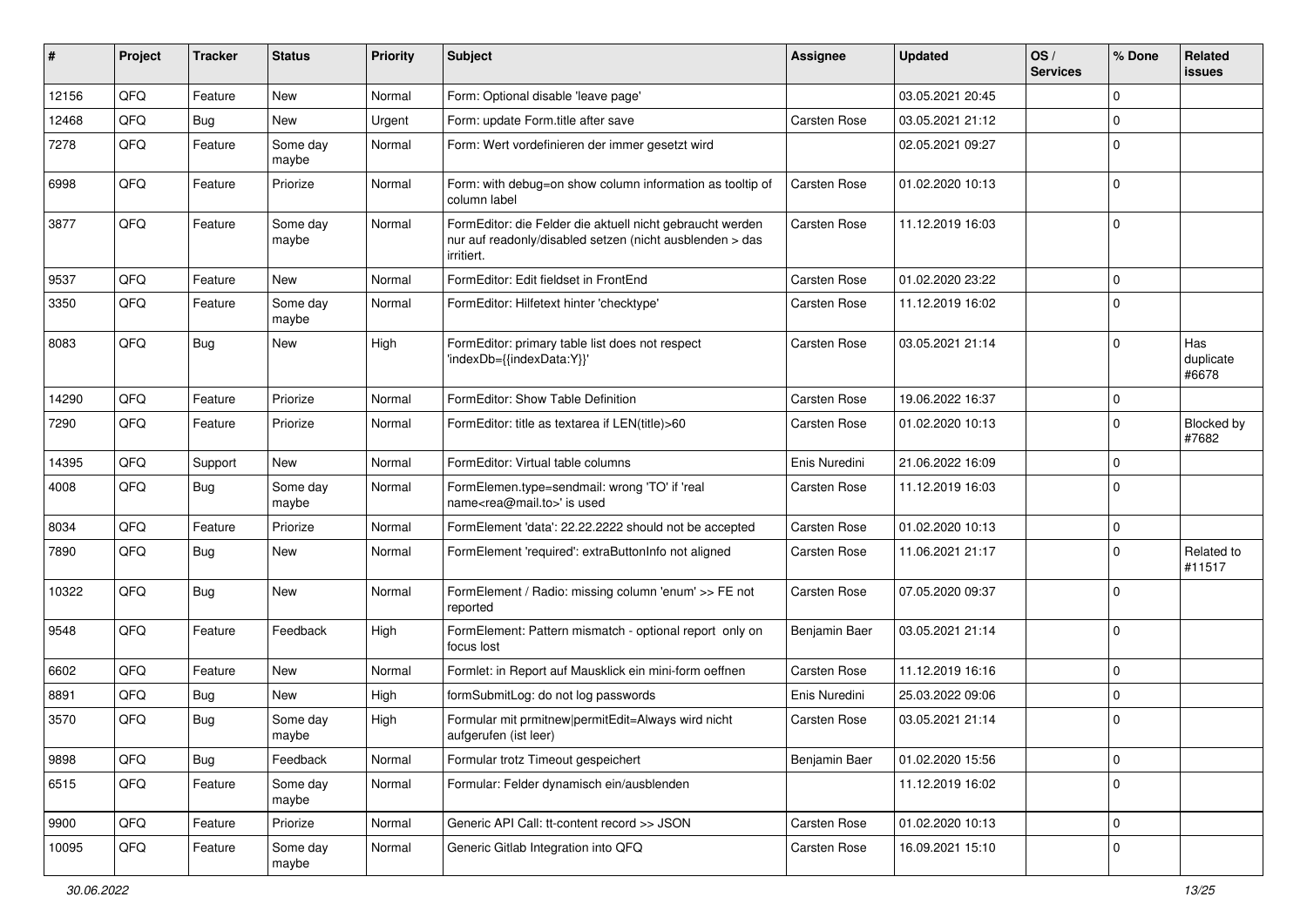| #     | Project | <b>Tracker</b> | <b>Status</b>     | <b>Priority</b> | <b>Subject</b>                                                                                                                      | <b>Assignee</b> | <b>Updated</b>   | OS/<br><b>Services</b> | % Done       | Related<br><b>issues</b>  |
|-------|---------|----------------|-------------------|-----------------|-------------------------------------------------------------------------------------------------------------------------------------|-----------------|------------------|------------------------|--------------|---------------------------|
| 12156 | QFQ     | Feature        | <b>New</b>        | Normal          | Form: Optional disable 'leave page'                                                                                                 |                 | 03.05.2021 20:45 |                        | $\Omega$     |                           |
| 12468 | QFQ     | Bug            | <b>New</b>        | Urgent          | Form: update Form.title after save                                                                                                  | Carsten Rose    | 03.05.2021 21:12 |                        | $\Omega$     |                           |
| 7278  | QFQ     | Feature        | Some day<br>maybe | Normal          | Form: Wert vordefinieren der immer gesetzt wird                                                                                     |                 | 02.05.2021 09:27 |                        | $\Omega$     |                           |
| 6998  | QFQ     | Feature        | Priorize          | Normal          | Form: with debug=on show column information as tooltip of<br>column label                                                           | Carsten Rose    | 01.02.2020 10:13 |                        | $\Omega$     |                           |
| 3877  | QFQ     | Feature        | Some day<br>maybe | Normal          | FormEditor: die Felder die aktuell nicht gebraucht werden<br>nur auf readonly/disabled setzen (nicht ausblenden > das<br>irritiert. | Carsten Rose    | 11.12.2019 16:03 |                        | $\Omega$     |                           |
| 9537  | QFQ     | Feature        | New               | Normal          | FormEditor: Edit fieldset in FrontEnd                                                                                               | Carsten Rose    | 01.02.2020 23:22 |                        | $\mathbf{0}$ |                           |
| 3350  | QFQ     | Feature        | Some day<br>maybe | Normal          | FormEditor: Hilfetext hinter 'checktype'                                                                                            | Carsten Rose    | 11.12.2019 16:02 |                        | $\Omega$     |                           |
| 8083  | QFQ     | Bug            | <b>New</b>        | High            | FormEditor: primary table list does not respect<br>'indexDb={{indexData:Y}}'                                                        | Carsten Rose    | 03.05.2021 21:14 |                        | $\Omega$     | Has<br>duplicate<br>#6678 |
| 14290 | QFQ     | Feature        | Priorize          | Normal          | FormEditor: Show Table Definition                                                                                                   | Carsten Rose    | 19.06.2022 16:37 |                        | 0            |                           |
| 7290  | QFQ     | Feature        | Priorize          | Normal          | FormEditor: title as textarea if LEN(title)>60                                                                                      | Carsten Rose    | 01.02.2020 10:13 |                        | $\Omega$     | Blocked by<br>#7682       |
| 14395 | QFQ     | Support        | New               | Normal          | FormEditor: Virtual table columns                                                                                                   | Enis Nuredini   | 21.06.2022 16:09 |                        | $\Omega$     |                           |
| 4008  | QFQ     | Bug            | Some day<br>maybe | Normal          | FormElemen.type=sendmail: wrong 'TO' if 'real<br>name <rea@mail.to>' is used</rea@mail.to>                                          | Carsten Rose    | 11.12.2019 16:03 |                        | $\Omega$     |                           |
| 8034  | QFQ     | Feature        | Priorize          | Normal          | FormElement 'data': 22.22.2222 should not be accepted                                                                               | Carsten Rose    | 01.02.2020 10:13 |                        | $\mathbf 0$  |                           |
| 7890  | QFQ     | Bug            | <b>New</b>        | Normal          | FormElement 'required': extraButtonInfo not aligned                                                                                 | Carsten Rose    | 11.06.2021 21:17 |                        | $\Omega$     | Related to<br>#11517      |
| 10322 | QFQ     | Bug            | <b>New</b>        | Normal          | FormElement / Radio: missing column 'enum' >> FE not<br>reported                                                                    | Carsten Rose    | 07.05.2020 09:37 |                        | $\Omega$     |                           |
| 9548  | QFQ     | Feature        | Feedback          | High            | FormElement: Pattern mismatch - optional report only on<br>focus lost                                                               | Benjamin Baer   | 03.05.2021 21:14 |                        | $\Omega$     |                           |
| 6602  | QFQ     | Feature        | <b>New</b>        | Normal          | Formlet: in Report auf Mausklick ein mini-form oeffnen                                                                              | Carsten Rose    | 11.12.2019 16:16 |                        | $\mathbf 0$  |                           |
| 8891  | QFQ     | Bug            | New               | High            | formSubmitLog: do not log passwords                                                                                                 | Enis Nuredini   | 25.03.2022 09:06 |                        | $\Omega$     |                           |
| 3570  | QFQ     | Bug            | Some day<br>maybe | High            | Formular mit prmitnew permitEdit=Always wird nicht<br>aufgerufen (ist leer)                                                         | Carsten Rose    | 03.05.2021 21:14 |                        | $\Omega$     |                           |
| 9898  | QFQ     | <b>Bug</b>     | Feedback          | Normal          | Formular trotz Timeout gespeichert                                                                                                  | Benjamin Baer   | 01.02.2020 15:56 |                        | $\mathbf 0$  |                           |
| 6515  | QFQ     | Feature        | Some day<br>maybe | Normal          | Formular: Felder dynamisch ein/ausblenden                                                                                           |                 | 11.12.2019 16:02 |                        | $\Omega$     |                           |
| 9900  | QFQ     | Feature        | Priorize          | Normal          | Generic API Call: tt-content record >> JSON                                                                                         | Carsten Rose    | 01.02.2020 10:13 |                        | 0            |                           |
| 10095 | QFQ     | Feature        | Some day<br>maybe | Normal          | Generic Gitlab Integration into QFQ                                                                                                 | Carsten Rose    | 16.09.2021 15:10 |                        | $\mathbf 0$  |                           |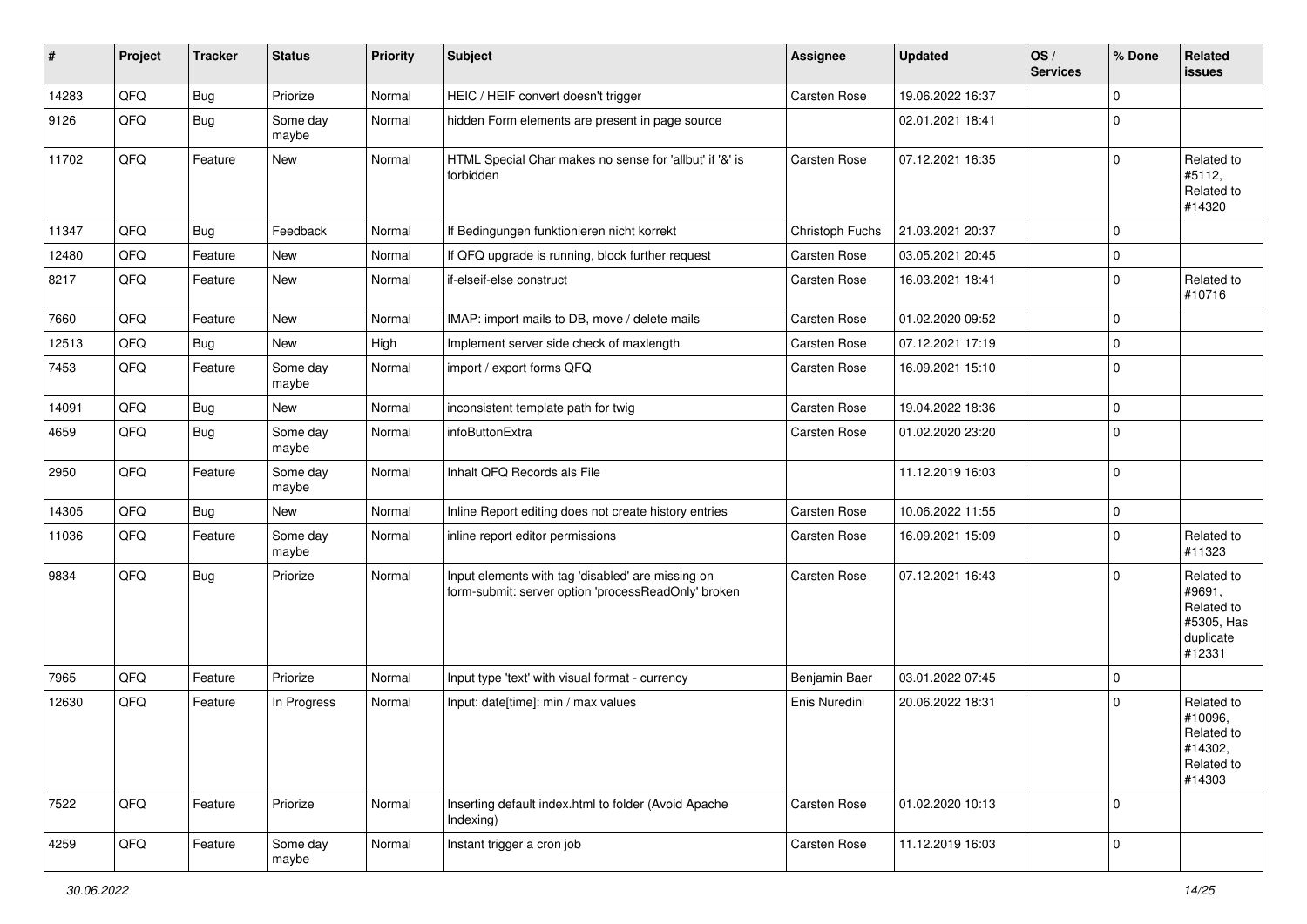| #     | Project | <b>Tracker</b> | <b>Status</b>     | <b>Priority</b> | <b>Subject</b>                                                                                           | <b>Assignee</b> | <b>Updated</b>   | OS/<br><b>Services</b> | % Done      | Related<br>issues                                                       |
|-------|---------|----------------|-------------------|-----------------|----------------------------------------------------------------------------------------------------------|-----------------|------------------|------------------------|-------------|-------------------------------------------------------------------------|
| 14283 | QFQ     | Bug            | Priorize          | Normal          | HEIC / HEIF convert doesn't trigger                                                                      | Carsten Rose    | 19.06.2022 16:37 |                        | $\mathbf 0$ |                                                                         |
| 9126  | QFQ     | Bug            | Some day<br>maybe | Normal          | hidden Form elements are present in page source                                                          |                 | 02.01.2021 18:41 |                        | $\mathbf 0$ |                                                                         |
| 11702 | QFQ     | Feature        | New               | Normal          | HTML Special Char makes no sense for 'allbut' if '&' is<br>forbidden                                     | Carsten Rose    | 07.12.2021 16:35 |                        | $\mathbf 0$ | Related to<br>#5112,<br>Related to<br>#14320                            |
| 11347 | QFQ     | <b>Bug</b>     | Feedback          | Normal          | If Bedingungen funktionieren nicht korrekt                                                               | Christoph Fuchs | 21.03.2021 20:37 |                        | $\mathbf 0$ |                                                                         |
| 12480 | QFQ     | Feature        | <b>New</b>        | Normal          | If QFQ upgrade is running, block further request                                                         | Carsten Rose    | 03.05.2021 20:45 |                        | $\mathbf 0$ |                                                                         |
| 8217  | QFQ     | Feature        | <b>New</b>        | Normal          | if-elseif-else construct                                                                                 | Carsten Rose    | 16.03.2021 18:41 |                        | $\mathbf 0$ | Related to<br>#10716                                                    |
| 7660  | QFQ     | Feature        | New               | Normal          | IMAP: import mails to DB, move / delete mails                                                            | Carsten Rose    | 01.02.2020 09:52 |                        | $\mathbf 0$ |                                                                         |
| 12513 | QFQ     | <b>Bug</b>     | New               | High            | Implement server side check of maxlength                                                                 | Carsten Rose    | 07.12.2021 17:19 |                        | $\mathbf 0$ |                                                                         |
| 7453  | QFQ     | Feature        | Some day<br>maybe | Normal          | import / export forms QFQ                                                                                | Carsten Rose    | 16.09.2021 15:10 |                        | $\mathbf 0$ |                                                                         |
| 14091 | QFQ     | <b>Bug</b>     | New               | Normal          | inconsistent template path for twig                                                                      | Carsten Rose    | 19.04.2022 18:36 |                        | $\mathbf 0$ |                                                                         |
| 4659  | QFQ     | Bug            | Some day<br>maybe | Normal          | infoButtonExtra                                                                                          | Carsten Rose    | 01.02.2020 23:20 |                        | $\mathbf 0$ |                                                                         |
| 2950  | QFQ     | Feature        | Some day<br>maybe | Normal          | Inhalt QFQ Records als File                                                                              |                 | 11.12.2019 16:03 |                        | $\mathbf 0$ |                                                                         |
| 14305 | QFQ     | Bug            | <b>New</b>        | Normal          | Inline Report editing does not create history entries                                                    | Carsten Rose    | 10.06.2022 11:55 |                        | $\mathbf 0$ |                                                                         |
| 11036 | QFQ     | Feature        | Some day<br>maybe | Normal          | inline report editor permissions                                                                         | Carsten Rose    | 16.09.2021 15:09 |                        | $\mathbf 0$ | Related to<br>#11323                                                    |
| 9834  | QFQ     | <b>Bug</b>     | Priorize          | Normal          | Input elements with tag 'disabled' are missing on<br>form-submit: server option 'processReadOnly' broken | Carsten Rose    | 07.12.2021 16:43 |                        | $\mathbf 0$ | Related to<br>#9691,<br>Related to<br>#5305, Has<br>duplicate<br>#12331 |
| 7965  | QFQ     | Feature        | Priorize          | Normal          | Input type 'text' with visual format - currency                                                          | Benjamin Baer   | 03.01.2022 07:45 |                        | $\mathbf 0$ |                                                                         |
| 12630 | QFQ     | Feature        | In Progress       | Normal          | Input: date[time]: min / max values                                                                      | Enis Nuredini   | 20.06.2022 18:31 |                        | $\mathbf 0$ | Related to<br>#10096,<br>Related to<br>#14302,<br>Related to<br>#14303  |
| 7522  | QFQ     | Feature        | Priorize          | Normal          | Inserting default index.html to folder (Avoid Apache<br>Indexing)                                        | Carsten Rose    | 01.02.2020 10:13 |                        | $\mathbf 0$ |                                                                         |
| 4259  | QFQ     | Feature        | Some day<br>maybe | Normal          | Instant trigger a cron job                                                                               | Carsten Rose    | 11.12.2019 16:03 |                        | $\mathbf 0$ |                                                                         |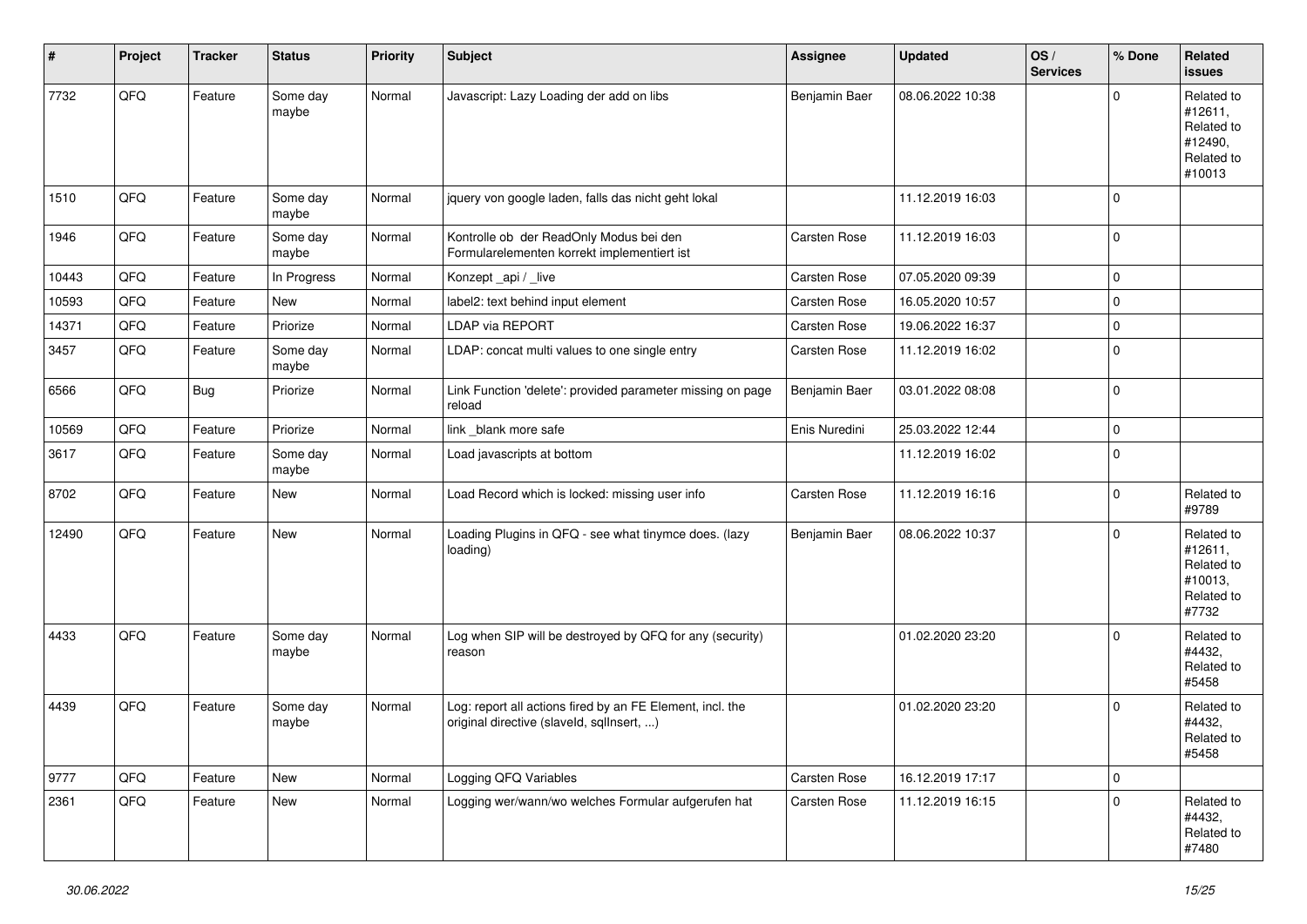| #     | Project | <b>Tracker</b> | <b>Status</b>     | <b>Priority</b> | <b>Subject</b>                                                                                         | <b>Assignee</b> | <b>Updated</b>   | OS/<br><b>Services</b> | % Done              | Related<br><b>issues</b>                                               |
|-------|---------|----------------|-------------------|-----------------|--------------------------------------------------------------------------------------------------------|-----------------|------------------|------------------------|---------------------|------------------------------------------------------------------------|
| 7732  | QFQ     | Feature        | Some day<br>maybe | Normal          | Javascript: Lazy Loading der add on libs                                                               | Benjamin Baer   | 08.06.2022 10:38 |                        | $\mathbf 0$         | Related to<br>#12611,<br>Related to<br>#12490,<br>Related to<br>#10013 |
| 1510  | QFQ     | Feature        | Some day<br>maybe | Normal          | jquery von google laden, falls das nicht geht lokal                                                    |                 | 11.12.2019 16:03 |                        | $\mathbf 0$         |                                                                        |
| 1946  | QFQ     | Feature        | Some day<br>maybe | Normal          | Kontrolle ob der ReadOnly Modus bei den<br>Formularelementen korrekt implementiert ist                 | Carsten Rose    | 11.12.2019 16:03 |                        | $\mathbf 0$         |                                                                        |
| 10443 | QFQ     | Feature        | In Progress       | Normal          | Konzept_api / _live                                                                                    | Carsten Rose    | 07.05.2020 09:39 |                        | $\mathbf 0$         |                                                                        |
| 10593 | QFQ     | Feature        | <b>New</b>        | Normal          | label2: text behind input element                                                                      | Carsten Rose    | 16.05.2020 10:57 |                        | $\mathbf 0$         |                                                                        |
| 14371 | QFQ     | Feature        | Priorize          | Normal          | LDAP via REPORT                                                                                        | Carsten Rose    | 19.06.2022 16:37 |                        | $\mathbf 0$         |                                                                        |
| 3457  | QFQ     | Feature        | Some day<br>maybe | Normal          | LDAP: concat multi values to one single entry                                                          | Carsten Rose    | 11.12.2019 16:02 |                        | $\mathbf 0$         |                                                                        |
| 6566  | QFQ     | <b>Bug</b>     | Priorize          | Normal          | Link Function 'delete': provided parameter missing on page<br>reload                                   | Benjamin Baer   | 03.01.2022 08:08 |                        | $\mathbf 0$         |                                                                        |
| 10569 | QFQ     | Feature        | Priorize          | Normal          | link blank more safe                                                                                   | Enis Nuredini   | 25.03.2022 12:44 |                        | $\pmb{0}$           |                                                                        |
| 3617  | QFQ     | Feature        | Some day<br>maybe | Normal          | Load javascripts at bottom                                                                             |                 | 11.12.2019 16:02 |                        | $\mathbf 0$         |                                                                        |
| 8702  | QFQ     | Feature        | New               | Normal          | Load Record which is locked: missing user info                                                         | Carsten Rose    | 11.12.2019 16:16 |                        | $\mathbf 0$         | Related to<br>#9789                                                    |
| 12490 | QFQ     | Feature        | New               | Normal          | Loading Plugins in QFQ - see what tinymce does. (lazy<br>loading)                                      | Benjamin Baer   | 08.06.2022 10:37 |                        | $\mathbf 0$         | Related to<br>#12611,<br>Related to<br>#10013,<br>Related to<br>#7732  |
| 4433  | QFQ     | Feature        | Some day<br>maybe | Normal          | Log when SIP will be destroyed by QFQ for any (security)<br>reason                                     |                 | 01.02.2020 23:20 |                        | $\mathbf 0$         | Related to<br>#4432,<br>Related to<br>#5458                            |
| 4439  | QFQ     | Feature        | Some day<br>maybe | Normal          | Log: report all actions fired by an FE Element, incl. the<br>original directive (slaveld, sgllnsert, ) |                 | 01.02.2020 23:20 |                        | $\mathbf 0$         | Related to<br>#4432,<br>Related to<br>#5458                            |
| 9777  | QFQ     | Feature        | New               | Normal          | Logging QFQ Variables                                                                                  | Carsten Rose    | 16.12.2019 17:17 |                        | $\mathsf{O}\xspace$ |                                                                        |
| 2361  | QFQ     | Feature        | New               | Normal          | Logging wer/wann/wo welches Formular aufgerufen hat                                                    | Carsten Rose    | 11.12.2019 16:15 |                        | $\mathbf 0$         | Related to<br>#4432,<br>Related to<br>#7480                            |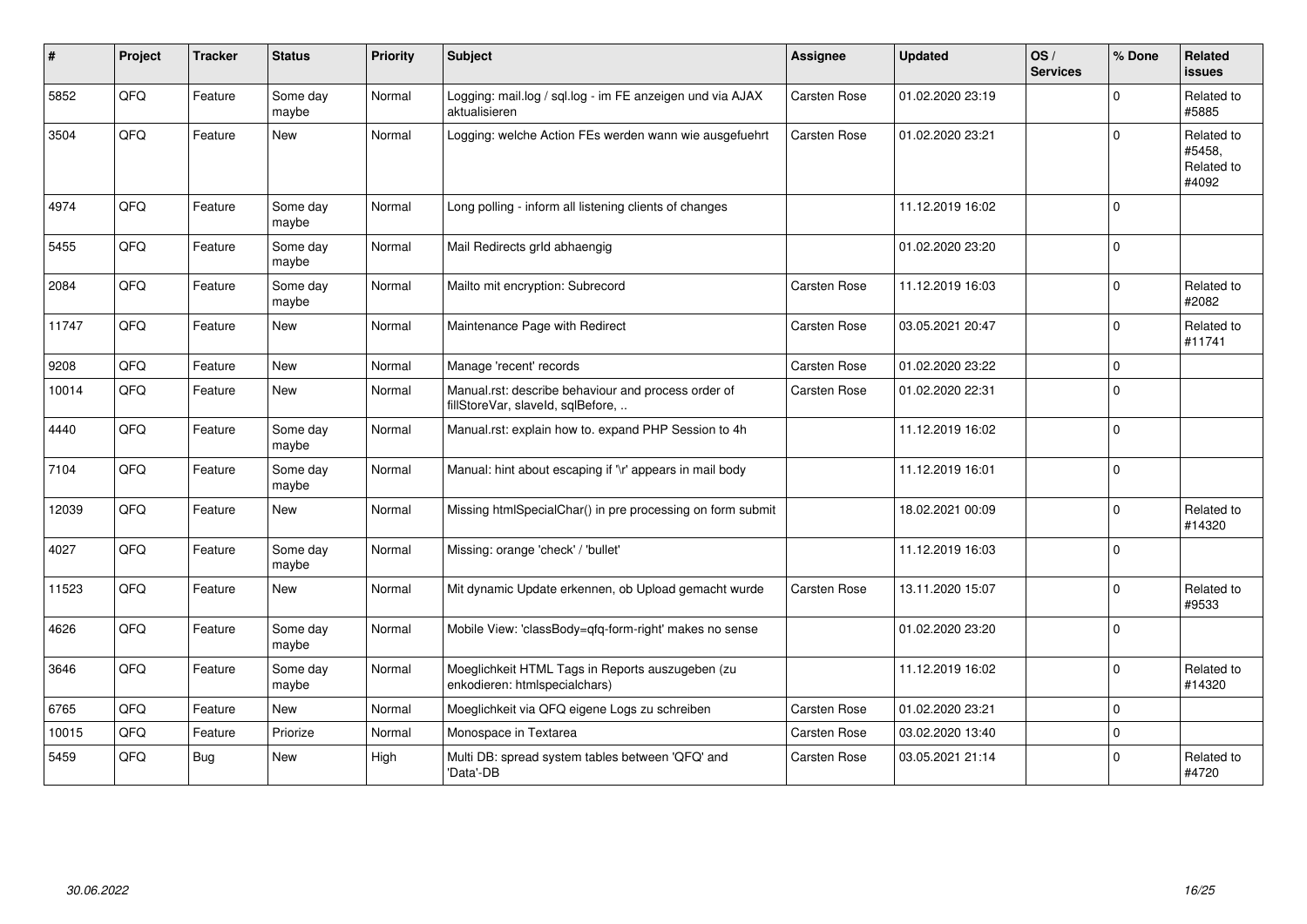| $\#$  | Project | <b>Tracker</b> | <b>Status</b>     | <b>Priority</b> | <b>Subject</b>                                                                           | <b>Assignee</b> | <b>Updated</b>   | OS/<br><b>Services</b> | % Done      | <b>Related</b><br><b>issues</b>             |
|-------|---------|----------------|-------------------|-----------------|------------------------------------------------------------------------------------------|-----------------|------------------|------------------------|-------------|---------------------------------------------|
| 5852  | QFQ     | Feature        | Some day<br>maybe | Normal          | Logging: mail.log / sql.log - im FE anzeigen und via AJAX<br>aktualisieren               | Carsten Rose    | 01.02.2020 23:19 |                        | $\Omega$    | Related to<br>#5885                         |
| 3504  | QFQ     | Feature        | <b>New</b>        | Normal          | Logging: welche Action FEs werden wann wie ausgefuehrt                                   | Carsten Rose    | 01.02.2020 23:21 |                        | $\mathbf 0$ | Related to<br>#5458,<br>Related to<br>#4092 |
| 4974  | QFQ     | Feature        | Some day<br>maybe | Normal          | Long polling - inform all listening clients of changes                                   |                 | 11.12.2019 16:02 |                        | $\mathbf 0$ |                                             |
| 5455  | QFQ     | Feature        | Some day<br>maybe | Normal          | Mail Redirects grld abhaengig                                                            |                 | 01.02.2020 23:20 |                        | $\mathbf 0$ |                                             |
| 2084  | QFQ     | Feature        | Some day<br>maybe | Normal          | Mailto mit encryption: Subrecord                                                         | Carsten Rose    | 11.12.2019 16:03 |                        | $\Omega$    | Related to<br>#2082                         |
| 11747 | QFQ     | Feature        | <b>New</b>        | Normal          | Maintenance Page with Redirect                                                           | Carsten Rose    | 03.05.2021 20:47 |                        | $\mathbf 0$ | Related to<br>#11741                        |
| 9208  | QFQ     | Feature        | <b>New</b>        | Normal          | Manage 'recent' records                                                                  | Carsten Rose    | 01.02.2020 23:22 |                        | $\mathbf 0$ |                                             |
| 10014 | QFQ     | Feature        | <b>New</b>        | Normal          | Manual.rst: describe behaviour and process order of<br>fillStoreVar, slaveId, sqlBefore, | Carsten Rose    | 01.02.2020 22:31 |                        | $\Omega$    |                                             |
| 4440  | QFQ     | Feature        | Some day<br>maybe | Normal          | Manual.rst: explain how to. expand PHP Session to 4h                                     |                 | 11.12.2019 16:02 |                        | $\mathbf 0$ |                                             |
| 7104  | QFQ     | Feature        | Some day<br>maybe | Normal          | Manual: hint about escaping if '\r' appears in mail body                                 |                 | 11.12.2019 16:01 |                        | $\mathbf 0$ |                                             |
| 12039 | QFQ     | Feature        | <b>New</b>        | Normal          | Missing htmlSpecialChar() in pre processing on form submit                               |                 | 18.02.2021 00:09 |                        | $\Omega$    | Related to<br>#14320                        |
| 4027  | QFQ     | Feature        | Some day<br>maybe | Normal          | Missing: orange 'check' / 'bullet'                                                       |                 | 11.12.2019 16:03 |                        | $\mathbf 0$ |                                             |
| 11523 | QFQ     | Feature        | New               | Normal          | Mit dynamic Update erkennen, ob Upload gemacht wurde                                     | Carsten Rose    | 13.11.2020 15:07 |                        | $\Omega$    | Related to<br>#9533                         |
| 4626  | QFQ     | Feature        | Some day<br>maybe | Normal          | Mobile View: 'classBody=qfq-form-right' makes no sense                                   |                 | 01.02.2020 23:20 |                        | $\Omega$    |                                             |
| 3646  | QFQ     | Feature        | Some day<br>maybe | Normal          | Moeglichkeit HTML Tags in Reports auszugeben (zu<br>enkodieren: htmlspecialchars)        |                 | 11.12.2019 16:02 |                        | $\Omega$    | Related to<br>#14320                        |
| 6765  | QFQ     | Feature        | New               | Normal          | Moeglichkeit via QFQ eigene Logs zu schreiben                                            | Carsten Rose    | 01.02.2020 23:21 |                        | $\mathbf 0$ |                                             |
| 10015 | QFQ     | Feature        | Priorize          | Normal          | Monospace in Textarea                                                                    | Carsten Rose    | 03.02.2020 13:40 |                        | $\mathbf 0$ |                                             |
| 5459  | QFQ     | Bug            | New               | High            | Multi DB: spread system tables between 'QFQ' and<br>'Data'-DB                            | Carsten Rose    | 03.05.2021 21:14 |                        | $\mathbf 0$ | Related to<br>#4720                         |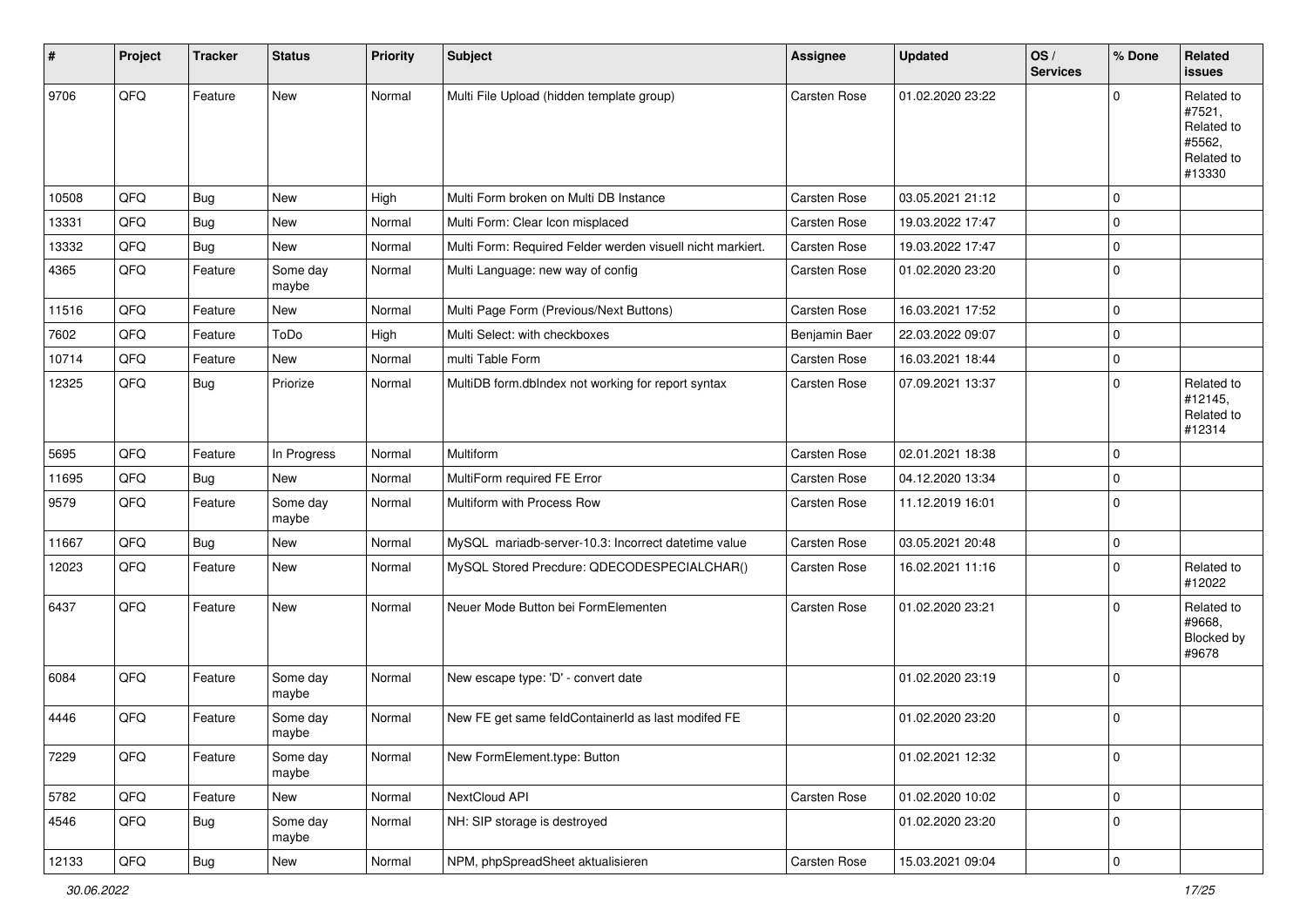| $\vert$ # | Project | <b>Tracker</b> | <b>Status</b>     | <b>Priority</b> | <b>Subject</b>                                             | <b>Assignee</b> | <b>Updated</b>   | OS/<br><b>Services</b> | % Done              | Related<br><b>issues</b>                                             |
|-----------|---------|----------------|-------------------|-----------------|------------------------------------------------------------|-----------------|------------------|------------------------|---------------------|----------------------------------------------------------------------|
| 9706      | QFQ     | Feature        | New               | Normal          | Multi File Upload (hidden template group)                  | Carsten Rose    | 01.02.2020 23:22 |                        | $\mathbf 0$         | Related to<br>#7521,<br>Related to<br>#5562,<br>Related to<br>#13330 |
| 10508     | QFQ     | Bug            | <b>New</b>        | High            | Multi Form broken on Multi DB Instance                     | Carsten Rose    | 03.05.2021 21:12 |                        | $\mathbf 0$         |                                                                      |
| 13331     | QFQ     | <b>Bug</b>     | <b>New</b>        | Normal          | Multi Form: Clear Icon misplaced                           | Carsten Rose    | 19.03.2022 17:47 |                        | $\mathbf 0$         |                                                                      |
| 13332     | QFQ     | <b>Bug</b>     | New               | Normal          | Multi Form: Required Felder werden visuell nicht markiert. | Carsten Rose    | 19.03.2022 17:47 |                        | $\mathbf 0$         |                                                                      |
| 4365      | QFQ     | Feature        | Some day<br>maybe | Normal          | Multi Language: new way of config                          | Carsten Rose    | 01.02.2020 23:20 |                        | $\mathbf 0$         |                                                                      |
| 11516     | QFQ     | Feature        | New               | Normal          | Multi Page Form (Previous/Next Buttons)                    | Carsten Rose    | 16.03.2021 17:52 |                        | $\mathbf 0$         |                                                                      |
| 7602      | QFQ     | Feature        | ToDo              | High            | Multi Select: with checkboxes                              | Benjamin Baer   | 22.03.2022 09:07 |                        | $\mathbf 0$         |                                                                      |
| 10714     | QFQ     | Feature        | <b>New</b>        | Normal          | multi Table Form                                           | Carsten Rose    | 16.03.2021 18:44 |                        | $\pmb{0}$           |                                                                      |
| 12325     | QFQ     | <b>Bug</b>     | Priorize          | Normal          | MultiDB form.dblndex not working for report syntax         | Carsten Rose    | 07.09.2021 13:37 |                        | $\mathbf 0$         | Related to<br>#12145,<br>Related to<br>#12314                        |
| 5695      | QFQ     | Feature        | In Progress       | Normal          | Multiform                                                  | Carsten Rose    | 02.01.2021 18:38 |                        | $\mathbf 0$         |                                                                      |
| 11695     | QFQ     | <b>Bug</b>     | New               | Normal          | MultiForm required FE Error                                | Carsten Rose    | 04.12.2020 13:34 |                        | $\mathbf 0$         |                                                                      |
| 9579      | QFQ     | Feature        | Some day<br>maybe | Normal          | Multiform with Process Row                                 | Carsten Rose    | 11.12.2019 16:01 |                        | $\mathbf 0$         |                                                                      |
| 11667     | QFQ     | Bug            | New               | Normal          | MySQL mariadb-server-10.3: Incorrect datetime value        | Carsten Rose    | 03.05.2021 20:48 |                        | $\mathbf 0$         |                                                                      |
| 12023     | QFQ     | Feature        | <b>New</b>        | Normal          | MySQL Stored Precdure: QDECODESPECIALCHAR()                | Carsten Rose    | 16.02.2021 11:16 |                        | $\mathbf 0$         | Related to<br>#12022                                                 |
| 6437      | QFQ     | Feature        | New               | Normal          | Neuer Mode Button bei FormElementen                        | Carsten Rose    | 01.02.2020 23:21 |                        | $\mathbf 0$         | Related to<br>#9668,<br>Blocked by<br>#9678                          |
| 6084      | QFQ     | Feature        | Some day<br>maybe | Normal          | New escape type: 'D' - convert date                        |                 | 01.02.2020 23:19 |                        | $\mathbf 0$         |                                                                      |
| 4446      | QFQ     | Feature        | Some day<br>maybe | Normal          | New FE get same feldContainerId as last modifed FE         |                 | 01.02.2020 23:20 |                        | $\mathbf 0$         |                                                                      |
| 7229      | QFQ     | Feature        | Some day<br>maybe | Normal          | New FormElement.type: Button                               |                 | 01.02.2021 12:32 |                        | $\pmb{0}$           |                                                                      |
| 5782      | QFQ     | Feature        | New               | Normal          | NextCloud API                                              | Carsten Rose    | 01.02.2020 10:02 |                        | $\mathsf{O}\xspace$ |                                                                      |
| 4546      | QFQ     | <b>Bug</b>     | Some day<br>maybe | Normal          | NH: SIP storage is destroyed                               |                 | 01.02.2020 23:20 |                        | $\pmb{0}$           |                                                                      |
| 12133     | QFQ     | Bug            | New               | Normal          | NPM, phpSpreadSheet aktualisieren                          | Carsten Rose    | 15.03.2021 09:04 |                        | $\overline{0}$      |                                                                      |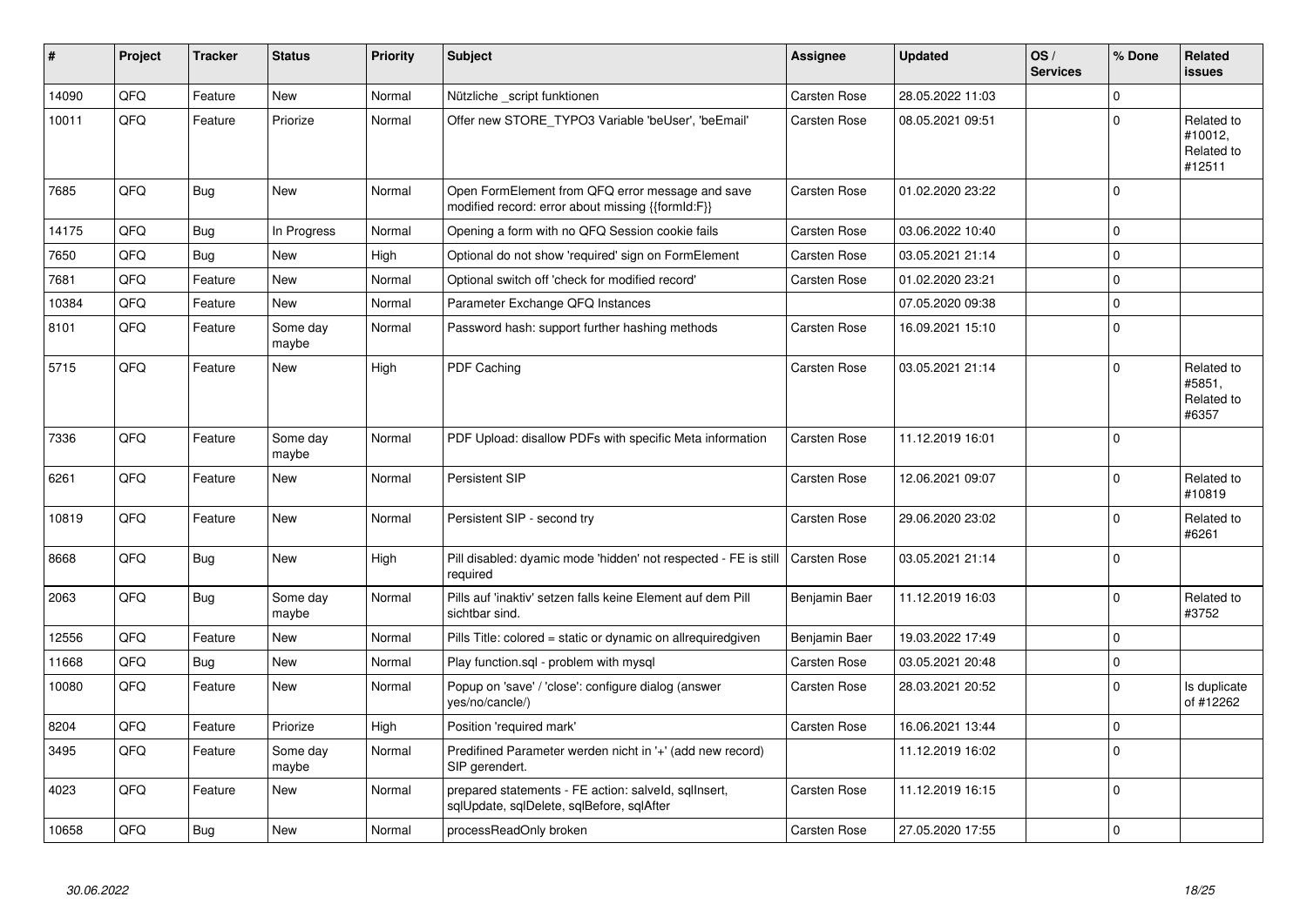| #     | Project | <b>Tracker</b> | <b>Status</b>     | <b>Priority</b> | <b>Subject</b>                                                                                        | <b>Assignee</b>     | <b>Updated</b>   | OS/<br><b>Services</b> | % Done      | <b>Related</b><br><b>issues</b>               |
|-------|---------|----------------|-------------------|-----------------|-------------------------------------------------------------------------------------------------------|---------------------|------------------|------------------------|-------------|-----------------------------------------------|
| 14090 | QFQ     | Feature        | <b>New</b>        | Normal          | Nützliche _script funktionen                                                                          | <b>Carsten Rose</b> | 28.05.2022 11:03 |                        | $\Omega$    |                                               |
| 10011 | QFQ     | Feature        | Priorize          | Normal          | Offer new STORE_TYPO3 Variable 'beUser', 'beEmail'                                                    | Carsten Rose        | 08.05.2021 09:51 |                        | $\Omega$    | Related to<br>#10012,<br>Related to<br>#12511 |
| 7685  | QFQ     | <b>Bug</b>     | <b>New</b>        | Normal          | Open FormElement from QFQ error message and save<br>modified record: error about missing {{formId:F}} | Carsten Rose        | 01.02.2020 23:22 |                        | $\Omega$    |                                               |
| 14175 | QFQ     | Bug            | In Progress       | Normal          | Opening a form with no QFQ Session cookie fails                                                       | Carsten Rose        | 03.06.2022 10:40 |                        | $\Omega$    |                                               |
| 7650  | QFQ     | <b>Bug</b>     | New               | High            | Optional do not show 'required' sign on FormElement                                                   | Carsten Rose        | 03.05.2021 21:14 |                        | $\Omega$    |                                               |
| 7681  | QFQ     | Feature        | New               | Normal          | Optional switch off 'check for modified record'                                                       | Carsten Rose        | 01.02.2020 23:21 |                        | $\mathbf 0$ |                                               |
| 10384 | QFQ     | Feature        | <b>New</b>        | Normal          | Parameter Exchange QFQ Instances                                                                      |                     | 07.05.2020 09:38 |                        | $\mathbf 0$ |                                               |
| 8101  | QFQ     | Feature        | Some day<br>maybe | Normal          | Password hash: support further hashing methods                                                        | Carsten Rose        | 16.09.2021 15:10 |                        | $\mathbf 0$ |                                               |
| 5715  | QFQ     | Feature        | New               | High            | PDF Caching                                                                                           | Carsten Rose        | 03.05.2021 21:14 |                        | $\Omega$    | Related to<br>#5851,<br>Related to<br>#6357   |
| 7336  | QFQ     | Feature        | Some day<br>maybe | Normal          | PDF Upload: disallow PDFs with specific Meta information                                              | Carsten Rose        | 11.12.2019 16:01 |                        | $\Omega$    |                                               |
| 6261  | QFQ     | Feature        | New               | Normal          | Persistent SIP                                                                                        | Carsten Rose        | 12.06.2021 09:07 |                        | $\mathbf 0$ | Related to<br>#10819                          |
| 10819 | QFQ     | Feature        | New               | Normal          | Persistent SIP - second try                                                                           | Carsten Rose        | 29.06.2020 23:02 |                        | $\mathbf 0$ | Related to<br>#6261                           |
| 8668  | QFQ     | Bug            | New               | High            | Pill disabled: dyamic mode 'hidden' not respected - FE is still<br>required                           | <b>Carsten Rose</b> | 03.05.2021 21:14 |                        | $\mathbf 0$ |                                               |
| 2063  | QFQ     | <b>Bug</b>     | Some day<br>maybe | Normal          | Pills auf 'inaktiv' setzen falls keine Element auf dem Pill<br>sichtbar sind.                         | Benjamin Baer       | 11.12.2019 16:03 |                        | $\Omega$    | Related to<br>#3752                           |
| 12556 | QFQ     | Feature        | <b>New</b>        | Normal          | Pills Title: colored = static or dynamic on allrequiredgiven                                          | Benjamin Baer       | 19.03.2022 17:49 |                        | $\Omega$    |                                               |
| 11668 | QFQ     | <b>Bug</b>     | New               | Normal          | Play function.sql - problem with mysql                                                                | Carsten Rose        | 03.05.2021 20:48 |                        | $\pmb{0}$   |                                               |
| 10080 | QFQ     | Feature        | New               | Normal          | Popup on 'save' / 'close': configure dialog (answer<br>yes/no/cancle/)                                | Carsten Rose        | 28.03.2021 20:52 |                        | $\mathbf 0$ | Is duplicate<br>of #12262                     |
| 8204  | QFQ     | Feature        | Priorize          | High            | Position 'required mark'                                                                              | Carsten Rose        | 16.06.2021 13:44 |                        | $\mathbf 0$ |                                               |
| 3495  | QFQ     | Feature        | Some day<br>maybe | Normal          | Predifined Parameter werden nicht in '+' (add new record)<br>SIP gerendert.                           |                     | 11.12.2019 16:02 |                        | $\Omega$    |                                               |
| 4023  | QFQ     | Feature        | New               | Normal          | prepared statements - FE action: salveld, sqllnsert,<br>sqlUpdate, sqlDelete, sqlBefore, sqlAfter     | Carsten Rose        | 11.12.2019 16:15 |                        | $\mathbf 0$ |                                               |
| 10658 | QFQ     | Bug            | New               | Normal          | processReadOnly broken                                                                                | Carsten Rose        | 27.05.2020 17:55 |                        | $\mathbf 0$ |                                               |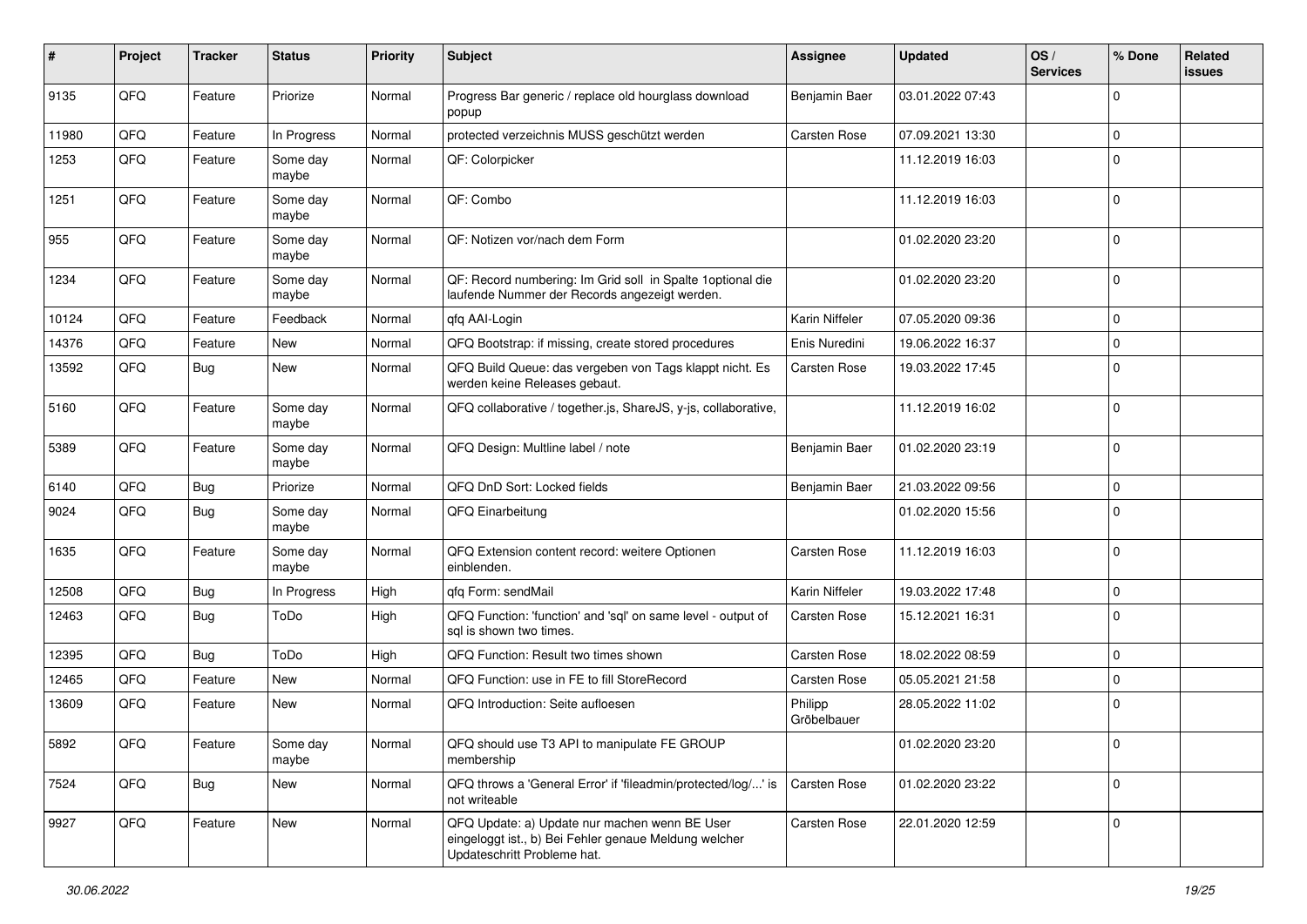| #     | Project | <b>Tracker</b> | <b>Status</b>     | <b>Priority</b> | <b>Subject</b>                                                                                                                        | <b>Assignee</b>        | <b>Updated</b>   | OS/<br><b>Services</b> | % Done       | Related<br><b>issues</b> |
|-------|---------|----------------|-------------------|-----------------|---------------------------------------------------------------------------------------------------------------------------------------|------------------------|------------------|------------------------|--------------|--------------------------|
| 9135  | QFQ     | Feature        | Priorize          | Normal          | Progress Bar generic / replace old hourglass download<br>popup                                                                        | Benjamin Baer          | 03.01.2022 07:43 |                        | $\Omega$     |                          |
| 11980 | QFQ     | Feature        | In Progress       | Normal          | protected verzeichnis MUSS geschützt werden                                                                                           | Carsten Rose           | 07.09.2021 13:30 |                        | $\mathbf 0$  |                          |
| 1253  | QFQ     | Feature        | Some day<br>maybe | Normal          | QF: Colorpicker                                                                                                                       |                        | 11.12.2019 16:03 |                        | $\Omega$     |                          |
| 1251  | QFQ     | Feature        | Some day<br>maybe | Normal          | QF: Combo                                                                                                                             |                        | 11.12.2019 16:03 |                        | $\Omega$     |                          |
| 955   | QFQ     | Feature        | Some day<br>maybe | Normal          | QF: Notizen vor/nach dem Form                                                                                                         |                        | 01.02.2020 23:20 |                        | $\mathbf{0}$ |                          |
| 1234  | QFQ     | Feature        | Some day<br>maybe | Normal          | QF: Record numbering: Im Grid soll in Spalte 1 optional die<br>laufende Nummer der Records angezeigt werden.                          |                        | 01.02.2020 23:20 |                        | $\mathbf 0$  |                          |
| 10124 | QFQ     | Feature        | Feedback          | Normal          | qfq AAI-Login                                                                                                                         | Karin Niffeler         | 07.05.2020 09:36 |                        | $\mathbf 0$  |                          |
| 14376 | QFQ     | Feature        | New               | Normal          | QFQ Bootstrap: if missing, create stored procedures                                                                                   | Enis Nuredini          | 19.06.2022 16:37 |                        | $\mathbf 0$  |                          |
| 13592 | QFQ     | <b>Bug</b>     | New               | Normal          | QFQ Build Queue: das vergeben von Tags klappt nicht. Es<br>werden keine Releases gebaut.                                              | Carsten Rose           | 19.03.2022 17:45 |                        | $\mathbf 0$  |                          |
| 5160  | QFQ     | Feature        | Some day<br>maybe | Normal          | QFQ collaborative / together.js, ShareJS, y-js, collaborative,                                                                        |                        | 11.12.2019 16:02 |                        | $\Omega$     |                          |
| 5389  | QFQ     | Feature        | Some day<br>maybe | Normal          | QFQ Design: Multline label / note                                                                                                     | Benjamin Baer          | 01.02.2020 23:19 |                        | $\mathbf 0$  |                          |
| 6140  | QFQ     | <b>Bug</b>     | Priorize          | Normal          | QFQ DnD Sort: Locked fields                                                                                                           | Benjamin Baer          | 21.03.2022 09:56 |                        | $\mathbf 0$  |                          |
| 9024  | QFQ     | Bug            | Some day<br>maybe | Normal          | QFQ Einarbeitung                                                                                                                      |                        | 01.02.2020 15:56 |                        | $\Omega$     |                          |
| 1635  | QFQ     | Feature        | Some day<br>maybe | Normal          | QFQ Extension content record: weitere Optionen<br>einblenden.                                                                         | Carsten Rose           | 11.12.2019 16:03 |                        | $\mathbf{0}$ |                          |
| 12508 | QFQ     | <b>Bug</b>     | In Progress       | High            | qfq Form: sendMail                                                                                                                    | Karin Niffeler         | 19.03.2022 17:48 |                        | $\mathbf 0$  |                          |
| 12463 | QFQ     | <b>Bug</b>     | ToDo              | High            | QFQ Function: 'function' and 'sql' on same level - output of<br>sal is shown two times.                                               | Carsten Rose           | 15.12.2021 16:31 |                        | $\Omega$     |                          |
| 12395 | QFQ     | <b>Bug</b>     | ToDo              | High            | QFQ Function: Result two times shown                                                                                                  | Carsten Rose           | 18.02.2022 08:59 |                        | $\mathbf 0$  |                          |
| 12465 | QFQ     | Feature        | <b>New</b>        | Normal          | QFQ Function: use in FE to fill StoreRecord                                                                                           | Carsten Rose           | 05.05.2021 21:58 |                        | $\mathbf 0$  |                          |
| 13609 | QFQ     | Feature        | New               | Normal          | QFQ Introduction: Seite aufloesen                                                                                                     | Philipp<br>Gröbelbauer | 28.05.2022 11:02 |                        | $\Omega$     |                          |
| 5892  | QFQ     | Feature        | Some day<br>maybe | Normal          | QFQ should use T3 API to manipulate FE GROUP<br>membership                                                                            |                        | 01.02.2020 23:20 |                        | 0            |                          |
| 7524  | QFQ     | <b>Bug</b>     | New               | Normal          | QFQ throws a 'General Error' if 'fileadmin/protected/log/' is<br>not writeable                                                        | Carsten Rose           | 01.02.2020 23:22 |                        | $\mathbf{0}$ |                          |
| 9927  | QFQ     | Feature        | New               | Normal          | QFQ Update: a) Update nur machen wenn BE User<br>eingeloggt ist., b) Bei Fehler genaue Meldung welcher<br>Updateschritt Probleme hat. | Carsten Rose           | 22.01.2020 12:59 |                        | 0            |                          |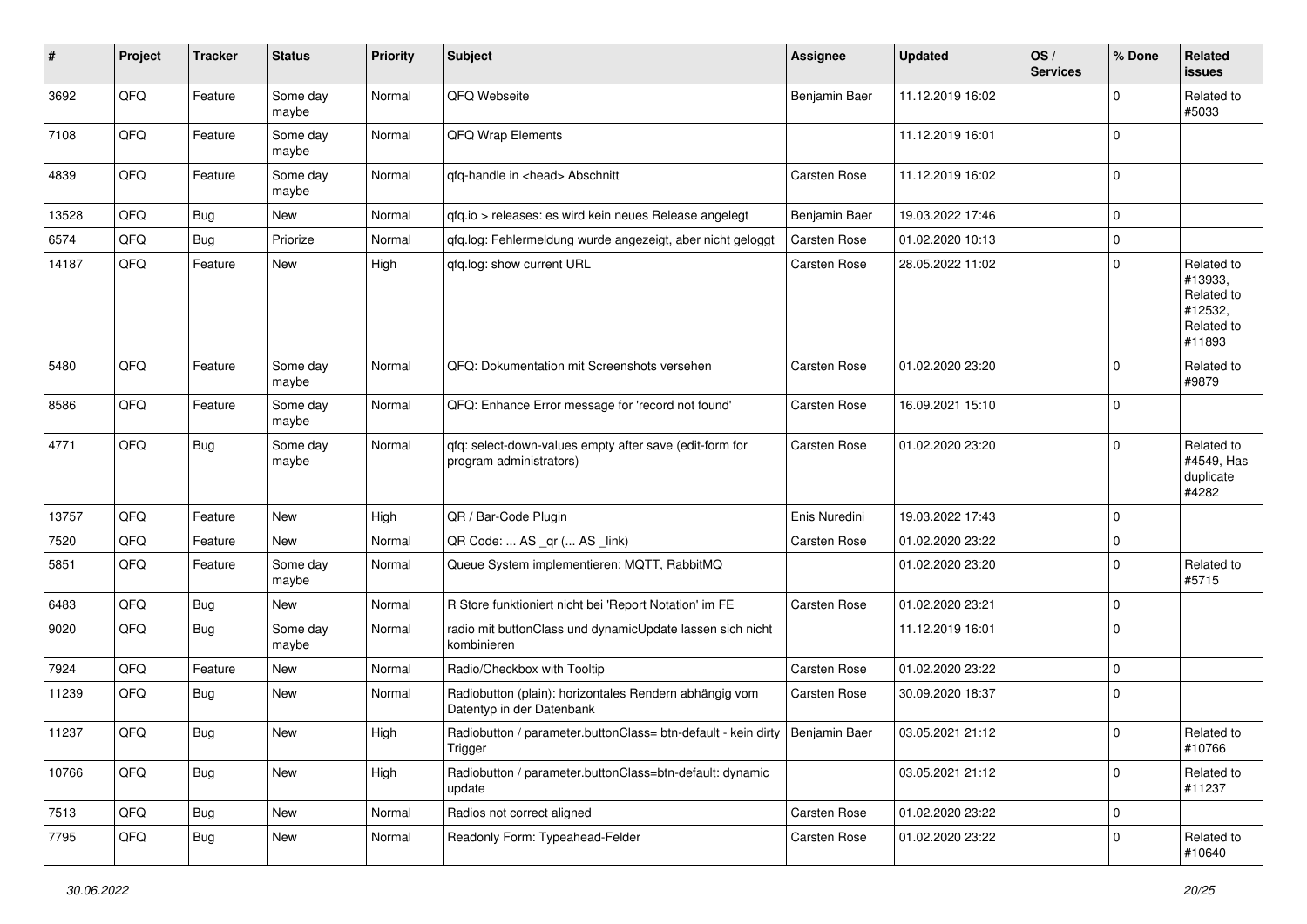| #     | Project | <b>Tracker</b> | <b>Status</b>     | <b>Priority</b> | Subject                                                                                  | <b>Assignee</b> | <b>Updated</b>   | OS/<br><b>Services</b> | % Done      | Related<br><b>issues</b>                                               |
|-------|---------|----------------|-------------------|-----------------|------------------------------------------------------------------------------------------|-----------------|------------------|------------------------|-------------|------------------------------------------------------------------------|
| 3692  | QFQ     | Feature        | Some day<br>maybe | Normal          | QFQ Webseite                                                                             | Benjamin Baer   | 11.12.2019 16:02 |                        | $\mathbf 0$ | Related to<br>#5033                                                    |
| 7108  | QFQ     | Feature        | Some day<br>maybe | Normal          | QFQ Wrap Elements                                                                        |                 | 11.12.2019 16:01 |                        | $\mathbf 0$ |                                                                        |
| 4839  | QFQ     | Feature        | Some day<br>maybe | Normal          | qfq-handle in <head> Abschnitt</head>                                                    | Carsten Rose    | 11.12.2019 16:02 |                        | $\mathbf 0$ |                                                                        |
| 13528 | QFQ     | Bug            | New               | Normal          | qfq.io > releases: es wird kein neues Release angelegt                                   | Benjamin Baer   | 19.03.2022 17:46 |                        | $\mathbf 0$ |                                                                        |
| 6574  | QFQ     | Bug            | Priorize          | Normal          | gfg.log: Fehlermeldung wurde angezeigt, aber nicht geloggt                               | Carsten Rose    | 01.02.2020 10:13 |                        | $\mathbf 0$ |                                                                        |
| 14187 | QFQ     | Feature        | New               | High            | qfq.log: show current URL                                                                | Carsten Rose    | 28.05.2022 11:02 |                        | $\mathbf 0$ | Related to<br>#13933,<br>Related to<br>#12532,<br>Related to<br>#11893 |
| 5480  | QFQ     | Feature        | Some day<br>maybe | Normal          | QFQ: Dokumentation mit Screenshots versehen                                              | Carsten Rose    | 01.02.2020 23:20 |                        | $\mathbf 0$ | Related to<br>#9879                                                    |
| 8586  | QFQ     | Feature        | Some day<br>maybe | Normal          | QFQ: Enhance Error message for 'record not found'                                        | Carsten Rose    | 16.09.2021 15:10 |                        | $\mathbf 0$ |                                                                        |
| 4771  | QFQ     | Bug            | Some day<br>maybe | Normal          | qfq: select-down-values empty after save (edit-form for<br>program administrators)       | Carsten Rose    | 01.02.2020 23:20 |                        | $\mathbf 0$ | Related to<br>#4549, Has<br>duplicate<br>#4282                         |
| 13757 | QFQ     | Feature        | <b>New</b>        | High            | QR / Bar-Code Plugin                                                                     | Enis Nuredini   | 19.03.2022 17:43 |                        | $\mathbf 0$ |                                                                        |
| 7520  | QFQ     | Feature        | New               | Normal          | QR Code:  AS _qr ( AS _link)                                                             | Carsten Rose    | 01.02.2020 23:22 |                        | 0           |                                                                        |
| 5851  | QFQ     | Feature        | Some day<br>maybe | Normal          | Queue System implementieren: MQTT, RabbitMQ                                              |                 | 01.02.2020 23:20 |                        | $\Omega$    | Related to<br>#5715                                                    |
| 6483  | QFQ     | Bug            | <b>New</b>        | Normal          | R Store funktioniert nicht bei 'Report Notation' im FE                                   | Carsten Rose    | 01.02.2020 23:21 |                        | 0           |                                                                        |
| 9020  | QFQ     | <b>Bug</b>     | Some day<br>maybe | Normal          | radio mit buttonClass und dynamicUpdate lassen sich nicht<br>kombinieren                 |                 | 11.12.2019 16:01 |                        | $\mathbf 0$ |                                                                        |
| 7924  | QFQ     | Feature        | New               | Normal          | Radio/Checkbox with Tooltip                                                              | Carsten Rose    | 01.02.2020 23:22 |                        | $\mathbf 0$ |                                                                        |
| 11239 | QFQ     | Bug            | New               | Normal          | Radiobutton (plain): horizontales Rendern abhängig vom<br>Datentyp in der Datenbank      | Carsten Rose    | 30.09.2020 18:37 |                        | $\mathbf 0$ |                                                                        |
| 11237 | QFQ     | <b>Bug</b>     | <b>New</b>        | High            | Radiobutton / parameter.buttonClass= btn-default - kein dirty   Benjamin Baer<br>Trigger |                 | 03.05.2021 21:12 |                        | $\mathbf 0$ | Related to<br>#10766                                                   |
| 10766 | QFQ     | Bug            | New               | High            | Radiobutton / parameter.buttonClass=btn-default: dynamic<br>update                       |                 | 03.05.2021 21:12 |                        | $\mathbf 0$ | Related to<br>#11237                                                   |
| 7513  | QFQ     | Bug            | New               | Normal          | Radios not correct aligned                                                               | Carsten Rose    | 01.02.2020 23:22 |                        | $\mathbf 0$ |                                                                        |
| 7795  | QFQ     | <b>Bug</b>     | New               | Normal          | Readonly Form: Typeahead-Felder                                                          | Carsten Rose    | 01.02.2020 23:22 |                        | $\pmb{0}$   | Related to<br>#10640                                                   |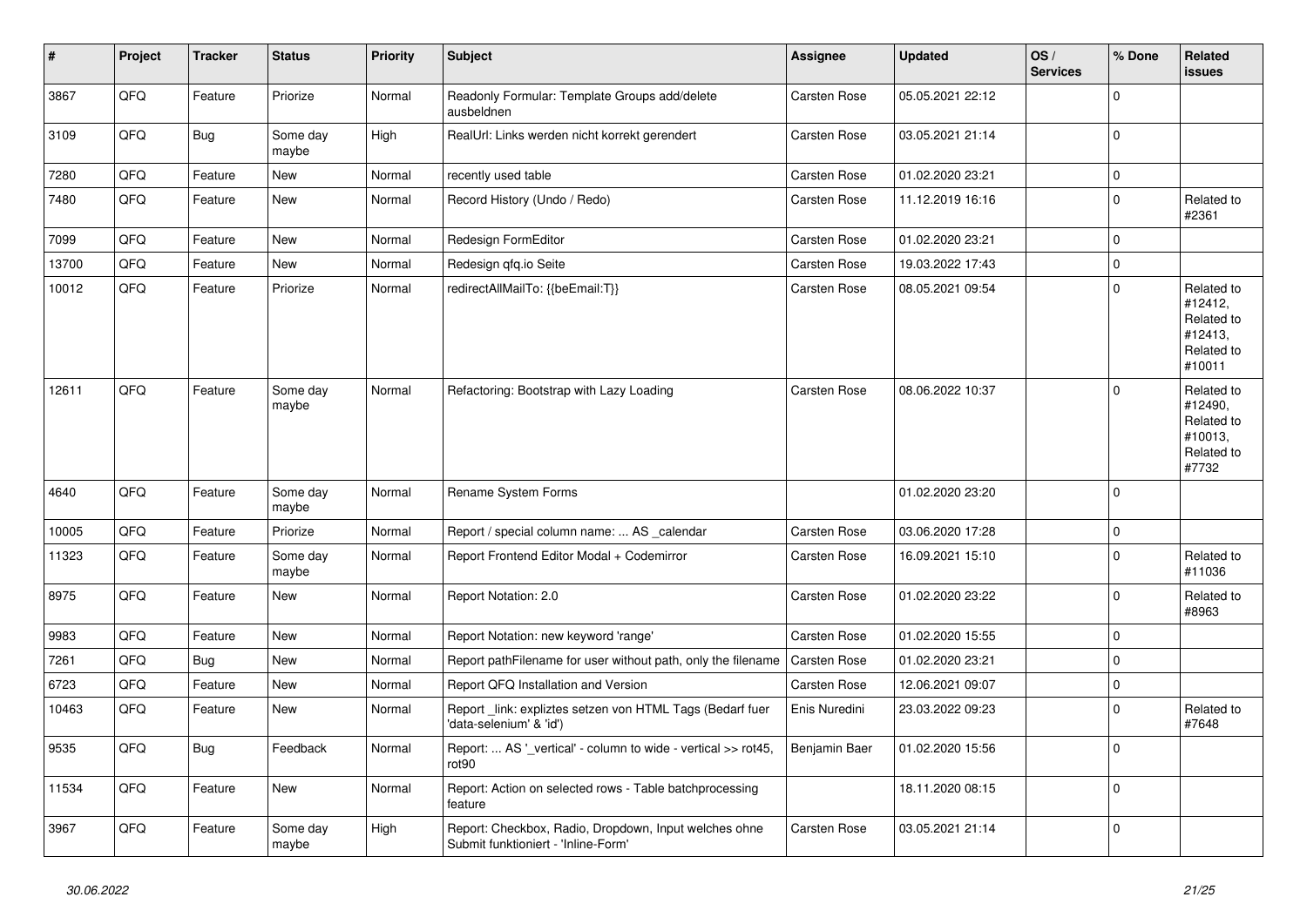| $\vert$ # | Project | <b>Tracker</b> | <b>Status</b>     | <b>Priority</b> | <b>Subject</b>                                                                               | Assignee            | <b>Updated</b>   | OS/<br><b>Services</b> | % Done      | <b>Related</b><br><b>issues</b>                                        |
|-----------|---------|----------------|-------------------|-----------------|----------------------------------------------------------------------------------------------|---------------------|------------------|------------------------|-------------|------------------------------------------------------------------------|
| 3867      | QFQ     | Feature        | Priorize          | Normal          | Readonly Formular: Template Groups add/delete<br>ausbeldnen                                  | Carsten Rose        | 05.05.2021 22:12 |                        | $\mathbf 0$ |                                                                        |
| 3109      | QFQ     | <b>Bug</b>     | Some day<br>maybe | High            | RealUrl: Links werden nicht korrekt gerendert                                                | Carsten Rose        | 03.05.2021 21:14 |                        | $\mathbf 0$ |                                                                        |
| 7280      | QFQ     | Feature        | New               | Normal          | recently used table                                                                          | Carsten Rose        | 01.02.2020 23:21 |                        | $\mathbf 0$ |                                                                        |
| 7480      | QFQ     | Feature        | New               | Normal          | Record History (Undo / Redo)                                                                 | Carsten Rose        | 11.12.2019 16:16 |                        | $\mathbf 0$ | Related to<br>#2361                                                    |
| 7099      | QFQ     | Feature        | New               | Normal          | Redesign FormEditor                                                                          | Carsten Rose        | 01.02.2020 23:21 |                        | $\mathbf 0$ |                                                                        |
| 13700     | QFQ     | Feature        | New               | Normal          | Redesign qfq.io Seite                                                                        | <b>Carsten Rose</b> | 19.03.2022 17:43 |                        | $\mathbf 0$ |                                                                        |
| 10012     | QFQ     | Feature        | Priorize          | Normal          | redirectAllMailTo: {{beEmail:T}}                                                             | Carsten Rose        | 08.05.2021 09:54 |                        | $\mathbf 0$ | Related to<br>#12412,<br>Related to<br>#12413,<br>Related to<br>#10011 |
| 12611     | QFQ     | Feature        | Some day<br>maybe | Normal          | Refactoring: Bootstrap with Lazy Loading                                                     | <b>Carsten Rose</b> | 08.06.2022 10:37 |                        | $\Omega$    | Related to<br>#12490,<br>Related to<br>#10013,<br>Related to<br>#7732  |
| 4640      | QFQ     | Feature        | Some day<br>maybe | Normal          | Rename System Forms                                                                          |                     | 01.02.2020 23:20 |                        | $\Omega$    |                                                                        |
| 10005     | QFQ     | Feature        | Priorize          | Normal          | Report / special column name:  AS _calendar                                                  | <b>Carsten Rose</b> | 03.06.2020 17:28 |                        | $\mathbf 0$ |                                                                        |
| 11323     | QFQ     | Feature        | Some day<br>maybe | Normal          | Report Frontend Editor Modal + Codemirror                                                    | <b>Carsten Rose</b> | 16.09.2021 15:10 |                        | $\mathbf 0$ | Related to<br>#11036                                                   |
| 8975      | QFQ     | Feature        | New               | Normal          | Report Notation: 2.0                                                                         | Carsten Rose        | 01.02.2020 23:22 |                        | $\Omega$    | Related to<br>#8963                                                    |
| 9983      | QFQ     | Feature        | New               | Normal          | Report Notation: new keyword 'range'                                                         | Carsten Rose        | 01.02.2020 15:55 |                        | $\mathbf 0$ |                                                                        |
| 7261      | QFQ     | <b>Bug</b>     | New               | Normal          | Report pathFilename for user without path, only the filename                                 | <b>Carsten Rose</b> | 01.02.2020 23:21 |                        | $\mathbf 0$ |                                                                        |
| 6723      | QFQ     | Feature        | New               | Normal          | Report QFQ Installation and Version                                                          | <b>Carsten Rose</b> | 12.06.2021 09:07 |                        | $\mathbf 0$ |                                                                        |
| 10463     | QFQ     | Feature        | New               | Normal          | Report link: expliztes setzen von HTML Tags (Bedarf fuer<br>'data-selenium' & 'id')          | Enis Nuredini       | 23.03.2022 09:23 |                        | $\mathbf 0$ | Related to<br>#7648                                                    |
| 9535      | QFQ     | Bug            | Feedback          | Normal          | Report:  AS '_vertical' - column to wide - vertical >> rot45,<br>rot90                       | Benjamin Baer       | 01.02.2020 15:56 |                        | $\mathbf 0$ |                                                                        |
| 11534     | QFQ     | Feature        | <b>New</b>        | Normal          | Report: Action on selected rows - Table batchprocessing<br>feature                           |                     | 18.11.2020 08:15 |                        | $\mathbf 0$ |                                                                        |
| 3967      | QFQ     | Feature        | Some day<br>maybe | High            | Report: Checkbox, Radio, Dropdown, Input welches ohne<br>Submit funktioniert - 'Inline-Form' | Carsten Rose        | 03.05.2021 21:14 |                        | $\mathbf 0$ |                                                                        |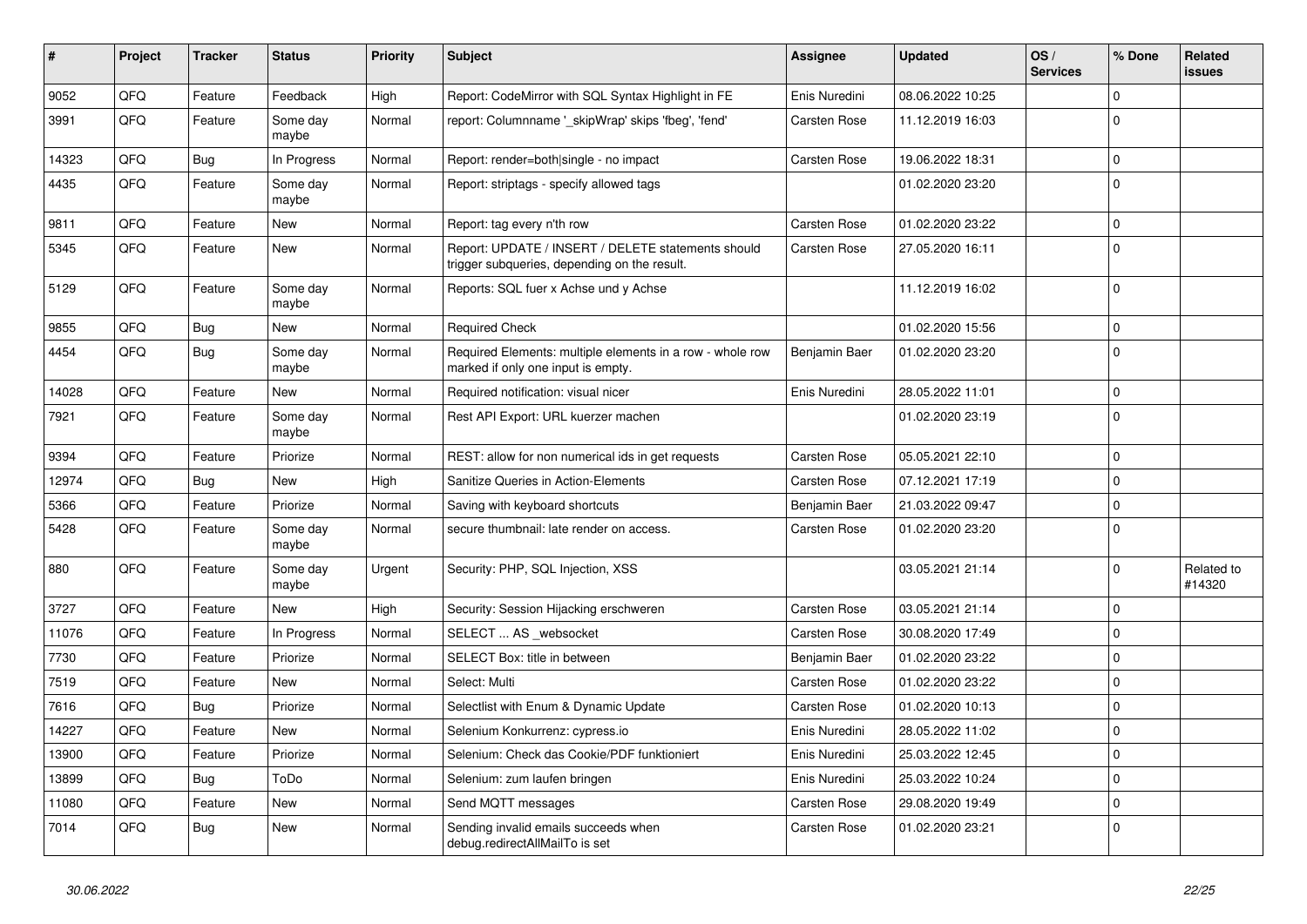| $\vert$ # | Project | <b>Tracker</b> | <b>Status</b>     | <b>Priority</b> | <b>Subject</b>                                                                                     | Assignee      | <b>Updated</b>   | OS/<br><b>Services</b> | % Done       | Related<br><b>issues</b> |
|-----------|---------|----------------|-------------------|-----------------|----------------------------------------------------------------------------------------------------|---------------|------------------|------------------------|--------------|--------------------------|
| 9052      | QFQ     | Feature        | Feedback          | High            | Report: CodeMirror with SQL Syntax Highlight in FE                                                 | Enis Nuredini | 08.06.2022 10:25 |                        | $\Omega$     |                          |
| 3991      | QFQ     | Feature        | Some day<br>maybe | Normal          | report: Columnname '_skipWrap' skips 'fbeg', 'fend'                                                | Carsten Rose  | 11.12.2019 16:03 |                        | $\Omega$     |                          |
| 14323     | QFQ     | <b>Bug</b>     | In Progress       | Normal          | Report: render=both single - no impact                                                             | Carsten Rose  | 19.06.2022 18:31 |                        | $\mathbf 0$  |                          |
| 4435      | QFQ     | Feature        | Some day<br>maybe | Normal          | Report: striptags - specify allowed tags                                                           |               | 01.02.2020 23:20 |                        | $\Omega$     |                          |
| 9811      | QFQ     | Feature        | New               | Normal          | Report: tag every n'th row                                                                         | Carsten Rose  | 01.02.2020 23:22 |                        | $\Omega$     |                          |
| 5345      | QFQ     | Feature        | New               | Normal          | Report: UPDATE / INSERT / DELETE statements should<br>trigger subqueries, depending on the result. | Carsten Rose  | 27.05.2020 16:11 |                        | $\Omega$     |                          |
| 5129      | QFQ     | Feature        | Some day<br>maybe | Normal          | Reports: SQL fuer x Achse und y Achse                                                              |               | 11.12.2019 16:02 |                        | $\Omega$     |                          |
| 9855      | QFQ     | <b>Bug</b>     | New               | Normal          | <b>Required Check</b>                                                                              |               | 01.02.2020 15:56 |                        | $\mathbf 0$  |                          |
| 4454      | QFQ     | <b>Bug</b>     | Some day<br>maybe | Normal          | Required Elements: multiple elements in a row - whole row<br>marked if only one input is empty.    | Benjamin Baer | 01.02.2020 23:20 |                        | $\Omega$     |                          |
| 14028     | QFQ     | Feature        | New               | Normal          | Required notification: visual nicer                                                                | Enis Nuredini | 28.05.2022 11:01 |                        | $\Omega$     |                          |
| 7921      | QFQ     | Feature        | Some day<br>maybe | Normal          | Rest API Export: URL kuerzer machen                                                                |               | 01.02.2020 23:19 |                        | $\Omega$     |                          |
| 9394      | QFQ     | Feature        | Priorize          | Normal          | REST: allow for non numerical ids in get requests                                                  | Carsten Rose  | 05.05.2021 22:10 |                        | $\Omega$     |                          |
| 12974     | QFQ     | Bug            | <b>New</b>        | High            | Sanitize Queries in Action-Elements                                                                | Carsten Rose  | 07.12.2021 17:19 |                        | $\Omega$     |                          |
| 5366      | QFQ     | Feature        | Priorize          | Normal          | Saving with keyboard shortcuts                                                                     | Benjamin Baer | 21.03.2022 09:47 |                        | $\Omega$     |                          |
| 5428      | QFQ     | Feature        | Some day<br>maybe | Normal          | secure thumbnail: late render on access.                                                           | Carsten Rose  | 01.02.2020 23:20 |                        | $\Omega$     |                          |
| 880       | QFQ     | Feature        | Some day<br>maybe | Urgent          | Security: PHP, SQL Injection, XSS                                                                  |               | 03.05.2021 21:14 |                        | $\mathbf 0$  | Related to<br>#14320     |
| 3727      | QFQ     | Feature        | New               | High            | Security: Session Hijacking erschweren                                                             | Carsten Rose  | 03.05.2021 21:14 |                        | $\mathbf{0}$ |                          |
| 11076     | QFQ     | Feature        | In Progress       | Normal          | SELECT  AS _websocket                                                                              | Carsten Rose  | 30.08.2020 17:49 |                        | $\Omega$     |                          |
| 7730      | QFQ     | Feature        | Priorize          | Normal          | SELECT Box: title in between                                                                       | Benjamin Baer | 01.02.2020 23:22 |                        | $\Omega$     |                          |
| 7519      | QFQ     | Feature        | New               | Normal          | Select: Multi                                                                                      | Carsten Rose  | 01.02.2020 23:22 |                        | $\Omega$     |                          |
| 7616      | QFQ     | Bug            | Priorize          | Normal          | Selectlist with Enum & Dynamic Update                                                              | Carsten Rose  | 01.02.2020 10:13 |                        | $\Omega$     |                          |
| 14227     | QFQ     | Feature        | New               | Normal          | Selenium Konkurrenz: cypress.io                                                                    | Enis Nuredini | 28.05.2022 11:02 |                        | $\Omega$     |                          |
| 13900     | QFQ     | Feature        | Priorize          | Normal          | Selenium: Check das Cookie/PDF funktioniert                                                        | Enis Nuredini | 25.03.2022 12:45 |                        | $\Omega$     |                          |
| 13899     | QFQ     | Bug            | ToDo              | Normal          | Selenium: zum laufen bringen                                                                       | Enis Nuredini | 25.03.2022 10:24 |                        | $\Omega$     |                          |
| 11080     | QFQ     | Feature        | New               | Normal          | Send MQTT messages                                                                                 | Carsten Rose  | 29.08.2020 19:49 |                        | $\Omega$     |                          |
| 7014      | QFQ     | <b>Bug</b>     | New               | Normal          | Sending invalid emails succeeds when<br>debug.redirectAllMailTo is set                             | Carsten Rose  | 01.02.2020 23:21 |                        | $\Omega$     |                          |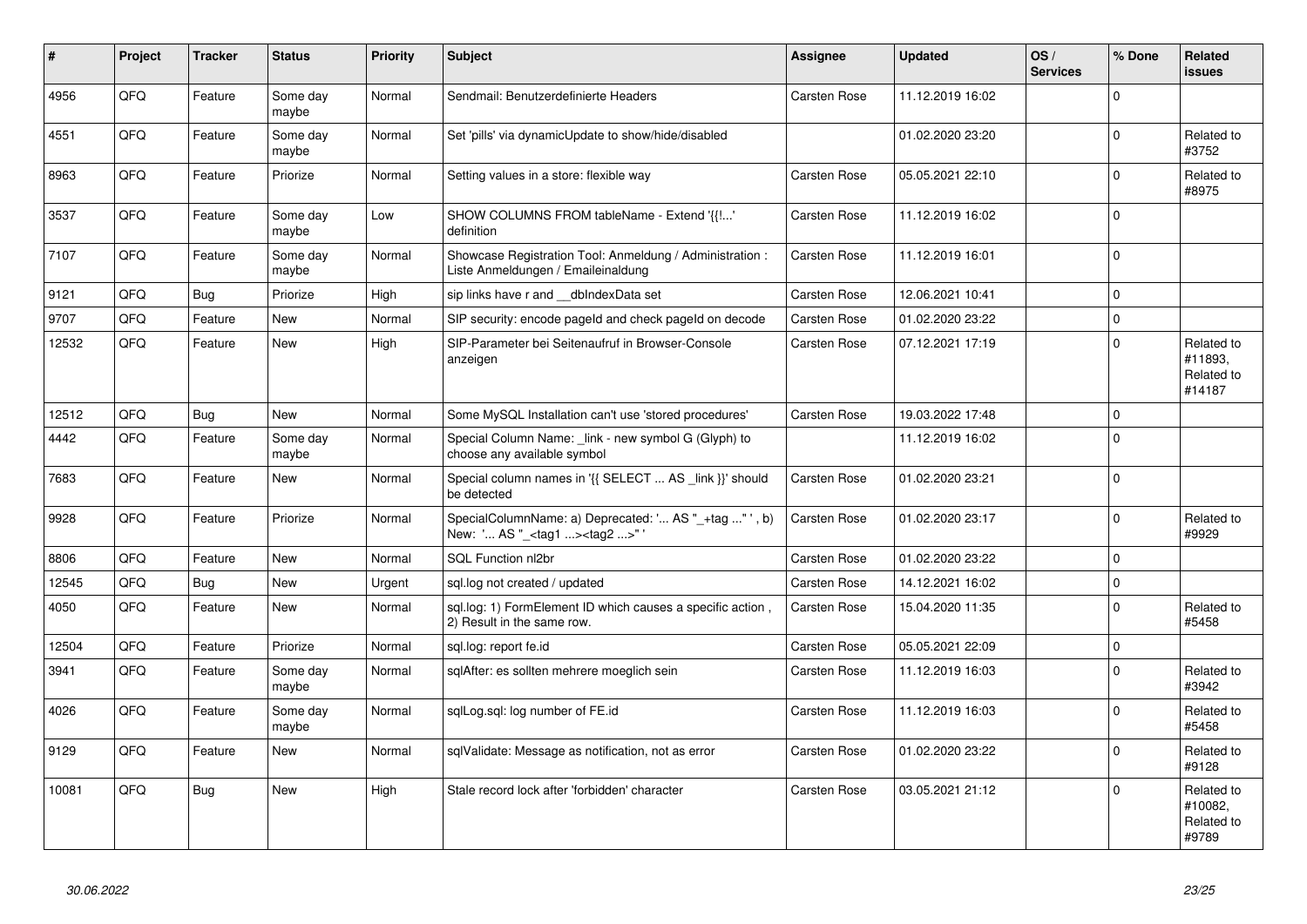| #     | Project    | <b>Tracker</b> | <b>Status</b>     | <b>Priority</b> | <b>Subject</b>                                                                                     | Assignee            | <b>Updated</b>   | OS/<br><b>Services</b> | % Done      | <b>Related</b><br><b>issues</b>               |
|-------|------------|----------------|-------------------|-----------------|----------------------------------------------------------------------------------------------------|---------------------|------------------|------------------------|-------------|-----------------------------------------------|
| 4956  | QFQ        | Feature        | Some day<br>maybe | Normal          | Sendmail: Benutzerdefinierte Headers                                                               | Carsten Rose        | 11.12.2019 16:02 |                        | $\Omega$    |                                               |
| 4551  | QFQ        | Feature        | Some day<br>maybe | Normal          | Set 'pills' via dynamicUpdate to show/hide/disabled                                                |                     | 01.02.2020 23:20 |                        | $\Omega$    | Related to<br>#3752                           |
| 8963  | QFQ        | Feature        | Priorize          | Normal          | Setting values in a store: flexible way                                                            | Carsten Rose        | 05.05.2021 22:10 |                        | $\Omega$    | Related to<br>#8975                           |
| 3537  | QFQ        | Feature        | Some day<br>maybe | Low             | SHOW COLUMNS FROM tableName - Extend '{{!'<br>definition                                           | Carsten Rose        | 11.12.2019 16:02 |                        | $\mathbf 0$ |                                               |
| 7107  | QFQ        | Feature        | Some day<br>maybe | Normal          | Showcase Registration Tool: Anmeldung / Administration :<br>Liste Anmeldungen / Emaileinaldung     | Carsten Rose        | 11.12.2019 16:01 |                        | $\mathbf 0$ |                                               |
| 9121  | QFQ        | <b>Bug</b>     | Priorize          | High            | sip links have r and __dbIndexData set                                                             | Carsten Rose        | 12.06.2021 10:41 |                        | $\Omega$    |                                               |
| 9707  | QFQ        | Feature        | <b>New</b>        | Normal          | SIP security: encode pageld and check pageld on decode                                             | Carsten Rose        | 01.02.2020 23:22 |                        | $\Omega$    |                                               |
| 12532 | QFQ        | Feature        | <b>New</b>        | High            | SIP-Parameter bei Seitenaufruf in Browser-Console<br>anzeigen                                      | Carsten Rose        | 07.12.2021 17:19 |                        | $\mathbf 0$ | Related to<br>#11893.<br>Related to<br>#14187 |
| 12512 | QFQ        | <b>Bug</b>     | <b>New</b>        | Normal          | Some MySQL Installation can't use 'stored procedures'                                              | Carsten Rose        | 19.03.2022 17:48 |                        | $\mathbf 0$ |                                               |
| 4442  | QFQ        | Feature        | Some day<br>maybe | Normal          | Special Column Name: link - new symbol G (Glyph) to<br>choose any available symbol                 |                     | 11.12.2019 16:02 |                        | $\Omega$    |                                               |
| 7683  | QFQ        | Feature        | <b>New</b>        | Normal          | Special column names in '{{ SELECT  AS _link }}' should<br>be detected                             | Carsten Rose        | 01.02.2020 23:21 |                        | $\Omega$    |                                               |
| 9928  | <b>OFO</b> | Feature        | Priorize          | Normal          | SpecialColumnName: a) Deprecated: ' AS "_+tag " ', b)<br>New: ' AS "_ <tag1><tag2>"'</tag2></tag1> | <b>Carsten Rose</b> | 01.02.2020 23:17 |                        | $\Omega$    | Related to<br>#9929                           |
| 8806  | QFQ        | Feature        | <b>New</b>        | Normal          | SQL Function nl2br                                                                                 | Carsten Rose        | 01.02.2020 23:22 |                        | $\mathbf 0$ |                                               |
| 12545 | QFQ        | <b>Bug</b>     | <b>New</b>        | Urgent          | sql.log not created / updated                                                                      | Carsten Rose        | 14.12.2021 16:02 |                        | $\mathbf 0$ |                                               |
| 4050  | QFQ        | Feature        | <b>New</b>        | Normal          | sql.log: 1) FormElement ID which causes a specific action,<br>2) Result in the same row.           | Carsten Rose        | 15.04.2020 11:35 |                        | $\mathbf 0$ | Related to<br>#5458                           |
| 12504 | QFQ        | Feature        | Priorize          | Normal          | sql.log: report fe.id                                                                              | Carsten Rose        | 05.05.2021 22:09 |                        | $\Omega$    |                                               |
| 3941  | QFQ        | Feature        | Some day<br>maybe | Normal          | sqlAfter: es sollten mehrere moeglich sein                                                         | Carsten Rose        | 11.12.2019 16:03 |                        | $\mathbf 0$ | Related to<br>#3942                           |
| 4026  | QFQ        | Feature        | Some day<br>maybe | Normal          | sqlLog.sql: log number of FE.id                                                                    | Carsten Rose        | 11.12.2019 16:03 |                        | $\Omega$    | Related to<br>#5458                           |
| 9129  | QFQ        | Feature        | New               | Normal          | sqlValidate: Message as notification, not as error                                                 | Carsten Rose        | 01.02.2020 23:22 |                        | $\Omega$    | Related to<br>#9128                           |
| 10081 | QFQ        | Bug            | New               | High            | Stale record lock after 'forbidden' character                                                      | <b>Carsten Rose</b> | 03.05.2021 21:12 |                        | $\mathbf 0$ | Related to<br>#10082,<br>Related to<br>#9789  |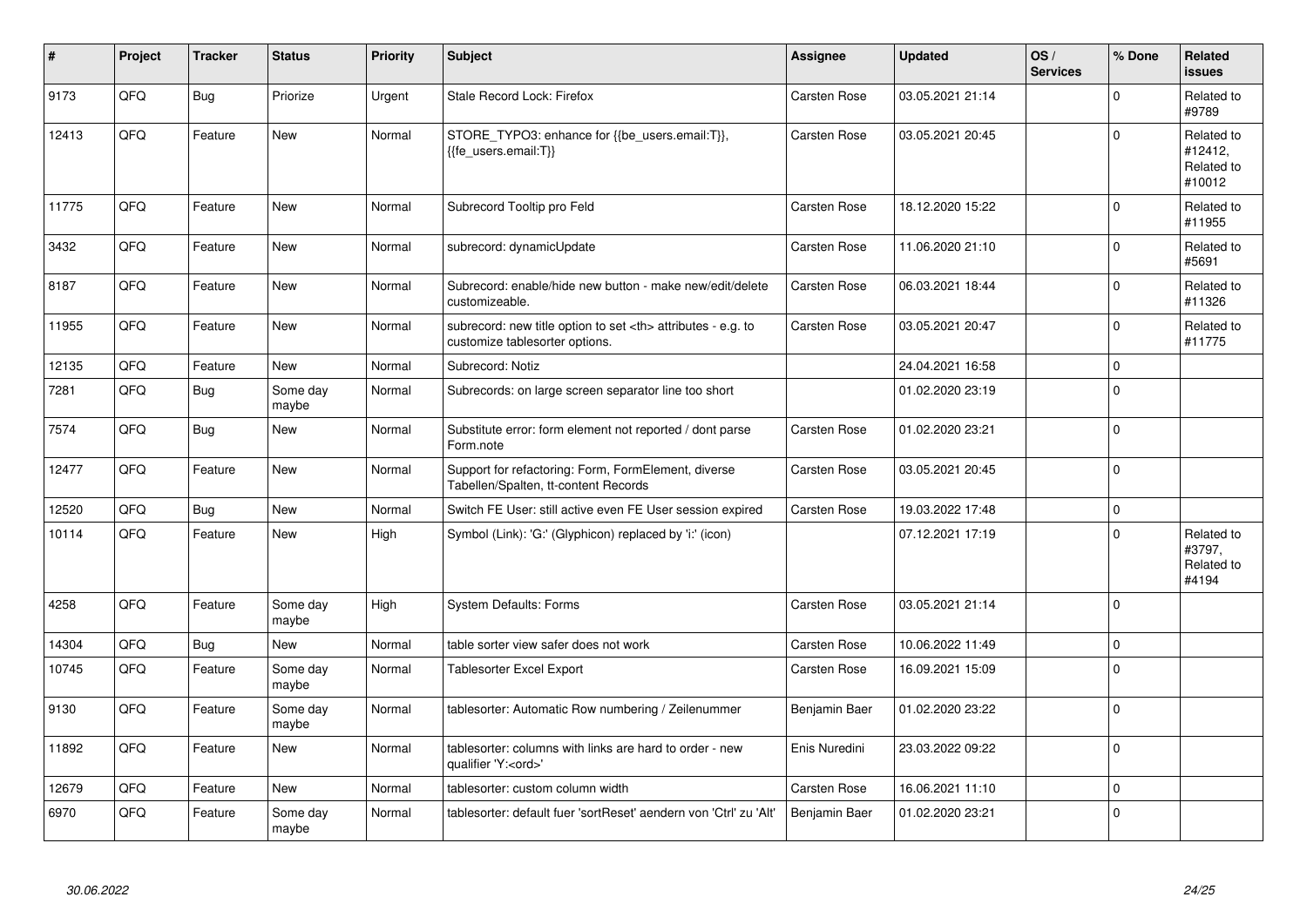| $\vert$ # | Project | <b>Tracker</b> | <b>Status</b>     | <b>Priority</b> | <b>Subject</b>                                                                                       | Assignee                                               | <b>Updated</b>   | OS/<br><b>Services</b> | % Done      | Related<br><b>issues</b>                      |                      |
|-----------|---------|----------------|-------------------|-----------------|------------------------------------------------------------------------------------------------------|--------------------------------------------------------|------------------|------------------------|-------------|-----------------------------------------------|----------------------|
| 9173      | QFQ     | Bug            | Priorize          | Urgent          | Stale Record Lock: Firefox                                                                           | Carsten Rose                                           | 03.05.2021 21:14 |                        | $\Omega$    | Related to<br>#9789                           |                      |
| 12413     | QFQ     | Feature        | <b>New</b>        | Normal          | STORE_TYPO3: enhance for {{be_users.email:T}},<br>{{fe users.email:T}}                               | Carsten Rose                                           | 03.05.2021 20:45 |                        | $\Omega$    | Related to<br>#12412,<br>Related to<br>#10012 |                      |
| 11775     | QFQ     | Feature        | <b>New</b>        | Normal          | Subrecord Tooltip pro Feld                                                                           | Carsten Rose                                           | 18.12.2020 15:22 |                        | $\mathbf 0$ | Related to<br>#11955                          |                      |
| 3432      | QFQ     | Feature        | <b>New</b>        | Normal          | subrecord: dynamicUpdate                                                                             | Carsten Rose                                           | 11.06.2020 21:10 |                        | $\pmb{0}$   | Related to<br>#5691                           |                      |
| 8187      | QFQ     | Feature        | New               | Normal          | Subrecord: enable/hide new button - make new/edit/delete<br>customizeable.                           | Carsten Rose                                           | 06.03.2021 18:44 |                        | $\pmb{0}$   | Related to<br>#11326                          |                      |
| 11955     | QFQ     | Feature        | New               | Normal          | subrecord: new title option to set <th> attributes - e.g. to<br/>customize tablesorter options.</th> | attributes - e.g. to<br>customize tablesorter options. | Carsten Rose     | 03.05.2021 20:47       |             | $\mathbf 0$                                   | Related to<br>#11775 |
| 12135     | QFQ     | Feature        | <b>New</b>        | Normal          | Subrecord: Notiz                                                                                     |                                                        | 24.04.2021 16:58 |                        | $\mathbf 0$ |                                               |                      |
| 7281      | QFQ     | Bug            | Some day<br>maybe | Normal          | Subrecords: on large screen separator line too short                                                 |                                                        | 01.02.2020 23:19 |                        | $\mathbf 0$ |                                               |                      |
| 7574      | QFQ     | <b>Bug</b>     | <b>New</b>        | Normal          | Substitute error: form element not reported / dont parse<br>Form.note                                | Carsten Rose                                           | 01.02.2020 23:21 |                        | $\Omega$    |                                               |                      |
| 12477     | QFQ     | Feature        | <b>New</b>        | Normal          | Support for refactoring: Form, FormElement, diverse<br>Tabellen/Spalten, tt-content Records          | Carsten Rose                                           | 03.05.2021 20:45 |                        | $\mathbf 0$ |                                               |                      |
| 12520     | QFQ     | Bug            | New               | Normal          | Switch FE User: still active even FE User session expired                                            | <b>Carsten Rose</b>                                    | 19.03.2022 17:48 |                        | $\mathbf 0$ |                                               |                      |
| 10114     | QFQ     | Feature        | <b>New</b>        | High            | Symbol (Link): 'G:' (Glyphicon) replaced by 'i:' (icon)                                              |                                                        | 07.12.2021 17:19 |                        | $\mathbf 0$ | Related to<br>#3797,<br>Related to<br>#4194   |                      |
| 4258      | QFQ     | Feature        | Some day<br>maybe | High            | <b>System Defaults: Forms</b>                                                                        | Carsten Rose                                           | 03.05.2021 21:14 |                        | $\mathbf 0$ |                                               |                      |
| 14304     | QFQ     | <b>Bug</b>     | New               | Normal          | table sorter view safer does not work                                                                | Carsten Rose                                           | 10.06.2022 11:49 |                        | $\pmb{0}$   |                                               |                      |
| 10745     | QFQ     | Feature        | Some day<br>maybe | Normal          | Tablesorter Excel Export                                                                             | Carsten Rose                                           | 16.09.2021 15:09 |                        | $\mathbf 0$ |                                               |                      |
| 9130      | QFQ     | Feature        | Some day<br>maybe | Normal          | tablesorter: Automatic Row numbering / Zeilenummer                                                   | Benjamin Baer                                          | 01.02.2020 23:22 |                        | 0           |                                               |                      |
| 11892     | QFQ     | Feature        | <b>New</b>        | Normal          | tablesorter: columns with links are hard to order - new<br>qualifier 'Y: <ord>'</ord>                | Enis Nuredini                                          | 23.03.2022 09:22 |                        | $\mathbf 0$ |                                               |                      |
| 12679     | QFQ     | Feature        | <b>New</b>        | Normal          | tablesorter: custom column width                                                                     | <b>Carsten Rose</b>                                    | 16.06.2021 11:10 |                        | $\mathbf 0$ |                                               |                      |
| 6970      | QFQ     | Feature        | Some day<br>maybe | Normal          | tablesorter: default fuer 'sortReset' aendern von 'Ctrl' zu 'Alt'                                    | Benjamin Baer                                          | 01.02.2020 23:21 |                        | $\pmb{0}$   |                                               |                      |